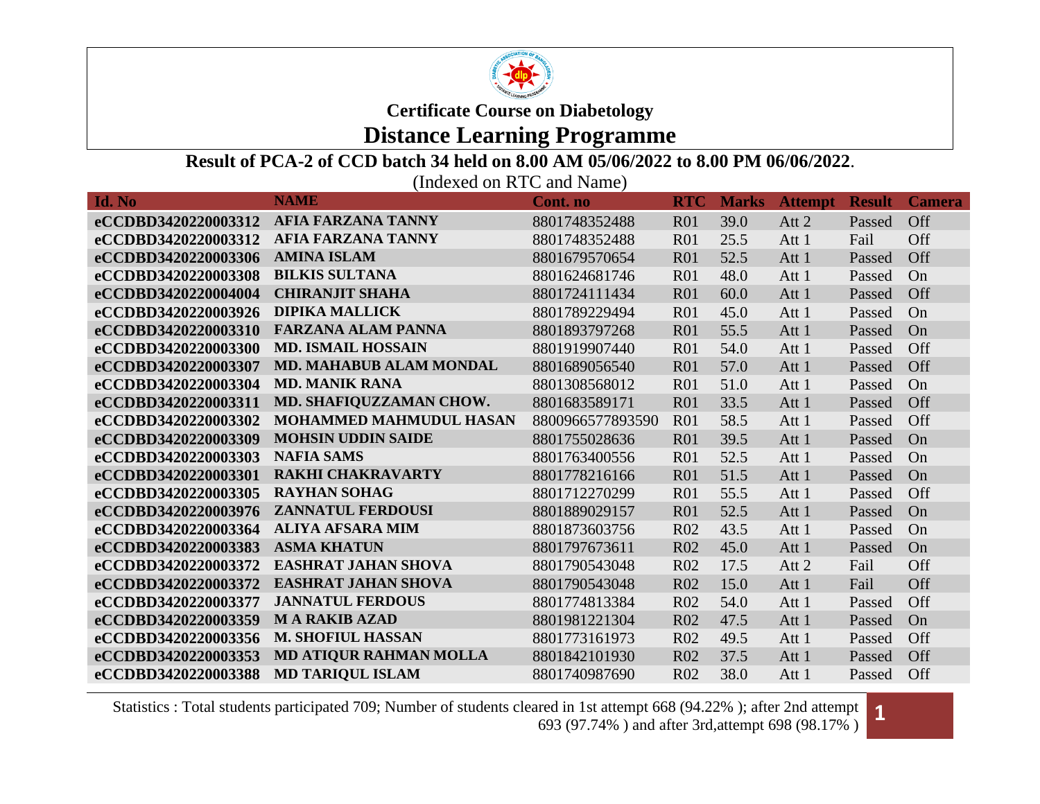

#### **Distance Learning Programme**

#### **Result of PCA-2 of CCD batch 34 held on 8.00 AM 05/06/2022 to 8.00 PM 06/06/2022**.

(Indexed on RTC and Name)

| Id. No              | <b>NAME</b>                    | <b>Cont.</b> no  | <b>RTC</b>      | <b>Marks</b> | <b>Attempt</b> | <b>Result</b> | <b>Camera</b> |
|---------------------|--------------------------------|------------------|-----------------|--------------|----------------|---------------|---------------|
| eCCDBD3420220003312 | <b>AFIA FARZANA TANNY</b>      | 8801748352488    | <b>R01</b>      | 39.0         | Att 2          | Passed        | Off           |
| eCCDBD3420220003312 | <b>AFIA FARZANA TANNY</b>      | 8801748352488    | R <sub>01</sub> | 25.5         | Att 1          | Fail          | Off           |
| eCCDBD3420220003306 | <b>AMINA ISLAM</b>             | 8801679570654    | <b>R01</b>      | 52.5         | Att 1          | Passed        | Off           |
| eCCDBD3420220003308 | <b>BILKIS SULTANA</b>          | 8801624681746    | <b>R01</b>      | 48.0         | Att 1          | Passed        | On            |
| eCCDBD3420220004004 | <b>CHIRANJIT SHAHA</b>         | 8801724111434    | R01             | 60.0         | Att 1          | Passed        | Off           |
| eCCDBD3420220003926 | <b>DIPIKA MALLICK</b>          | 8801789229494    | <b>R01</b>      | 45.0         | Att 1          | Passed        | On            |
| eCCDBD3420220003310 | <b>FARZANA ALAM PANNA</b>      | 8801893797268    | <b>R01</b>      | 55.5         | Att 1          | Passed        | On            |
| eCCDBD3420220003300 | <b>MD. ISMAIL HOSSAIN</b>      | 8801919907440    | R <sub>01</sub> | 54.0         | Att 1          | Passed        | Off           |
| eCCDBD3420220003307 | <b>MD. MAHABUB ALAM MONDAL</b> | 8801689056540    | R01             | 57.0         | Att 1          | Passed        | Off           |
| eCCDBD3420220003304 | <b>MD. MANIK RANA</b>          | 8801308568012    | R <sub>01</sub> | 51.0         | Att 1          | Passed        | On            |
| eCCDBD3420220003311 | MD. SHAFIQUZZAMAN CHOW.        | 8801683589171    | R <sub>01</sub> | 33.5         | Att 1          | Passed        | Off           |
| eCCDBD3420220003302 | <b>MOHAMMED MAHMUDUL HASAN</b> | 8800966577893590 | R <sub>01</sub> | 58.5         | Att 1          | Passed        | Off           |
| eCCDBD3420220003309 | <b>MOHSIN UDDIN SAIDE</b>      | 8801755028636    | R <sub>01</sub> | 39.5         | Att 1          | Passed        | On            |
| eCCDBD3420220003303 | <b>NAFIA SAMS</b>              | 8801763400556    | R <sub>01</sub> | 52.5         | Att 1          | Passed        | On            |
| eCCDBD3420220003301 | <b>RAKHI CHAKRAVARTY</b>       | 8801778216166    | R <sub>01</sub> | 51.5         | Att 1          | Passed        | On            |
| eCCDBD3420220003305 | <b>RAYHAN SOHAG</b>            | 8801712270299    | R <sub>01</sub> | 55.5         | Att 1          | Passed        | Off           |
| eCCDBD3420220003976 | <b>ZANNATUL FERDOUSI</b>       | 8801889029157    | R01             | 52.5         | Att 1          | Passed        | On            |
| eCCDBD3420220003364 | <b>ALIYA AFSARA MIM</b>        | 8801873603756    | R <sub>02</sub> | 43.5         | Att 1          | Passed        | On            |
| eCCDBD3420220003383 | <b>ASMA KHATUN</b>             | 8801797673611    | R <sub>02</sub> | 45.0         | Att 1          | Passed        | On            |
| eCCDBD3420220003372 | <b>EASHRAT JAHAN SHOVA</b>     | 8801790543048    | <b>R02</b>      | 17.5         | Att 2          | Fail          | Off           |
| eCCDBD3420220003372 | <b>EASHRAT JAHAN SHOVA</b>     | 8801790543048    | R <sub>02</sub> | 15.0         | Att 1          | Fail          | Off           |
| eCCDBD3420220003377 | <b>JANNATUL FERDOUS</b>        | 8801774813384    | R <sub>02</sub> | 54.0         | Att 1          | Passed        | Off           |
| eCCDBD3420220003359 | <b>MARAKIBAZAD</b>             | 8801981221304    | R <sub>02</sub> | 47.5         | Att 1          | Passed        | On            |
| eCCDBD3420220003356 | <b>M. SHOFIUL HASSAN</b>       | 8801773161973    | R <sub>02</sub> | 49.5         | Att 1          | Passed        | Off           |
| eCCDBD3420220003353 | MD ATIQUR RAHMAN MOLLA         | 8801842101930    | <b>R02</b>      | 37.5         | Att 1          | Passed        | Off           |
| eCCDBD3420220003388 | <b>MD TARIQUL ISLAM</b>        | 8801740987690    | R <sub>02</sub> | 38.0         | Att 1          | Passed        | Off           |

Statistics : Total students participated 709; Number of students cleared in 1st attempt 668 (94.22% ); after 2nd attempt ared in 1st attempt 668 (94.22%); after 2nd attempt **1**<br>693 (97.74%) and after 3rd,attempt 698 (98.17%)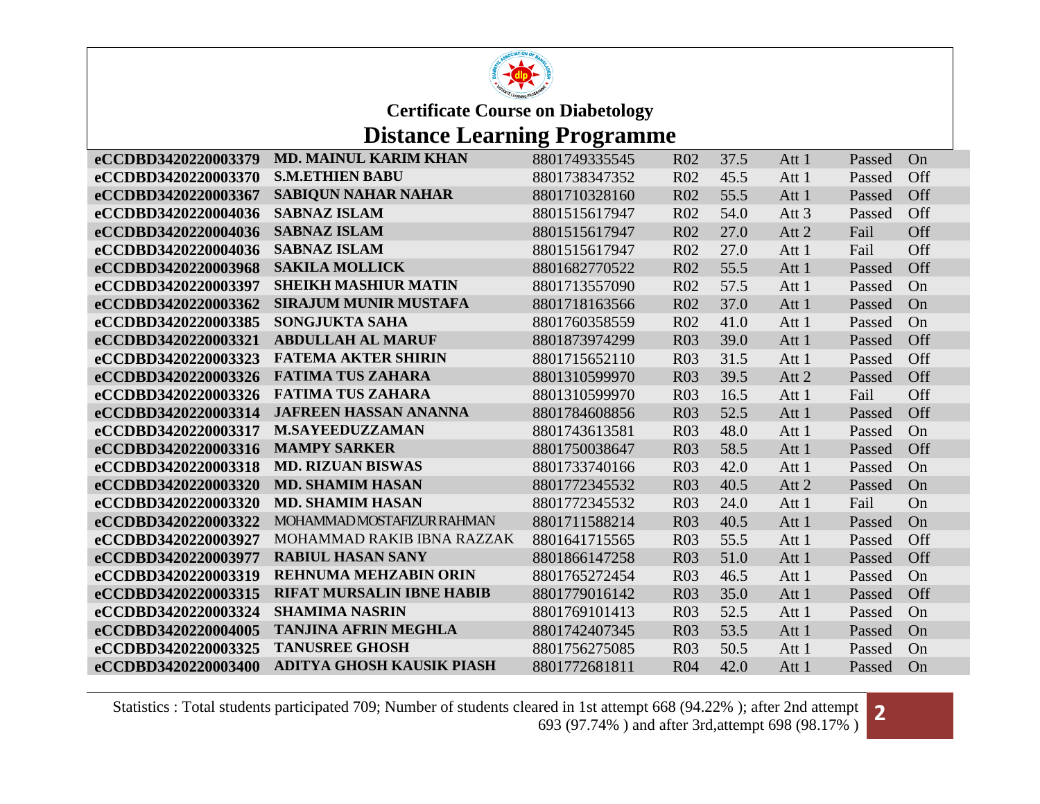

# **Distance Learning Programme**

| eCCDBD3420220003379 | <b>MD. MAINUL KARIM KHAN</b>     | 8801749335545 | R <sub>02</sub> | 37.5 | Att 1   | Passed | On  |
|---------------------|----------------------------------|---------------|-----------------|------|---------|--------|-----|
| eCCDBD3420220003370 | <b>S.M.ETHIEN BABU</b>           | 8801738347352 | R <sub>02</sub> | 45.5 | Att 1   | Passed | Off |
| eCCDBD3420220003367 | <b>SABIQUN NAHAR NAHAR</b>       | 8801710328160 | R <sub>02</sub> | 55.5 | Att 1   | Passed | Off |
| eCCDBD3420220004036 | <b>SABNAZ ISLAM</b>              | 8801515617947 | R <sub>02</sub> | 54.0 | Att $3$ | Passed | Off |
| eCCDBD3420220004036 | <b>SABNAZ ISLAM</b>              | 8801515617947 | R <sub>02</sub> | 27.0 | Att 2   | Fail   | Off |
| eCCDBD3420220004036 | <b>SABNAZ ISLAM</b>              | 8801515617947 | R <sub>02</sub> | 27.0 | Att 1   | Fail   | Off |
| eCCDBD3420220003968 | <b>SAKILA MOLLICK</b>            | 8801682770522 | R <sub>02</sub> | 55.5 | Att 1   | Passed | Off |
| eCCDBD3420220003397 | <b>SHEIKH MASHIUR MATIN</b>      | 8801713557090 | R <sub>02</sub> | 57.5 | Att 1   | Passed | On  |
| eCCDBD3420220003362 | <b>SIRAJUM MUNIR MUSTAFA</b>     | 8801718163566 | R <sub>02</sub> | 37.0 | Att 1   | Passed | On  |
| eCCDBD3420220003385 | <b>SONGJUKTA SAHA</b>            | 8801760358559 | R <sub>02</sub> | 41.0 | Att 1   | Passed | On  |
| eCCDBD3420220003321 | <b>ABDULLAH AL MARUF</b>         | 8801873974299 | <b>R03</b>      | 39.0 | Att 1   | Passed | Off |
| eCCDBD3420220003323 | <b>FATEMA AKTER SHIRIN</b>       | 8801715652110 | <b>R03</b>      | 31.5 | Att 1   | Passed | Off |
| eCCDBD3420220003326 | <b>FATIMA TUS ZAHARA</b>         | 8801310599970 | <b>R03</b>      | 39.5 | Att 2   | Passed | Off |
| eCCDBD3420220003326 | <b>FATIMA TUS ZAHARA</b>         | 8801310599970 | <b>R03</b>      | 16.5 | Att 1   | Fail   | Off |
| eCCDBD3420220003314 | <b>JAFREEN HASSAN ANANNA</b>     | 8801784608856 | <b>R03</b>      | 52.5 | Att 1   | Passed | Off |
| eCCDBD3420220003317 | <b>M.SAYEEDUZZAMAN</b>           | 8801743613581 | <b>R03</b>      | 48.0 | Att 1   | Passed | On  |
| eCCDBD3420220003316 | <b>MAMPY SARKER</b>              | 8801750038647 | <b>R03</b>      | 58.5 | Att 1   | Passed | Off |
| eCCDBD3420220003318 | <b>MD. RIZUAN BISWAS</b>         | 8801733740166 | <b>R03</b>      | 42.0 | Att 1   | Passed | On  |
| eCCDBD3420220003320 | <b>MD. SHAMIM HASAN</b>          | 8801772345532 | R <sub>03</sub> | 40.5 | Att 2   | Passed | On  |
| eCCDBD3420220003320 | <b>MD. SHAMIM HASAN</b>          | 8801772345532 | <b>R03</b>      | 24.0 | Att 1   | Fail   | On  |
| eCCDBD3420220003322 | MOHAMMAD MOSTAFIZUR RAHMAN       | 8801711588214 | <b>R03</b>      | 40.5 | Att 1   | Passed | On  |
| eCCDBD3420220003927 | MOHAMMAD RAKIB IBNA RAZZAK       | 8801641715565 | <b>R03</b>      | 55.5 | Att 1   | Passed | Off |
| eCCDBD3420220003977 | <b>RABIUL HASAN SANY</b>         | 8801866147258 | <b>R03</b>      | 51.0 | Att 1   | Passed | Off |
| eCCDBD3420220003319 | <b>REHNUMA MEHZABIN ORIN</b>     | 8801765272454 | R <sub>03</sub> | 46.5 | Att 1   | Passed | On  |
| eCCDBD3420220003315 | <b>RIFAT MURSALIN IBNE HABIB</b> | 8801779016142 | <b>R03</b>      | 35.0 | Att 1   | Passed | Off |
| eCCDBD3420220003324 | <b>SHAMIMA NASRIN</b>            | 8801769101413 | R <sub>03</sub> | 52.5 | Att 1   | Passed | On  |
| eCCDBD3420220004005 | <b>TANJINA AFRIN MEGHLA</b>      | 8801742407345 | <b>R03</b>      | 53.5 | Att 1   | Passed | On  |
| eCCDBD3420220003325 | <b>TANUSREE GHOSH</b>            | 8801756275085 | <b>R03</b>      | 50.5 | Att 1   | Passed | On  |
| eCCDBD3420220003400 | <b>ADITYA GHOSH KAUSIK PIASH</b> | 8801772681811 | <b>R04</b>      | 42.0 | Att 1   | Passed | On  |

Statistics : Total students participated 709; Number of students cleared in 1st attempt 668 (94.22%); after 2nd attempt ared in 1st attempt 668 (94.22% ); after 2nd attempt **2**<br>693 (97.74%) and after 3rd,attempt 698 (98.17%)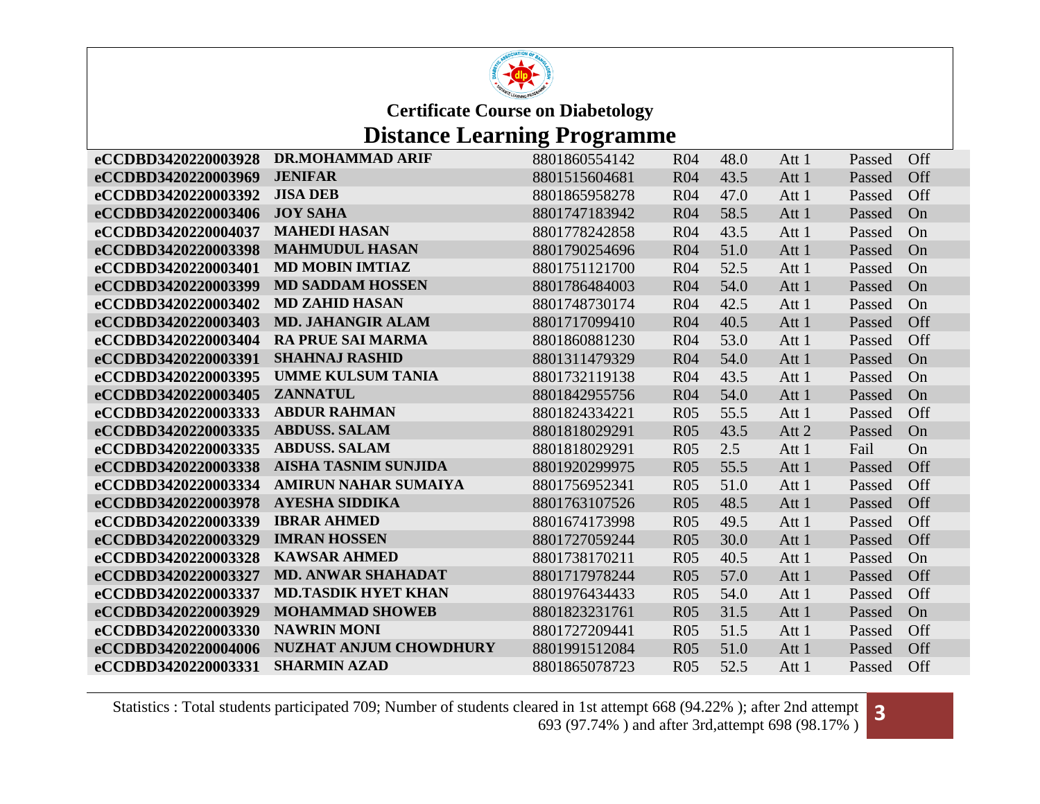

## **Distance Learning Programme**

| eCCDBD3420220003928 | <b>DR.MOHAMMAD ARIF</b>       | 8801860554142 | R <sub>04</sub> | 48.0 | Att 1 | Passed | Off |
|---------------------|-------------------------------|---------------|-----------------|------|-------|--------|-----|
| eCCDBD3420220003969 | <b>JENIFAR</b>                | 8801515604681 | <b>R04</b>      | 43.5 | Att 1 | Passed | Off |
| eCCDBD3420220003392 | <b>JISA DEB</b>               | 8801865958278 | R <sub>04</sub> | 47.0 | Att 1 | Passed | Off |
| eCCDBD3420220003406 | <b>JOY SAHA</b>               | 8801747183942 | R <sub>04</sub> | 58.5 | Att 1 | Passed | On  |
| eCCDBD3420220004037 | <b>MAHEDI HASAN</b>           | 8801778242858 | <b>R04</b>      | 43.5 | Att 1 | Passed | On  |
| eCCDBD3420220003398 | <b>MAHMUDUL HASAN</b>         | 8801790254696 | R <sub>04</sub> | 51.0 | Att 1 | Passed | On  |
| eCCDBD3420220003401 | <b>MD MOBIN IMTIAZ</b>        | 8801751121700 | R <sub>04</sub> | 52.5 | Att 1 | Passed | On  |
| eCCDBD3420220003399 | <b>MD SADDAM HOSSEN</b>       | 8801786484003 | <b>R04</b>      | 54.0 | Att 1 | Passed | On  |
| eCCDBD3420220003402 | <b>MD ZAHID HASAN</b>         | 8801748730174 | R <sub>04</sub> | 42.5 | Att 1 | Passed | On  |
| eCCDBD3420220003403 | <b>MD. JAHANGIR ALAM</b>      | 8801717099410 | <b>R04</b>      | 40.5 | Att 1 | Passed | Off |
| eCCDBD3420220003404 | <b>RA PRUE SAI MARMA</b>      | 8801860881230 | <b>R04</b>      | 53.0 | Att 1 | Passed | Off |
| eCCDBD3420220003391 | <b>SHAHNAJ RASHID</b>         | 8801311479329 | R <sub>04</sub> | 54.0 | Att 1 | Passed | On  |
| eCCDBD3420220003395 | <b>UMME KULSUM TANIA</b>      | 8801732119138 | <b>R04</b>      | 43.5 | Att 1 | Passed | On  |
| eCCDBD3420220003405 | <b>ZANNATUL</b>               | 8801842955756 | <b>R04</b>      | 54.0 | Att 1 | Passed | On  |
| eCCDBD3420220003333 | <b>ABDUR RAHMAN</b>           | 8801824334221 | R <sub>05</sub> | 55.5 | Att 1 | Passed | Off |
| eCCDBD3420220003335 | <b>ABDUSS. SALAM</b>          | 8801818029291 | <b>R05</b>      | 43.5 | Att 2 | Passed | On  |
| eCCDBD3420220003335 | <b>ABDUSS. SALAM</b>          | 8801818029291 | R <sub>05</sub> | 2.5  | Att 1 | Fail   | On  |
| eCCDBD3420220003338 | <b>AISHA TASNIM SUNJIDA</b>   | 8801920299975 | <b>R05</b>      | 55.5 | Att 1 | Passed | Off |
| eCCDBD3420220003334 | <b>AMIRUN NAHAR SUMAIYA</b>   | 8801756952341 | R <sub>05</sub> | 51.0 | Att 1 | Passed | Off |
| eCCDBD3420220003978 | <b>AYESHA SIDDIKA</b>         | 8801763107526 | <b>R05</b>      | 48.5 | Att 1 | Passed | Off |
| eCCDBD3420220003339 | <b>IBRAR AHMED</b>            | 8801674173998 | R <sub>05</sub> | 49.5 | Att 1 | Passed | Off |
| eCCDBD3420220003329 | <b>IMRAN HOSSEN</b>           | 8801727059244 | R <sub>05</sub> | 30.0 | Att 1 | Passed | Off |
| eCCDBD3420220003328 | <b>KAWSAR AHMED</b>           | 8801738170211 | R <sub>05</sub> | 40.5 | Att 1 | Passed | On  |
| eCCDBD3420220003327 | <b>MD. ANWAR SHAHADAT</b>     | 8801717978244 | R05             | 57.0 | Att 1 | Passed | Off |
| eCCDBD3420220003337 | <b>MD.TASDIK HYET KHAN</b>    | 8801976434433 | R <sub>05</sub> | 54.0 | Att 1 | Passed | Off |
| eCCDBD3420220003929 | <b>MOHAMMAD SHOWEB</b>        | 8801823231761 | R <sub>05</sub> | 31.5 | Att 1 | Passed | On  |
| eCCDBD3420220003330 | <b>NAWRIN MONI</b>            | 8801727209441 | R <sub>05</sub> | 51.5 | Att 1 | Passed | Off |
| eCCDBD3420220004006 | <b>NUZHAT ANJUM CHOWDHURY</b> | 8801991512084 | R <sub>05</sub> | 51.0 | Att 1 | Passed | Off |
| eCCDBD3420220003331 | <b>SHARMIN AZAD</b>           | 8801865078723 | R <sub>05</sub> | 52.5 | Att 1 | Passed | Off |

Statistics : Total students participated 709; Number of students cleared in 1st attempt 668 (94.22% ); after 2nd attempt ared in 1st attempt 668 (94.22% ); after 2nd attempt 693 (97.74%) and after 3rd,attempt 698 (98.17%)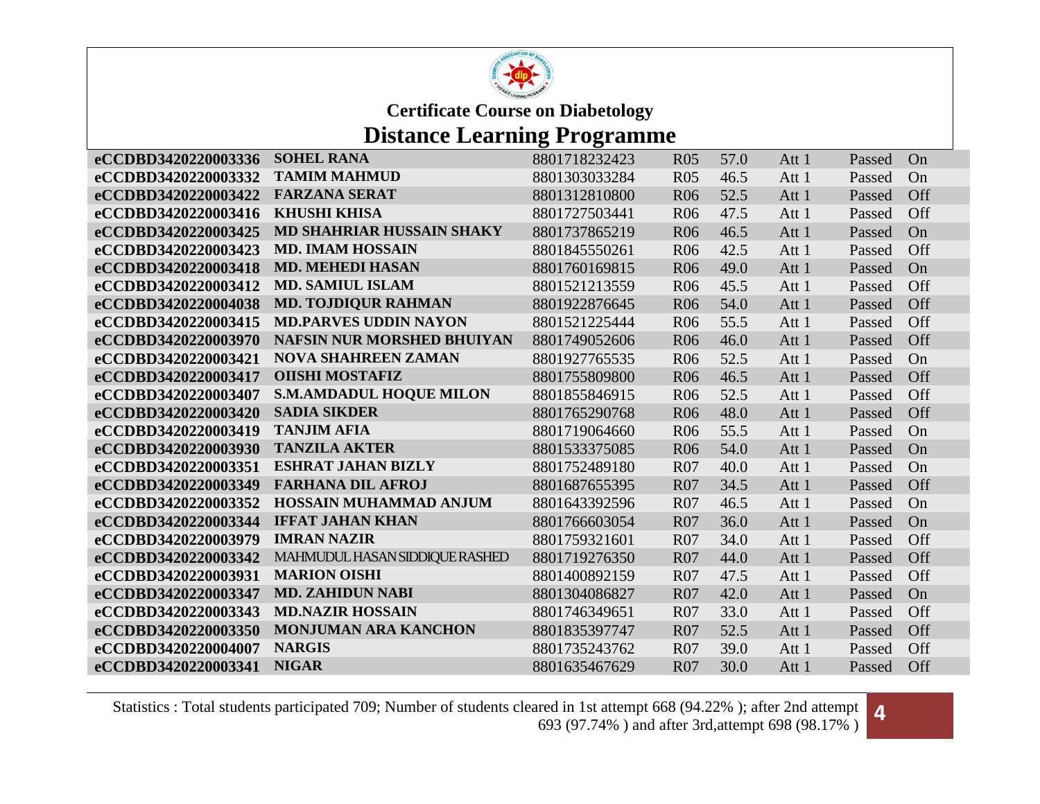

## **Distance Learning Programme**

| eCCDBD3420220003336 | <b>SOHEL RANA</b>                 | 8801718232423 | <b>R05</b> | 57.0 | Att 1 | Passed | On  |
|---------------------|-----------------------------------|---------------|------------|------|-------|--------|-----|
| eCCDBD3420220003332 | <b>TAMIM MAHMUD</b>               | 8801303033284 | <b>R05</b> | 46.5 | Att 1 | Passed | On  |
| eCCDBD3420220003422 | <b>FARZANA SERAT</b>              | 8801312810800 | <b>R06</b> | 52.5 | Att 1 | Passed | Off |
| eCCDBD3420220003416 | <b>KHUSHI KHISA</b>               | 8801727503441 | <b>R06</b> | 47.5 | Att 1 | Passed | Off |
| eCCDBD3420220003425 | <b>MD SHAHRIAR HUSSAIN SHAKY</b>  | 8801737865219 | <b>R06</b> | 46.5 | Att 1 | Passed | On  |
| eCCDBD3420220003423 | <b>MD. IMAM HOSSAIN</b>           | 8801845550261 | <b>R06</b> | 42.5 | Att 1 | Passed | Off |
| eCCDBD3420220003418 | <b>MD. MEHEDI HASAN</b>           | 8801760169815 | <b>R06</b> | 49.0 | Att 1 | Passed | On  |
| eCCDBD3420220003412 | <b>MD. SAMIUL ISLAM</b>           | 8801521213559 | <b>R06</b> | 45.5 | Att 1 | Passed | Off |
| eCCDBD3420220004038 | <b>MD. TOJDIQUR RAHMAN</b>        | 8801922876645 | <b>R06</b> | 54.0 | Att 1 | Passed | Off |
| eCCDBD3420220003415 | <b>MD.PARVES UDDIN NAYON</b>      | 8801521225444 | <b>R06</b> | 55.5 | Att 1 | Passed | Off |
| eCCDBD3420220003970 | <b>NAFSIN NUR MORSHED BHUIYAN</b> | 8801749052606 | <b>R06</b> | 46.0 | Att 1 | Passed | Off |
| eCCDBD3420220003421 | <b>NOVA SHAHREEN ZAMAN</b>        | 8801927765535 | <b>R06</b> | 52.5 | Att 1 | Passed | On  |
| eCCDBD3420220003417 | <b>OIISHI MOSTAFIZ</b>            | 8801755809800 | <b>R06</b> | 46.5 | Att 1 | Passed | Off |
| eCCDBD3420220003407 | <b>S.M.AMDADUL HOQUE MILON</b>    | 8801855846915 | <b>R06</b> | 52.5 | Att 1 | Passed | Off |
| eCCDBD3420220003420 | <b>SADIA SIKDER</b>               | 8801765290768 | <b>R06</b> | 48.0 | Att 1 | Passed | Off |
| eCCDBD3420220003419 | <b>TANJIM AFIA</b>                | 8801719064660 | <b>R06</b> | 55.5 | Att 1 | Passed | On  |
| eCCDBD3420220003930 | <b>TANZILA AKTER</b>              | 8801533375085 | <b>R06</b> | 54.0 | Att 1 | Passed | On  |
| eCCDBD3420220003351 | <b>ESHRAT JAHAN BIZLY</b>         | 8801752489180 | <b>R07</b> | 40.0 | Att 1 | Passed | On  |
| eCCDBD3420220003349 | <b>FARHANA DIL AFROJ</b>          | 8801687655395 | <b>R07</b> | 34.5 | Att 1 | Passed | Off |
| eCCDBD3420220003352 | HOSSAIN MUHAMMAD ANJUM            | 8801643392596 | <b>R07</b> | 46.5 | Att 1 | Passed | On  |
| eCCDBD3420220003344 | <b>IFFAT JAHAN KHAN</b>           | 8801766603054 | <b>R07</b> | 36.0 | Att 1 | Passed | On  |
| eCCDBD3420220003979 | <b>IMRAN NAZIR</b>                | 8801759321601 | <b>R07</b> | 34.0 | Att 1 | Passed | Off |
| eCCDBD3420220003342 | MAHMUDUL HASAN SIDDIQUE RASHED    | 8801719276350 | <b>R07</b> | 44.0 | Att 1 | Passed | Off |
| eCCDBD3420220003931 | <b>MARION OISHI</b>               | 8801400892159 | <b>R07</b> | 47.5 | Att 1 | Passed | Off |
| eCCDBD3420220003347 | <b>MD. ZAHIDUN NABI</b>           | 8801304086827 | <b>R07</b> | 42.0 | Att 1 | Passed | On  |
| eCCDBD3420220003343 | <b>MD.NAZIR HOSSAIN</b>           | 8801746349651 | <b>R07</b> | 33.0 | Att 1 | Passed | Off |
| eCCDBD3420220003350 | <b>MONJUMAN ARA KANCHON</b>       | 8801835397747 | <b>R07</b> | 52.5 | Att 1 | Passed | Off |
| eCCDBD3420220004007 | <b>NARGIS</b>                     | 8801735243762 | <b>R07</b> | 39.0 | Att 1 | Passed | Off |
| eCCDBD3420220003341 | <b>NIGAR</b>                      | 8801635467629 | <b>R07</b> | 30.0 | Att 1 | Passed | Off |

Statistics : Total students participated 709; Number of students cleared in 1st attempt 668 (94.22% ); after 2nd attempt ared in 1st attempt 668 (94.22% ); after 2nd attempt **4**<br>693 (97.74%) and after 3rd,attempt 698 (98.17%)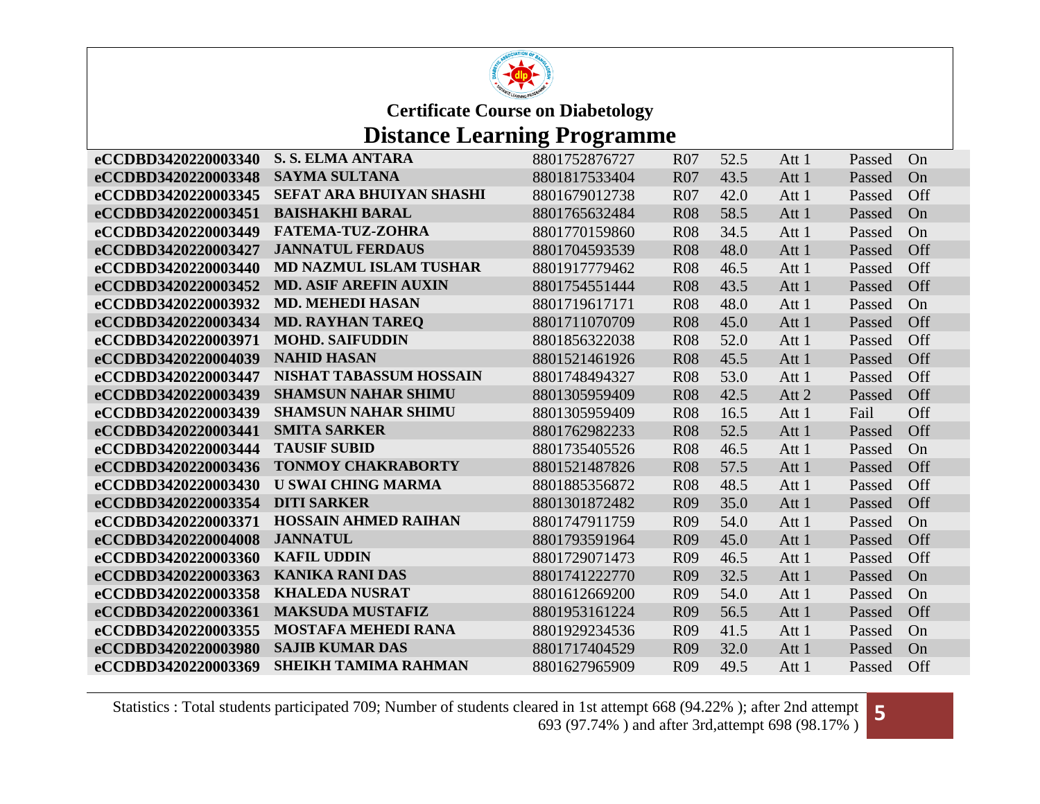

### **Distance Learning Programme**

| eCCDBD3420220003340 | <b>S. S. ELMA ANTARA</b>      | 8801752876727 | R <sub>07</sub> | 52.5 | Att 1 | Passed | On         |
|---------------------|-------------------------------|---------------|-----------------|------|-------|--------|------------|
| eCCDBD3420220003348 | <b>SAYMA SULTANA</b>          | 8801817533404 | <b>R07</b>      | 43.5 | Att 1 | Passed | On         |
| eCCDBD3420220003345 | SEFAT ARA BHUIYAN SHASHI      | 8801679012738 | <b>R07</b>      | 42.0 | Att 1 | Passed | Off        |
| eCCDBD3420220003451 | <b>BAISHAKHI BARAL</b>        | 8801765632484 | <b>R08</b>      | 58.5 | Att 1 | Passed | On         |
| eCCDBD3420220003449 | <b>FATEMA-TUZ-ZOHRA</b>       | 8801770159860 | <b>R08</b>      | 34.5 | Att 1 | Passed | On         |
| eCCDBD3420220003427 | <b>JANNATUL FERDAUS</b>       | 8801704593539 | <b>R08</b>      | 48.0 | Att 1 | Passed | Off        |
| eCCDBD3420220003440 | <b>MD NAZMUL ISLAM TUSHAR</b> | 8801917779462 | <b>R08</b>      | 46.5 | Att 1 | Passed | Off        |
| eCCDBD3420220003452 | <b>MD. ASIF AREFIN AUXIN</b>  | 8801754551444 | <b>R08</b>      | 43.5 | Att 1 | Passed | Off        |
| eCCDBD3420220003932 | <b>MD. MEHEDI HASAN</b>       | 8801719617171 | <b>R08</b>      | 48.0 | Att 1 | Passed | On         |
| eCCDBD3420220003434 | <b>MD. RAYHAN TAREQ</b>       | 8801711070709 | <b>R08</b>      | 45.0 | Att 1 | Passed | Off        |
| eCCDBD3420220003971 | <b>MOHD. SAIFUDDIN</b>        | 8801856322038 | <b>R08</b>      | 52.0 | Att 1 | Passed | Off        |
| eCCDBD3420220004039 | <b>NAHID HASAN</b>            | 8801521461926 | <b>R08</b>      | 45.5 | Att 1 | Passed | Off        |
| eCCDBD3420220003447 | NISHAT TABASSUM HOSSAIN       | 8801748494327 | <b>R08</b>      | 53.0 | Att 1 | Passed | Off        |
| eCCDBD3420220003439 | <b>SHAMSUN NAHAR SHIMU</b>    | 8801305959409 | <b>R08</b>      | 42.5 | Att 2 | Passed | Off        |
| eCCDBD3420220003439 | <b>SHAMSUN NAHAR SHIMU</b>    | 8801305959409 | <b>R08</b>      | 16.5 | Att 1 | Fail   | Off        |
| eCCDBD3420220003441 | <b>SMITA SARKER</b>           | 8801762982233 | <b>R08</b>      | 52.5 | Att 1 | Passed | Off        |
| eCCDBD3420220003444 | <b>TAUSIF SUBID</b>           | 8801735405526 | <b>R08</b>      | 46.5 | Att 1 | Passed | On         |
| eCCDBD3420220003436 | <b>TONMOY CHAKRABORTY</b>     | 8801521487826 | <b>R08</b>      | 57.5 | Att 1 | Passed | <b>Off</b> |
| eCCDBD3420220003430 | <b>U SWAI CHING MARMA</b>     | 8801885356872 | <b>R08</b>      | 48.5 | Att 1 | Passed | Off        |
| eCCDBD3420220003354 | <b>DITI SARKER</b>            | 8801301872482 | R <sub>09</sub> | 35.0 | Att 1 | Passed | Off        |
| eCCDBD3420220003371 | <b>HOSSAIN AHMED RAIHAN</b>   | 8801747911759 | <b>R09</b>      | 54.0 | Att 1 | Passed | On         |
| eCCDBD3420220004008 | <b>JANNATUL</b>               | 8801793591964 | <b>R09</b>      | 45.0 | Att 1 | Passed | Off        |
| eCCDBD3420220003360 | <b>KAFIL UDDIN</b>            | 8801729071473 | R <sub>09</sub> | 46.5 | Att 1 | Passed | Off        |
| eCCDBD3420220003363 | <b>KANIKA RANI DAS</b>        | 8801741222770 | R <sub>09</sub> | 32.5 | Att 1 | Passed | On         |
| eCCDBD3420220003358 | <b>KHALEDA NUSRAT</b>         | 8801612669200 | <b>R09</b>      | 54.0 | Att 1 | Passed | On         |
| eCCDBD3420220003361 | <b>MAKSUDA MUSTAFIZ</b>       | 8801953161224 | R <sub>09</sub> | 56.5 | Att 1 | Passed | Off        |
| eCCDBD3420220003355 | <b>MOSTAFA MEHEDI RANA</b>    | 8801929234536 | <b>R09</b>      | 41.5 | Att 1 | Passed | On         |
| eCCDBD3420220003980 | <b>SAJIB KUMAR DAS</b>        | 8801717404529 | <b>R09</b>      | 32.0 | Att 1 | Passed | On         |
| eCCDBD3420220003369 | <b>SHEIKH TAMIMA RAHMAN</b>   | 8801627965909 | <b>R09</b>      | 49.5 | Att 1 | Passed | Off        |

Statistics : Total students participated 709; Number of students cleared in 1st attempt 668 (94.22% ); after 2nd attempt ared in 1st attempt 668 (94.22% ); after 2nd attempt 693 (97.74%) and after 3rd,attempt 698 (98.17%)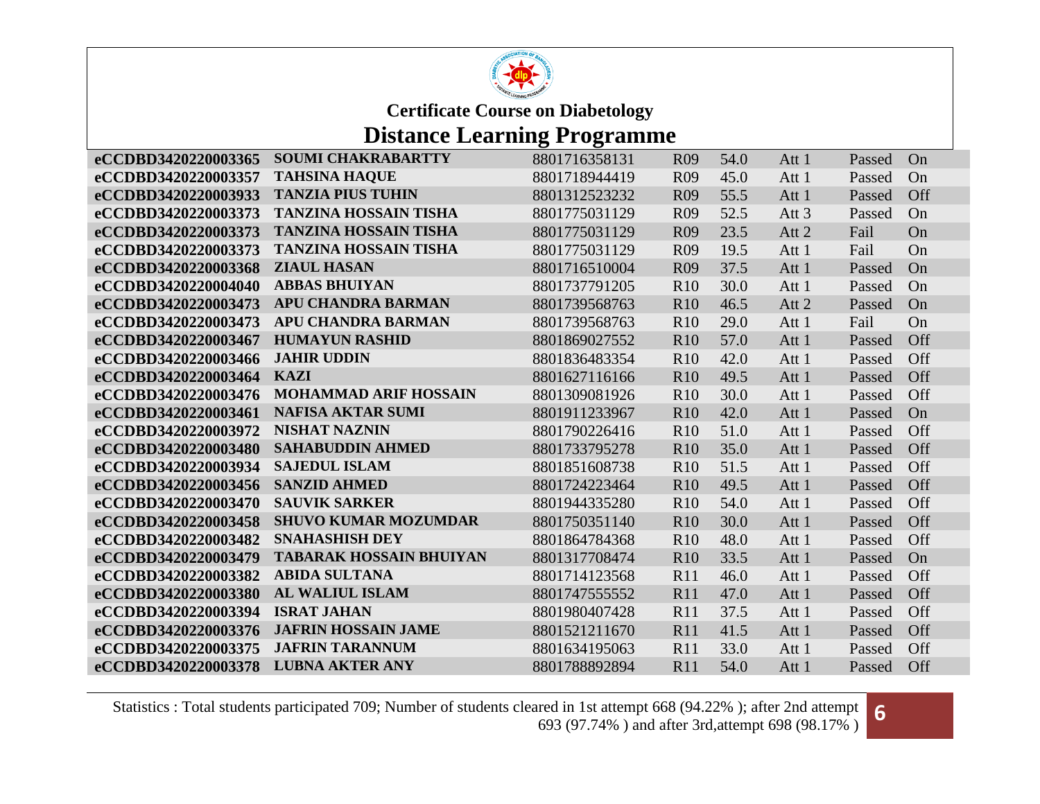

### **Distance Learning Programme**

| eCCDBD3420220003365 | <b>SOUMI CHAKRABARTTY</b>      | 8801716358131 | R <sub>09</sub> | 54.0 | Att 1            | Passed | On  |
|---------------------|--------------------------------|---------------|-----------------|------|------------------|--------|-----|
| eCCDBD3420220003357 | <b>TAHSINA HAQUE</b>           | 8801718944419 | R <sub>09</sub> | 45.0 | Att 1            | Passed | On  |
| eCCDBD3420220003933 | <b>TANZIA PIUS TUHIN</b>       | 8801312523232 | <b>R09</b>      | 55.5 | Att 1            | Passed | Off |
| eCCDBD3420220003373 | <b>TANZINA HOSSAIN TISHA</b>   | 8801775031129 | R <sub>09</sub> | 52.5 | Att <sub>3</sub> | Passed | On  |
| eCCDBD3420220003373 | <b>TANZINA HOSSAIN TISHA</b>   | 8801775031129 | R <sub>09</sub> | 23.5 | Att 2            | Fail   | On  |
| eCCDBD3420220003373 | <b>TANZINA HOSSAIN TISHA</b>   | 8801775031129 | R <sub>09</sub> | 19.5 | Att 1            | Fail   | On  |
| eCCDBD3420220003368 | <b>ZIAUL HASAN</b>             | 8801716510004 | R <sub>09</sub> | 37.5 | Att 1            | Passed | On  |
| eCCDBD3420220004040 | <b>ABBAS BHUIYAN</b>           | 8801737791205 | R10             | 30.0 | Att 1            | Passed | On  |
| eCCDBD3420220003473 | <b>APU CHANDRA BARMAN</b>      | 8801739568763 | <b>R10</b>      | 46.5 | Att 2            | Passed | On  |
| eCCDBD3420220003473 | APU CHANDRA BARMAN             | 8801739568763 | R <sub>10</sub> | 29.0 | Att 1            | Fail   | On  |
| eCCDBD3420220003467 | <b>HUMAYUN RASHID</b>          | 8801869027552 | R <sub>10</sub> | 57.0 | Att 1            | Passed | Off |
| eCCDBD3420220003466 | <b>JAHIR UDDIN</b>             | 8801836483354 | R <sub>10</sub> | 42.0 | Att 1            | Passed | Off |
| eCCDBD3420220003464 | <b>KAZI</b>                    | 8801627116166 | <b>R10</b>      | 49.5 | Att 1            | Passed | Off |
| eCCDBD3420220003476 | <b>MOHAMMAD ARIF HOSSAIN</b>   | 8801309081926 | R <sub>10</sub> | 30.0 | Att 1            | Passed | Off |
| eCCDBD3420220003461 | <b>NAFISA AKTAR SUMI</b>       | 8801911233967 | R10             | 42.0 | Att 1            | Passed | On  |
| eCCDBD3420220003972 | <b>NISHAT NAZNIN</b>           | 8801790226416 | R <sub>10</sub> | 51.0 | Att 1            | Passed | Off |
| eCCDBD3420220003480 | <b>SAHABUDDIN AHMED</b>        | 8801733795278 | <b>R10</b>      | 35.0 | Att 1            | Passed | Off |
| eCCDBD3420220003934 | <b>SAJEDUL ISLAM</b>           | 8801851608738 | R <sub>10</sub> | 51.5 | Att 1            | Passed | Off |
| eCCDBD3420220003456 | <b>SANZID AHMED</b>            | 8801724223464 | <b>R10</b>      | 49.5 | Att 1            | Passed | Off |
| eCCDBD3420220003470 | <b>SAUVIK SARKER</b>           | 8801944335280 | R10             | 54.0 | Att 1            | Passed | Off |
| eCCDBD3420220003458 | <b>SHUVO KUMAR MOZUMDAR</b>    | 8801750351140 | R <sub>10</sub> | 30.0 | Att 1            | Passed | Off |
| eCCDBD3420220003482 | <b>SNAHASHISH DEY</b>          | 8801864784368 | R10             | 48.0 | Att 1            | Passed | Off |
| eCCDBD3420220003479 | <b>TABARAK HOSSAIN BHUIYAN</b> | 8801317708474 | R <sub>10</sub> | 33.5 | Att 1            | Passed | On  |
| eCCDBD3420220003382 | <b>ABIDA SULTANA</b>           | 8801714123568 | R11             | 46.0 | Att 1            | Passed | Off |
| eCCDBD3420220003380 | <b>AL WALIUL ISLAM</b>         | 8801747555552 | R11             | 47.0 | Att 1            | Passed | Off |
| eCCDBD3420220003394 | <b>ISRAT JAHAN</b>             | 8801980407428 | R11             | 37.5 | Att 1            | Passed | Off |
| eCCDBD3420220003376 | <b>JAFRIN HOSSAIN JAME</b>     | 8801521211670 | R11             | 41.5 | Att 1            | Passed | Off |
| eCCDBD3420220003375 | <b>JAFRIN TARANNUM</b>         | 8801634195063 | R11             | 33.0 | Att 1            | Passed | Off |
| eCCDBD3420220003378 | <b>LUBNA AKTER ANY</b>         | 8801788892894 | <b>R11</b>      | 54.0 | Att 1            | Passed | Off |

Statistics : Total students participated 709; Number of students cleared in 1st attempt 668 (94.22% ); after 2nd attempt ared in 1st attempt 668 (94.22% ); after 2nd attempt 693 (97.74%) and after 3rd,attempt 698 (98.17%)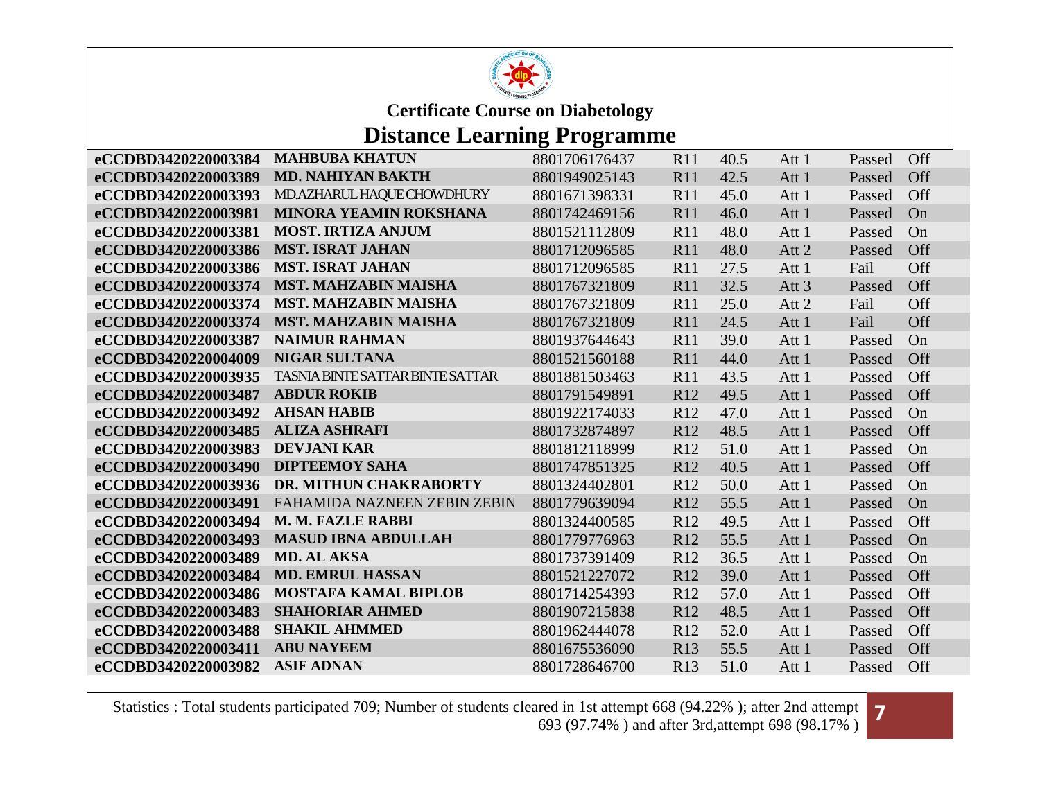

### **Distance Learning Programme**

| <b>MAHBUBA KHATUN</b>         | 8801706176437                                                                                                                                                                                                                                                                                                                                                                                                                                                                                                                         | R11                                                                                                                                                   | 40.5                                                                                                             | Att 1                                                                                | Passed                  | <b>Off</b> |
|-------------------------------|---------------------------------------------------------------------------------------------------------------------------------------------------------------------------------------------------------------------------------------------------------------------------------------------------------------------------------------------------------------------------------------------------------------------------------------------------------------------------------------------------------------------------------------|-------------------------------------------------------------------------------------------------------------------------------------------------------|------------------------------------------------------------------------------------------------------------------|--------------------------------------------------------------------------------------|-------------------------|------------|
| <b>MD. NAHIYAN BAKTH</b>      | 8801949025143                                                                                                                                                                                                                                                                                                                                                                                                                                                                                                                         | R11                                                                                                                                                   | 42.5                                                                                                             | Att 1                                                                                | Passed                  | Off        |
| MD.AZHARUL HAQUE CHOWDHURY    | 8801671398331                                                                                                                                                                                                                                                                                                                                                                                                                                                                                                                         | R11                                                                                                                                                   | 45.0                                                                                                             | Att 1                                                                                | Passed                  | Off        |
| <b>MINORA YEAMIN ROKSHANA</b> | 8801742469156                                                                                                                                                                                                                                                                                                                                                                                                                                                                                                                         | <b>R11</b>                                                                                                                                            | 46.0                                                                                                             | Att 1                                                                                | Passed                  | On         |
| <b>MOST. IRTIZA ANJUM</b>     | 8801521112809                                                                                                                                                                                                                                                                                                                                                                                                                                                                                                                         | R11                                                                                                                                                   | 48.0                                                                                                             | Att 1                                                                                | Passed                  | On         |
| <b>MST. ISRAT JAHAN</b>       | 8801712096585                                                                                                                                                                                                                                                                                                                                                                                                                                                                                                                         | R11                                                                                                                                                   | 48.0                                                                                                             | Att 2                                                                                | Passed                  | Off        |
|                               | 8801712096585                                                                                                                                                                                                                                                                                                                                                                                                                                                                                                                         | R11                                                                                                                                                   | 27.5                                                                                                             | Att 1                                                                                | Fail                    | Off        |
| <b>MST. MAHZABIN MAISHA</b>   | 8801767321809                                                                                                                                                                                                                                                                                                                                                                                                                                                                                                                         | R11                                                                                                                                                   | 32.5                                                                                                             | Att <sub>3</sub>                                                                     | Passed                  | Off        |
|                               | 8801767321809                                                                                                                                                                                                                                                                                                                                                                                                                                                                                                                         | R11                                                                                                                                                   | 25.0                                                                                                             | Att 2                                                                                | Fail                    | Off        |
| <b>MST. MAHZABIN MAISHA</b>   | 8801767321809                                                                                                                                                                                                                                                                                                                                                                                                                                                                                                                         | <b>R11</b>                                                                                                                                            | 24.5                                                                                                             | Att 1                                                                                | Fail                    | Off        |
|                               |                                                                                                                                                                                                                                                                                                                                                                                                                                                                                                                                       | R11                                                                                                                                                   | 39.0                                                                                                             | Att 1                                                                                | Passed                  | On         |
|                               | 8801521560188                                                                                                                                                                                                                                                                                                                                                                                                                                                                                                                         | R11                                                                                                                                                   | 44.0                                                                                                             | Att 1                                                                                | Passed                  | Off        |
|                               | 8801881503463                                                                                                                                                                                                                                                                                                                                                                                                                                                                                                                         | R11                                                                                                                                                   |                                                                                                                  | Att 1                                                                                | Passed                  | Off        |
|                               | 8801791549891                                                                                                                                                                                                                                                                                                                                                                                                                                                                                                                         | R <sub>12</sub>                                                                                                                                       | 49.5                                                                                                             | Att 1                                                                                | Passed                  | Off        |
|                               |                                                                                                                                                                                                                                                                                                                                                                                                                                                                                                                                       |                                                                                                                                                       |                                                                                                                  |                                                                                      | Passed                  | On         |
|                               | 8801732874897                                                                                                                                                                                                                                                                                                                                                                                                                                                                                                                         | R <sub>12</sub>                                                                                                                                       | 48.5                                                                                                             | Att 1                                                                                | Passed                  | Off        |
|                               |                                                                                                                                                                                                                                                                                                                                                                                                                                                                                                                                       | R12                                                                                                                                                   |                                                                                                                  | Att 1                                                                                | Passed                  | On         |
|                               | 8801747851325                                                                                                                                                                                                                                                                                                                                                                                                                                                                                                                         | R <sub>12</sub>                                                                                                                                       |                                                                                                                  | Att 1                                                                                | Passed                  | Off        |
|                               | 8801324402801                                                                                                                                                                                                                                                                                                                                                                                                                                                                                                                         |                                                                                                                                                       |                                                                                                                  | Att 1                                                                                | Passed                  | On         |
|                               |                                                                                                                                                                                                                                                                                                                                                                                                                                                                                                                                       |                                                                                                                                                       |                                                                                                                  | Att 1                                                                                | Passed                  | On         |
|                               |                                                                                                                                                                                                                                                                                                                                                                                                                                                                                                                                       |                                                                                                                                                       |                                                                                                                  |                                                                                      | Passed                  | Off        |
|                               |                                                                                                                                                                                                                                                                                                                                                                                                                                                                                                                                       |                                                                                                                                                       |                                                                                                                  | Att 1                                                                                | Passed                  | On         |
|                               |                                                                                                                                                                                                                                                                                                                                                                                                                                                                                                                                       |                                                                                                                                                       |                                                                                                                  |                                                                                      | Passed                  | On         |
|                               |                                                                                                                                                                                                                                                                                                                                                                                                                                                                                                                                       |                                                                                                                                                       |                                                                                                                  | Att 1                                                                                | Passed                  | Off        |
|                               | 8801714254393                                                                                                                                                                                                                                                                                                                                                                                                                                                                                                                         | R <sub>12</sub>                                                                                                                                       | 57.0                                                                                                             | Att 1                                                                                | Passed                  | Off        |
|                               |                                                                                                                                                                                                                                                                                                                                                                                                                                                                                                                                       |                                                                                                                                                       |                                                                                                                  | Att 1                                                                                | Passed                  | Off        |
| <b>SHAKIL AHMMED</b>          | 8801962444078                                                                                                                                                                                                                                                                                                                                                                                                                                                                                                                         | R <sub>12</sub>                                                                                                                                       | 52.0                                                                                                             | Att 1                                                                                | Passed                  | Off        |
|                               | 8801675536090                                                                                                                                                                                                                                                                                                                                                                                                                                                                                                                         | R <sub>13</sub>                                                                                                                                       | 55.5                                                                                                             | Att 1                                                                                | Passed                  | Off        |
|                               | 8801728646700                                                                                                                                                                                                                                                                                                                                                                                                                                                                                                                         | R13                                                                                                                                                   | 51.0                                                                                                             | Att 1                                                                                | Passed                  | Off        |
|                               | <b>MST. ISRAT JAHAN</b><br><b>MST. MAHZABIN MAISHA</b><br><b>NAIMUR RAHMAN</b><br><b>NIGAR SULTANA</b><br><b>TASNIA BINTE SATTAR BINTE SATTAR</b><br><b>ABDUR ROKIB</b><br><b>AHSAN HABIB</b><br><b>ALIZA ASHRAFI</b><br><b>DEVJANI KAR</b><br><b>DIPTEEMOY SAHA</b><br>DR. MITHUN CHAKRABORTY<br><b>FAHAMIDA NAZNEEN ZEBIN ZEBIN</b><br>M. M. FAZLE RABBI<br><b>MASUD IBNA ABDULLAH</b><br>MD. AL AKSA<br><b>MD. EMRUL HASSAN</b><br><b>MOSTAFA KAMAL BIPLOB</b><br><b>SHAHORIAR AHMED</b><br><b>ABU NAYEEM</b><br><b>ASIF ADNAN</b> | 8801937644643<br>8801922174033<br>8801812118999<br>8801779639094<br>8801324400585<br>8801779776963<br>8801737391409<br>8801521227072<br>8801907215838 | R <sub>12</sub><br>R12<br>R <sub>12</sub><br>R12<br>R <sub>12</sub><br>R <sub>12</sub><br>R <sub>12</sub><br>R12 | 43.5<br>47.0<br>51.0<br>40.5<br>50.0<br>55.5<br>49.5<br>55.5<br>36.5<br>39.0<br>48.5 | Att 1<br>Att 1<br>Att 1 |            |

Statistics : Total students participated 709; Number of students cleared in 1st attempt 668 (94.22%); after 2nd attempt ared in 1st attempt 668 (94.22% ); after 2nd attempt 693 (97.74%) and after 3rd,attempt 698 (98.17%)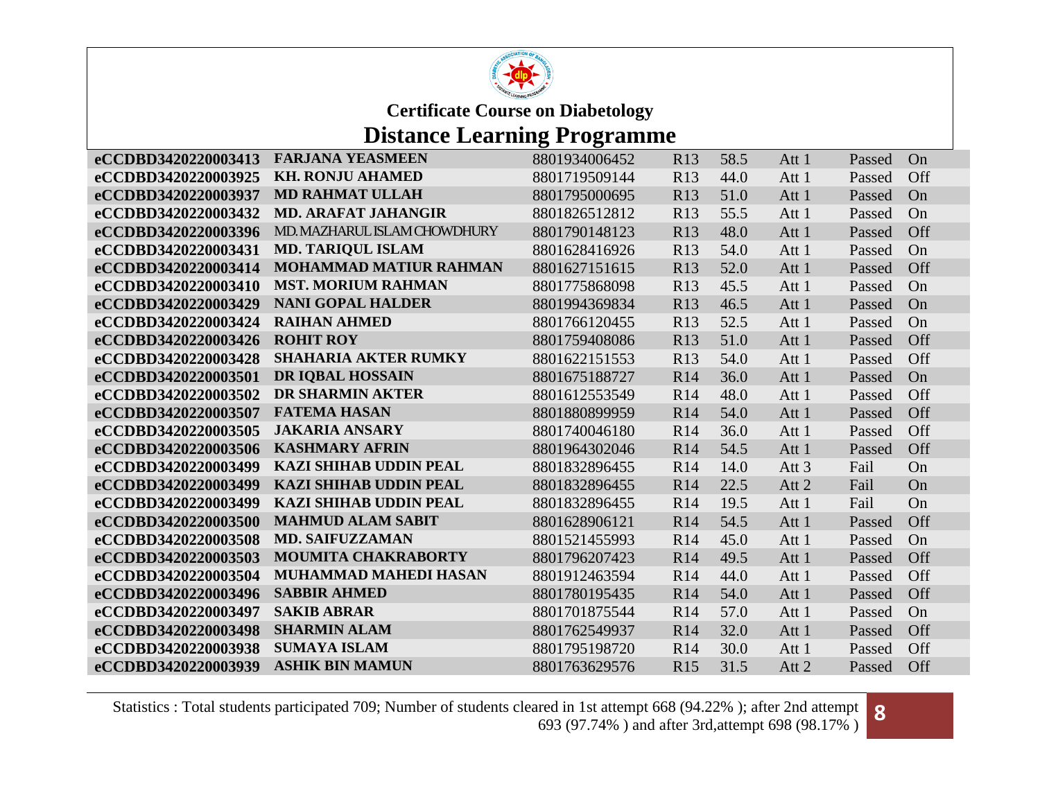

## **Distance Learning Programme**

| eCCDBD3420220003413 | <b>FARJANA YEASMEEN</b>       | 8801934006452 | R <sub>13</sub> | 58.5 | Att 1            | Passed | On  |
|---------------------|-------------------------------|---------------|-----------------|------|------------------|--------|-----|
| eCCDBD3420220003925 | <b>KH. RONJU AHAMED</b>       | 8801719509144 | R <sub>13</sub> | 44.0 | Att 1            | Passed | Off |
| eCCDBD3420220003937 | <b>MD RAHMAT ULLAH</b>        | 8801795000695 | R13             | 51.0 | Att 1            | Passed | On  |
| eCCDBD3420220003432 | <b>MD. ARAFAT JAHANGIR</b>    | 8801826512812 | R13             | 55.5 | Att 1            | Passed | On  |
| eCCDBD3420220003396 | MD. MAZHARUL ISLAM CHOWDHURY  | 8801790148123 | R13             | 48.0 | Att 1            | Passed | Off |
| eCCDBD3420220003431 | <b>MD. TARIQUL ISLAM</b>      | 8801628416926 | R <sub>13</sub> | 54.0 | Att 1            | Passed | On  |
| eCCDBD3420220003414 | <b>MOHAMMAD MATIUR RAHMAN</b> | 8801627151615 | R13             | 52.0 | Att 1            | Passed | Off |
| eCCDBD3420220003410 | <b>MST. MORIUM RAHMAN</b>     | 8801775868098 | R13             | 45.5 | Att 1            | Passed | On  |
| eCCDBD3420220003429 | <b>NANI GOPAL HALDER</b>      | 8801994369834 | R13             | 46.5 | Att 1            | Passed | On  |
| eCCDBD3420220003424 | <b>RAIHAN AHMED</b>           | 8801766120455 | R13             | 52.5 | Att 1            | Passed | On  |
| eCCDBD3420220003426 | <b>ROHIT ROY</b>              | 8801759408086 | R13             | 51.0 | Att 1            | Passed | Off |
| eCCDBD3420220003428 | <b>SHAHARIA AKTER RUMKY</b>   | 8801622151553 | R13             | 54.0 | Att 1            | Passed | Off |
| eCCDBD3420220003501 | DR IQBAL HOSSAIN              | 8801675188727 | R <sub>14</sub> | 36.0 | Att 1            | Passed | On  |
| eCCDBD3420220003502 | <b>DR SHARMIN AKTER</b>       | 8801612553549 | R <sub>14</sub> | 48.0 | Att 1            | Passed | Off |
| eCCDBD3420220003507 | <b>FATEMA HASAN</b>           | 8801880899959 | R <sub>14</sub> | 54.0 | Att 1            | Passed | Off |
| eCCDBD3420220003505 | <b>JAKARIA ANSARY</b>         | 8801740046180 | R <sub>14</sub> | 36.0 | Att 1            | Passed | Off |
| eCCDBD3420220003506 | <b>KASHMARY AFRIN</b>         | 8801964302046 | R <sub>14</sub> | 54.5 | Att 1            | Passed | Off |
| eCCDBD3420220003499 | <b>KAZI SHIHAB UDDIN PEAL</b> | 8801832896455 | R <sub>14</sub> | 14.0 | Att <sub>3</sub> | Fail   | On  |
| eCCDBD3420220003499 | <b>KAZI SHIHAB UDDIN PEAL</b> | 8801832896455 | R <sub>14</sub> | 22.5 | Att 2            | Fail   | On  |
| eCCDBD3420220003499 | <b>KAZI SHIHAB UDDIN PEAL</b> | 8801832896455 | R14             | 19.5 | Att 1            | Fail   | On  |
| eCCDBD3420220003500 | <b>MAHMUD ALAM SABIT</b>      | 8801628906121 | R <sub>14</sub> | 54.5 | Att 1            | Passed | Off |
| eCCDBD3420220003508 | <b>MD. SAIFUZZAMAN</b>        | 8801521455993 | R14             | 45.0 | Att 1            | Passed | On  |
| eCCDBD3420220003503 | <b>MOUMITA CHAKRABORTY</b>    | 8801796207423 | R <sub>14</sub> | 49.5 | Att 1            | Passed | Off |
| eCCDBD3420220003504 | <b>MUHAMMAD MAHEDI HASAN</b>  | 8801912463594 | R14             | 44.0 | Att 1            | Passed | Off |
| eCCDBD3420220003496 | <b>SABBIR AHMED</b>           | 8801780195435 | R <sub>14</sub> | 54.0 | Att 1            | Passed | Off |
| eCCDBD3420220003497 | <b>SAKIB ABRAR</b>            | 8801701875544 | R14             | 57.0 | Att 1            | Passed | On  |
| eCCDBD3420220003498 | <b>SHARMIN ALAM</b>           | 8801762549937 | R <sub>14</sub> | 32.0 | Att 1            | Passed | Off |
| eCCDBD3420220003938 | <b>SUMAYA ISLAM</b>           | 8801795198720 | R <sub>14</sub> | 30.0 | Att 1            | Passed | Off |
| eCCDBD3420220003939 | <b>ASHIK BIN MAMUN</b>        | 8801763629576 | R15             | 31.5 | Att 2            | Passed | Off |

Statistics : Total students participated 709; Number of students cleared in 1st attempt 668 (94.22%); after 2nd attempt ared in 1st attempt 668 (94.22% ); after 2nd attempt 693 (97.74%) and after 3rd,attempt 698 (98.17%)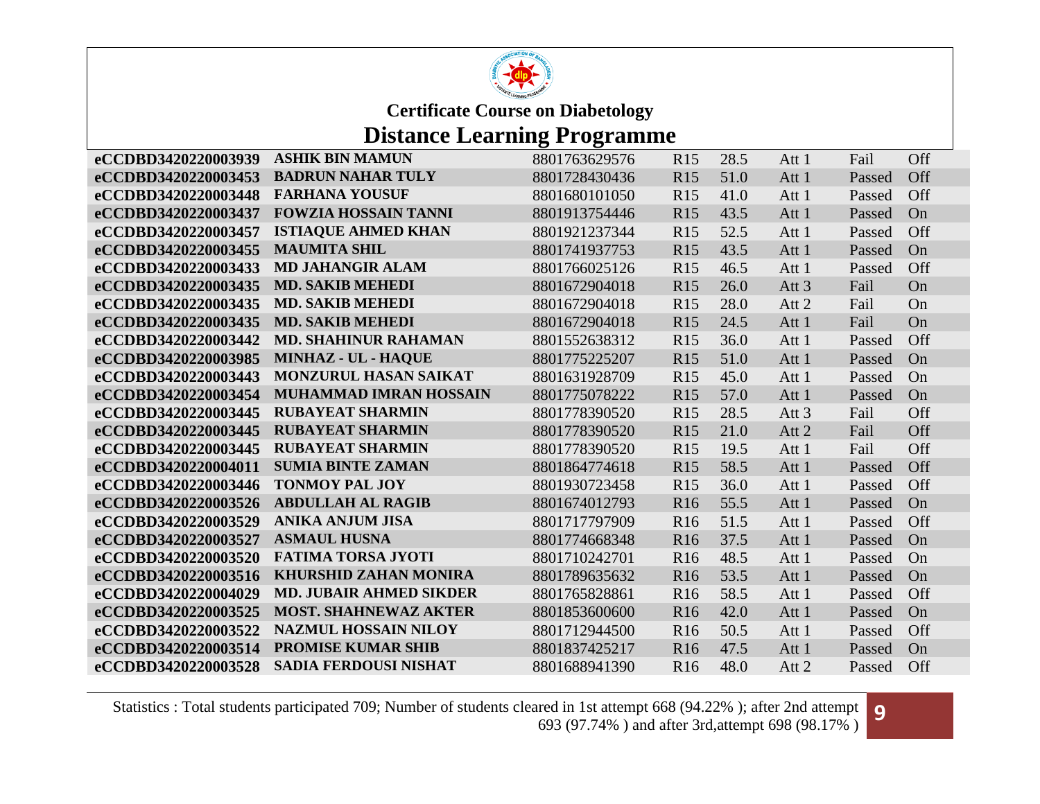

# **Distance Learning Programme**

| eCCDBD3420220003939 | <b>ASHIK BIN MAMUN</b>         | 8801763629576 | R15             | 28.5 | Att 1            | Fail   | Off |
|---------------------|--------------------------------|---------------|-----------------|------|------------------|--------|-----|
| eCCDBD3420220003453 | <b>BADRUN NAHAR TULY</b>       | 8801728430436 | R15             | 51.0 | Att 1            | Passed | Off |
| eCCDBD3420220003448 | <b>FARHANA YOUSUF</b>          | 8801680101050 | R15             | 41.0 | Att 1            | Passed | Off |
| eCCDBD3420220003437 | <b>FOWZIA HOSSAIN TANNI</b>    | 8801913754446 | R15             | 43.5 | Att 1            | Passed | On  |
| eCCDBD3420220003457 | <b>ISTIAQUE AHMED KHAN</b>     | 8801921237344 | R15             | 52.5 | Att 1            | Passed | Off |
| eCCDBD3420220003455 | <b>MAUMITA SHIL</b>            | 8801741937753 | R15             | 43.5 | Att 1            | Passed | On  |
| eCCDBD3420220003433 | <b>MD JAHANGIR ALAM</b>        | 8801766025126 | R15             | 46.5 | Att 1            | Passed | Off |
| eCCDBD3420220003435 | <b>MD. SAKIB MEHEDI</b>        | 8801672904018 | R15             | 26.0 | Att <sub>3</sub> | Fail   | On  |
| eCCDBD3420220003435 | <b>MD. SAKIB MEHEDI</b>        | 8801672904018 | R15             | 28.0 | Att 2            | Fail   | On  |
| eCCDBD3420220003435 | <b>MD. SAKIB MEHEDI</b>        | 8801672904018 | R15             | 24.5 | Att 1            | Fail   | On  |
| eCCDBD3420220003442 | <b>MD. SHAHINUR RAHAMAN</b>    | 8801552638312 | R15             | 36.0 | Att 1            | Passed | Off |
| eCCDBD3420220003985 | MINHAZ - UL - HAQUE            | 8801775225207 | R15             | 51.0 | Att 1            | Passed | On  |
| eCCDBD3420220003443 | <b>MONZURUL HASAN SAIKAT</b>   | 8801631928709 | R15             | 45.0 | Att 1            | Passed | On  |
| eCCDBD3420220003454 | <b>MUHAMMAD IMRAN HOSSAIN</b>  | 8801775078222 | R15             | 57.0 | Att 1            | Passed | On  |
| eCCDBD3420220003445 | <b>RUBAYEAT SHARMIN</b>        | 8801778390520 | R15             | 28.5 | Att <sub>3</sub> | Fail   | Off |
| eCCDBD3420220003445 | <b>RUBAYEAT SHARMIN</b>        | 8801778390520 | R15             | 21.0 | Att 2            | Fail   | Off |
| eCCDBD3420220003445 | <b>RUBAYEAT SHARMIN</b>        | 8801778390520 | R15             | 19.5 | Att 1            | Fail   | Off |
| eCCDBD3420220004011 | <b>SUMIA BINTE ZAMAN</b>       | 8801864774618 | R15             | 58.5 | Att 1            | Passed | Off |
| eCCDBD3420220003446 | <b>TONMOY PAL JOY</b>          | 8801930723458 | R15             | 36.0 | Att 1            | Passed | Off |
| eCCDBD3420220003526 | <b>ABDULLAH AL RAGIB</b>       | 8801674012793 | R <sub>16</sub> | 55.5 | Att 1            | Passed | On  |
| eCCDBD3420220003529 | <b>ANIKA ANJUM JISA</b>        | 8801717797909 | R <sub>16</sub> | 51.5 | Att 1            | Passed | Off |
| eCCDBD3420220003527 | <b>ASMAUL HUSNA</b>            | 8801774668348 | R <sub>16</sub> | 37.5 | Att 1            | Passed | On  |
| eCCDBD3420220003520 | <b>FATIMA TORSA JYOTI</b>      | 8801710242701 | <b>R16</b>      | 48.5 | Att 1            | Passed | On  |
| eCCDBD3420220003516 | <b>KHURSHID ZAHAN MONIRA</b>   | 8801789635632 | R <sub>16</sub> | 53.5 | Att 1            | Passed | On  |
| eCCDBD3420220004029 | <b>MD. JUBAIR AHMED SIKDER</b> | 8801765828861 | R <sub>16</sub> | 58.5 | Att 1            | Passed | Off |
| eCCDBD3420220003525 | <b>MOST. SHAHNEWAZ AKTER</b>   | 8801853600600 | R <sub>16</sub> | 42.0 | Att 1            | Passed | On  |
| eCCDBD3420220003522 | <b>NAZMUL HOSSAIN NILOY</b>    | 8801712944500 | R <sub>16</sub> | 50.5 | Att 1            | Passed | Off |
| eCCDBD3420220003514 | <b>PROMISE KUMAR SHIB</b>      | 8801837425217 | <b>R16</b>      | 47.5 | Att 1            | Passed | On  |
| eCCDBD3420220003528 | <b>SADIA FERDOUSI NISHAT</b>   | 8801688941390 | R <sub>16</sub> | 48.0 | Att 2            | Passed | Off |

Statistics : Total students participated 709; Number of students cleared in 1st attempt 668 (94.22% ); after 2nd attempt ared in 1st attempt 668 (94.22%); after 2nd attempt 693 (97.74%) and after 3rd,attempt 698 (98.17%)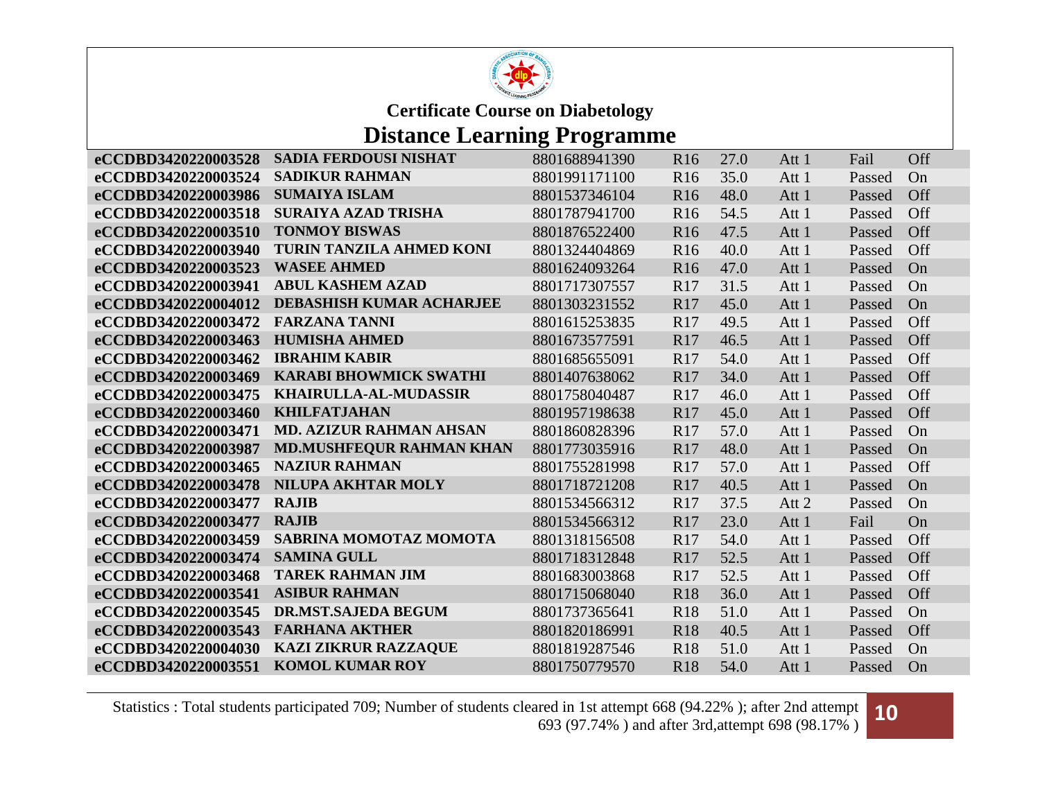

### **Distance Learning Programme**

| eCCDBD3420220003528 | <b>SADIA FERDOUSI NISHAT</b>    | 8801688941390 | R <sub>16</sub> | 27.0 | Att 1 | Fail   | Off |
|---------------------|---------------------------------|---------------|-----------------|------|-------|--------|-----|
| eCCDBD3420220003524 | <b>SADIKUR RAHMAN</b>           | 8801991171100 | R <sub>16</sub> | 35.0 | Att 1 | Passed | On  |
| eCCDBD3420220003986 | <b>SUMAIYA ISLAM</b>            | 8801537346104 | R <sub>16</sub> | 48.0 | Att 1 | Passed | Off |
| eCCDBD3420220003518 | <b>SURAIYA AZAD TRISHA</b>      | 8801787941700 | R <sub>16</sub> | 54.5 | Att 1 | Passed | Off |
| eCCDBD3420220003510 | <b>TONMOY BISWAS</b>            | 8801876522400 | R <sub>16</sub> | 47.5 | Att 1 | Passed | Off |
| eCCDBD3420220003940 | <b>TURIN TANZILA AHMED KONI</b> | 8801324404869 | R <sub>16</sub> | 40.0 | Att 1 | Passed | Off |
| eCCDBD3420220003523 | <b>WASEE AHMED</b>              | 8801624093264 | R <sub>16</sub> | 47.0 | Att 1 | Passed | On  |
| eCCDBD3420220003941 | <b>ABUL KASHEM AZAD</b>         | 8801717307557 | R <sub>17</sub> | 31.5 | Att 1 | Passed | On  |
| eCCDBD3420220004012 | <b>DEBASHISH KUMAR ACHARJEE</b> | 8801303231552 | R17             | 45.0 | Att 1 | Passed | On  |
| eCCDBD3420220003472 | <b>FARZANA TANNI</b>            | 8801615253835 | R17             | 49.5 | Att 1 | Passed | Off |
| eCCDBD3420220003463 | <b>HUMISHA AHMED</b>            | 8801673577591 | R17             | 46.5 | Att 1 | Passed | Off |
| eCCDBD3420220003462 | <b>IBRAHIM KABIR</b>            | 8801685655091 | R <sub>17</sub> | 54.0 | Att 1 | Passed | Off |
| eCCDBD3420220003469 | <b>KARABI BHOWMICK SWATHI</b>   | 8801407638062 | R17             | 34.0 | Att 1 | Passed | Off |
| eCCDBD3420220003475 | KHAIRULLA-AL-MUDASSIR           | 8801758040487 | R <sub>17</sub> | 46.0 | Att 1 | Passed | Off |
| eCCDBD3420220003460 | <b>KHILFATJAHAN</b>             | 8801957198638 | R17             | 45.0 | Att 1 | Passed | Off |
| eCCDBD3420220003471 | <b>MD. AZIZUR RAHMAN AHSAN</b>  | 8801860828396 | R17             | 57.0 | Att 1 | Passed | On  |
| eCCDBD3420220003987 | <b>MD.MUSHFEQUR RAHMAN KHAN</b> | 8801773035916 | R17             | 48.0 | Att 1 | Passed | On  |
| eCCDBD3420220003465 | <b>NAZIUR RAHMAN</b>            | 8801755281998 | R17             | 57.0 | Att 1 | Passed | Off |
| eCCDBD3420220003478 | NILUPA AKHTAR MOLY              | 8801718721208 | R17             | 40.5 | Att 1 | Passed | On  |
| eCCDBD3420220003477 | <b>RAJIB</b>                    | 8801534566312 | R17             | 37.5 | Att 2 | Passed | On  |
| eCCDBD3420220003477 | <b>RAJIB</b>                    | 8801534566312 | R17             | 23.0 | Att 1 | Fail   | On  |
| eCCDBD3420220003459 | SABRINA MOMOTAZ MOMOTA          | 8801318156508 | R17             | 54.0 | Att 1 | Passed | Off |
| eCCDBD3420220003474 | <b>SAMINA GULL</b>              | 8801718312848 | R17             | 52.5 | Att 1 | Passed | Off |
| eCCDBD3420220003468 | <b>TAREK RAHMAN JIM</b>         | 8801683003868 | R17             | 52.5 | Att 1 | Passed | Off |
| eCCDBD3420220003541 | <b>ASIBUR RAHMAN</b>            | 8801715068040 | <b>R18</b>      | 36.0 | Att 1 | Passed | Off |
| eCCDBD3420220003545 | <b>DR.MST.SAJEDA BEGUM</b>      | 8801737365641 | <b>R18</b>      | 51.0 | Att 1 | Passed | On  |
| eCCDBD3420220003543 | <b>FARHANA AKTHER</b>           | 8801820186991 | <b>R18</b>      | 40.5 | Att 1 | Passed | Off |
| eCCDBD3420220004030 | <b>KAZI ZIKRUR RAZZAQUE</b>     | 8801819287546 | <b>R18</b>      | 51.0 | Att 1 | Passed | On  |
| eCCDBD3420220003551 | <b>KOMOL KUMAR ROY</b>          | 8801750779570 | <b>R18</b>      | 54.0 | Att 1 | Passed | On  |

Statistics : Total students participated 709; Number of students cleared in 1st attempt 668 (94.22% ); after 2nd attempt ared in 1st attempt 668 (94.22%); after 2nd attempt **10**<br>693 (97.74%) and after 3rd,attempt 698 (98.17%)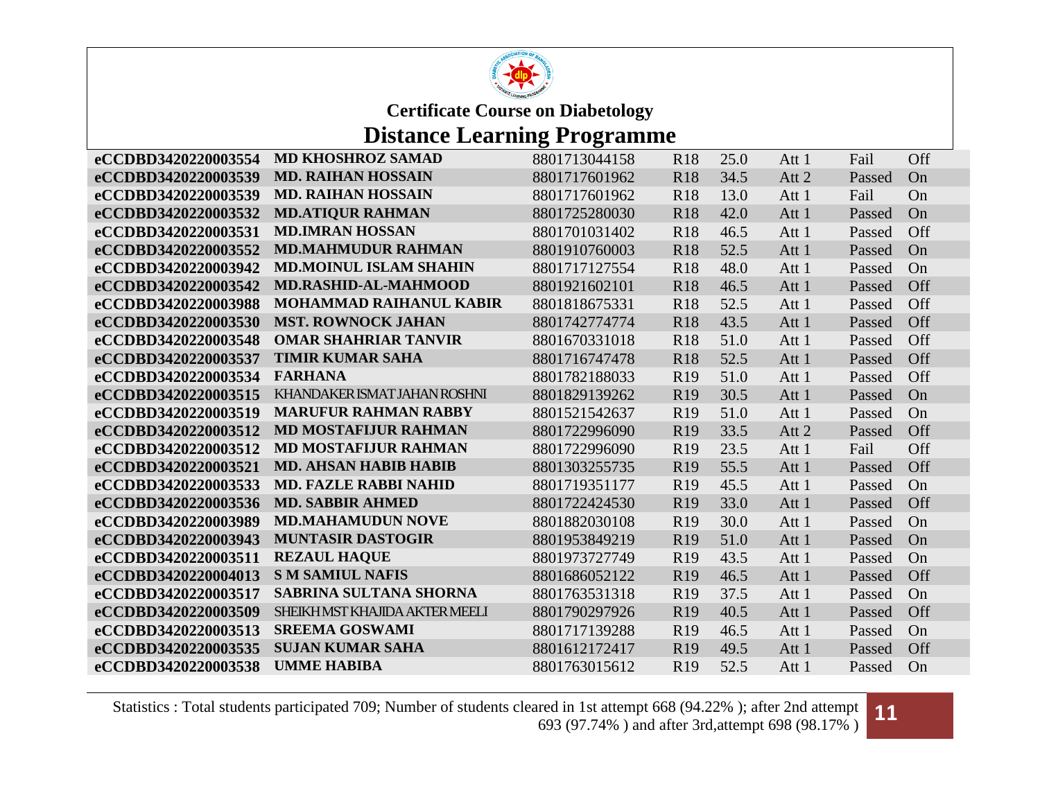

### **Distance Learning Programme**

| <b>MD KHOSHROZ SAMAD</b>      | 8801713044158                                                                                                                                                                                                                                                                                                                                                                                                                                                                                                | R <sub>18</sub>                                                                                                     | 25.0                                                                                                           | Att 1                                                                        | Fail   | Off |
|-------------------------------|--------------------------------------------------------------------------------------------------------------------------------------------------------------------------------------------------------------------------------------------------------------------------------------------------------------------------------------------------------------------------------------------------------------------------------------------------------------------------------------------------------------|---------------------------------------------------------------------------------------------------------------------|----------------------------------------------------------------------------------------------------------------|------------------------------------------------------------------------------|--------|-----|
| <b>MD. RAIHAN HOSSAIN</b>     | 8801717601962                                                                                                                                                                                                                                                                                                                                                                                                                                                                                                | <b>R18</b>                                                                                                          | 34.5                                                                                                           | Att 2                                                                        | Passed | On  |
| <b>MD. RAIHAN HOSSAIN</b>     | 8801717601962                                                                                                                                                                                                                                                                                                                                                                                                                                                                                                | <b>R18</b>                                                                                                          | 13.0                                                                                                           | Att 1                                                                        | Fail   | On  |
| <b>MD.ATIQUR RAHMAN</b>       | 8801725280030                                                                                                                                                                                                                                                                                                                                                                                                                                                                                                | R <sub>18</sub>                                                                                                     | 42.0                                                                                                           | Att 1                                                                        | Passed | On  |
| <b>MD.IMRAN HOSSAN</b>        | 8801701031402                                                                                                                                                                                                                                                                                                                                                                                                                                                                                                | <b>R18</b>                                                                                                          | 46.5                                                                                                           | Att 1                                                                        | Passed | Off |
| <b>MD.MAHMUDUR RAHMAN</b>     | 8801910760003                                                                                                                                                                                                                                                                                                                                                                                                                                                                                                | <b>R18</b>                                                                                                          | 52.5                                                                                                           | Att 1                                                                        | Passed | On  |
| <b>MD.MOINUL ISLAM SHAHIN</b> | 8801717127554                                                                                                                                                                                                                                                                                                                                                                                                                                                                                                | <b>R18</b>                                                                                                          | 48.0                                                                                                           | Att 1                                                                        | Passed | On  |
| <b>MD.RASHID-AL-MAHMOOD</b>   | 8801921602101                                                                                                                                                                                                                                                                                                                                                                                                                                                                                                | <b>R18</b>                                                                                                          | 46.5                                                                                                           | Att 1                                                                        | Passed | Off |
|                               | 8801818675331                                                                                                                                                                                                                                                                                                                                                                                                                                                                                                | <b>R18</b>                                                                                                          | 52.5                                                                                                           | Att 1                                                                        | Passed | Off |
|                               | 8801742774774                                                                                                                                                                                                                                                                                                                                                                                                                                                                                                | <b>R18</b>                                                                                                          | 43.5                                                                                                           | Att 1                                                                        | Passed | Off |
| <b>OMAR SHAHRIAR TANVIR</b>   | 8801670331018                                                                                                                                                                                                                                                                                                                                                                                                                                                                                                | <b>R18</b>                                                                                                          | 51.0                                                                                                           | Att 1                                                                        | Passed | Off |
|                               | 8801716747478                                                                                                                                                                                                                                                                                                                                                                                                                                                                                                | <b>R18</b>                                                                                                          | 52.5                                                                                                           | Att 1                                                                        | Passed | Off |
|                               | 8801782188033                                                                                                                                                                                                                                                                                                                                                                                                                                                                                                | R <sub>19</sub>                                                                                                     | 51.0                                                                                                           | Att 1                                                                        | Passed | Off |
|                               | 8801829139262                                                                                                                                                                                                                                                                                                                                                                                                                                                                                                | R <sub>19</sub>                                                                                                     |                                                                                                                | Att 1                                                                        | Passed | On  |
|                               |                                                                                                                                                                                                                                                                                                                                                                                                                                                                                                              |                                                                                                                     |                                                                                                                | Att 1                                                                        | Passed | On  |
|                               | 8801722996090                                                                                                                                                                                                                                                                                                                                                                                                                                                                                                | R <sub>19</sub>                                                                                                     |                                                                                                                | Att 2                                                                        | Passed | Off |
|                               | 8801722996090                                                                                                                                                                                                                                                                                                                                                                                                                                                                                                | R19                                                                                                                 | 23.5                                                                                                           | Att 1                                                                        | Fail   | Off |
|                               | 8801303255735                                                                                                                                                                                                                                                                                                                                                                                                                                                                                                |                                                                                                                     |                                                                                                                | Att 1                                                                        | Passed | Off |
|                               | 8801719351177                                                                                                                                                                                                                                                                                                                                                                                                                                                                                                | R <sub>19</sub>                                                                                                     | 45.5                                                                                                           | Att 1                                                                        | Passed | On  |
|                               |                                                                                                                                                                                                                                                                                                                                                                                                                                                                                                              | R <sub>19</sub>                                                                                                     |                                                                                                                | Att 1                                                                        | Passed | Off |
|                               |                                                                                                                                                                                                                                                                                                                                                                                                                                                                                                              |                                                                                                                     |                                                                                                                | Att 1                                                                        | Passed | On  |
|                               |                                                                                                                                                                                                                                                                                                                                                                                                                                                                                                              | R <sub>19</sub>                                                                                                     |                                                                                                                | Att 1                                                                        | Passed | On  |
|                               |                                                                                                                                                                                                                                                                                                                                                                                                                                                                                                              |                                                                                                                     |                                                                                                                |                                                                              | Passed | On  |
|                               |                                                                                                                                                                                                                                                                                                                                                                                                                                                                                                              |                                                                                                                     |                                                                                                                | Att 1                                                                        | Passed | Off |
|                               |                                                                                                                                                                                                                                                                                                                                                                                                                                                                                                              |                                                                                                                     |                                                                                                                | Att 1                                                                        | Passed | On  |
|                               | 8801790297926                                                                                                                                                                                                                                                                                                                                                                                                                                                                                                | R <sub>19</sub>                                                                                                     | 40.5                                                                                                           | Att 1                                                                        | Passed | Off |
| <b>SREEMA GOSWAMI</b>         | 8801717139288                                                                                                                                                                                                                                                                                                                                                                                                                                                                                                | R <sub>19</sub>                                                                                                     | 46.5                                                                                                           | Att 1                                                                        | Passed | On  |
| <b>SUJAN KUMAR SAHA</b>       | 8801612172417                                                                                                                                                                                                                                                                                                                                                                                                                                                                                                | R <sub>19</sub>                                                                                                     | 49.5                                                                                                           | Att 1                                                                        | Passed | Off |
| <b>UMME HABIBA</b>            | 8801763015612                                                                                                                                                                                                                                                                                                                                                                                                                                                                                                | R <sub>19</sub>                                                                                                     | 52.5                                                                                                           | Att 1                                                                        | Passed | On  |
|                               | <b>MOHAMMAD RAIHANUL KABIR</b><br><b>MST. ROWNOCK JAHAN</b><br><b>TIMIR KUMAR SAHA</b><br><b>FARHANA</b><br>KHANDAKER ISMAT JAHAN ROSHNI<br><b>MARUFUR RAHMAN RABBY</b><br><b>MD MOSTAFIJUR RAHMAN</b><br><b>MD MOSTAFIJUR RAHMAN</b><br><b>MD. AHSAN HABIB HABIB</b><br><b>MD. FAZLE RABBI NAHID</b><br><b>MD. SABBIR AHMED</b><br><b>MD.MAHAMUDUN NOVE</b><br><b>MUNTASIR DASTOGIR</b><br><b>REZAUL HAQUE</b><br><b>S M SAMIUL NAFIS</b><br><b>SABRINA SULTANA SHORNA</b><br>SHEIKHMST KHAJIDA AKTER MEELI | 8801521542637<br>8801722424530<br>8801882030108<br>8801953849219<br>8801973727749<br>8801686052122<br>8801763531318 | R <sub>19</sub><br>R <sub>19</sub><br>R <sub>19</sub><br>R <sub>19</sub><br>R <sub>19</sub><br>R <sub>19</sub> | 30.5<br>51.0<br>33.5<br>55.5<br>33.0<br>30.0<br>51.0<br>43.5<br>46.5<br>37.5 | Att 1  |     |

Statistics : Total students participated 709; Number of students cleared in 1st attempt 668 (94.22% ); after 2nd attempt ared in 1st attempt 668 (94.22%); after 2nd attempt **11**<br>693 (97.74%) and after 3rd,attempt 698 (98.17%)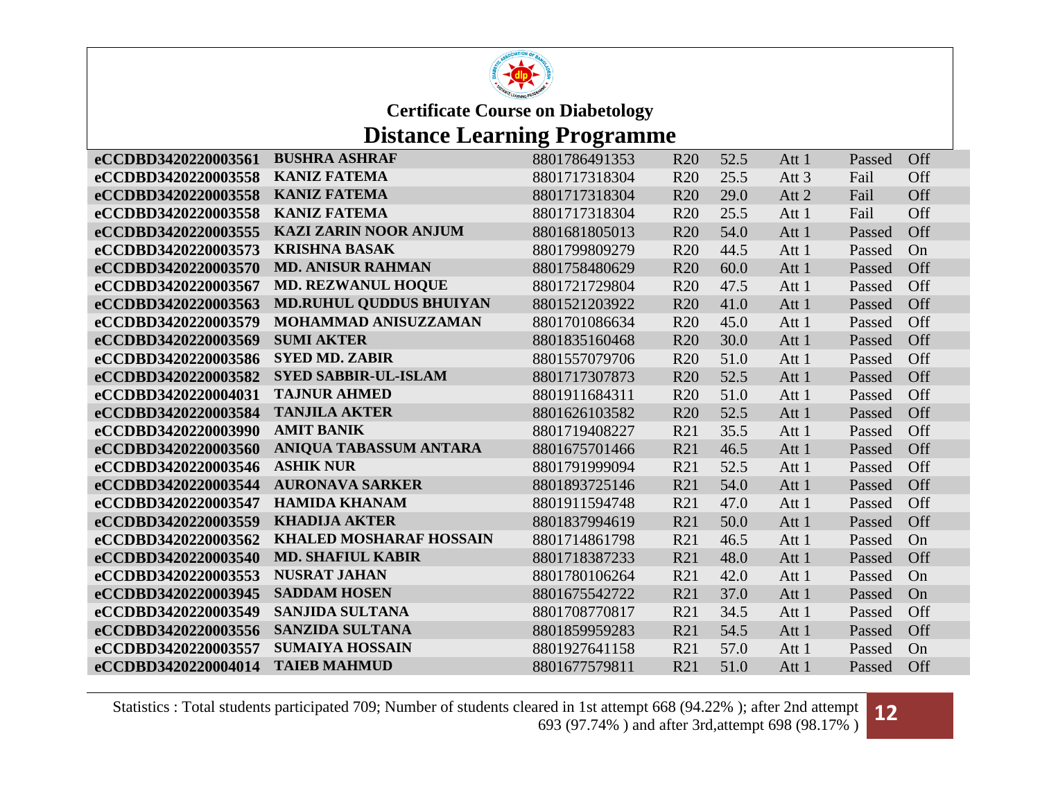

## **Distance Learning Programme**

| eCCDBD3420220003561 | <b>BUSHRA ASHRAF</b>           | 8801786491353 | R <sub>20</sub> | 52.5 | Att 1            | Passed | Off |
|---------------------|--------------------------------|---------------|-----------------|------|------------------|--------|-----|
| eCCDBD3420220003558 | <b>KANIZ FATEMA</b>            | 8801717318304 | <b>R20</b>      | 25.5 | Att <sub>3</sub> | Fail   | Off |
| eCCDBD3420220003558 | <b>KANIZ FATEMA</b>            | 8801717318304 | R <sub>20</sub> | 29.0 | Att 2            | Fail   | Off |
| eCCDBD3420220003558 | <b>KANIZ FATEMA</b>            | 8801717318304 | R20             | 25.5 | Att 1            | Fail   | Off |
| eCCDBD3420220003555 | <b>KAZI ZARIN NOOR ANJUM</b>   | 8801681805013 | <b>R20</b>      | 54.0 | Att 1            | Passed | Off |
| eCCDBD3420220003573 | <b>KRISHNA BASAK</b>           | 8801799809279 | <b>R20</b>      | 44.5 | Att 1            | Passed | On  |
| eCCDBD3420220003570 | <b>MD. ANISUR RAHMAN</b>       | 8801758480629 | <b>R20</b>      | 60.0 | Att 1            | Passed | Off |
| eCCDBD3420220003567 | <b>MD. REZWANUL HOQUE</b>      | 8801721729804 | <b>R20</b>      | 47.5 | Att 1            | Passed | Off |
| eCCDBD3420220003563 | <b>MD.RUHUL QUDDUS BHUIYAN</b> | 8801521203922 | <b>R20</b>      | 41.0 | Att 1            | Passed | Off |
| eCCDBD3420220003579 | <b>MOHAMMAD ANISUZZAMAN</b>    | 8801701086634 | <b>R20</b>      | 45.0 | Att 1            | Passed | Off |
| eCCDBD3420220003569 | <b>SUMI AKTER</b>              | 8801835160468 | R <sub>20</sub> | 30.0 | Att 1            | Passed | Off |
| eCCDBD3420220003586 | <b>SYED MD. ZABIR</b>          | 8801557079706 | <b>R20</b>      | 51.0 | Att 1            | Passed | Off |
| eCCDBD3420220003582 | <b>SYED SABBIR-UL-ISLAM</b>    | 8801717307873 | <b>R20</b>      | 52.5 | Att 1            | Passed | Off |
| eCCDBD3420220004031 | <b>TAJNUR AHMED</b>            | 8801911684311 | <b>R20</b>      | 51.0 | Att 1            | Passed | Off |
| eCCDBD3420220003584 | <b>TANJILA AKTER</b>           | 8801626103582 | R <sub>20</sub> | 52.5 | Att 1            | Passed | Off |
| eCCDBD3420220003990 | <b>AMIT BANIK</b>              | 8801719408227 | R21             | 35.5 | Att 1            | Passed | Off |
| eCCDBD3420220003560 | ANIQUA TABASSUM ANTARA         | 8801675701466 | R21             | 46.5 | Att 1            | Passed | Off |
| eCCDBD3420220003546 | <b>ASHIK NUR</b>               | 8801791999094 | R21             | 52.5 | Att 1            | Passed | Off |
| eCCDBD3420220003544 | <b>AURONAVA SARKER</b>         | 8801893725146 | R21             | 54.0 | Att 1            | Passed | Off |
| eCCDBD3420220003547 | <b>HAMIDA KHANAM</b>           | 8801911594748 | R21             | 47.0 | Att 1            | Passed | Off |
| eCCDBD3420220003559 | <b>KHADIJA AKTER</b>           | 8801837994619 | R21             | 50.0 | Att 1            | Passed | Off |
| eCCDBD3420220003562 | <b>KHALED MOSHARAF HOSSAIN</b> | 8801714861798 | R21             | 46.5 | Att 1            | Passed | On  |
| eCCDBD3420220003540 | <b>MD. SHAFIUL KABIR</b>       | 8801718387233 | R21             | 48.0 | Att 1            | Passed | Off |
| eCCDBD3420220003553 | <b>NUSRAT JAHAN</b>            | 8801780106264 | R21             | 42.0 | Att 1            | Passed | On  |
| eCCDBD3420220003945 | <b>SADDAM HOSEN</b>            | 8801675542722 | R21             | 37.0 | Att 1            | Passed | On  |
| eCCDBD3420220003549 | <b>SANJIDA SULTANA</b>         | 8801708770817 | R21             | 34.5 | Att 1            | Passed | Off |
| eCCDBD3420220003556 | <b>SANZIDA SULTANA</b>         | 8801859959283 | R21             | 54.5 | Att 1            | Passed | Off |
| eCCDBD3420220003557 | <b>SUMAIYA HOSSAIN</b>         | 8801927641158 | R21             | 57.0 | Att 1            | Passed | On  |
| eCCDBD3420220004014 | <b>TAIEB MAHMUD</b>            | 8801677579811 | R21             | 51.0 | Att 1            | Passed | Off |

Statistics : Total students participated 709; Number of students cleared in 1st attempt 668 (94.22% ); after 2nd attempt ared in 1st attempt 668 (94.22%); after 2nd attempt **12**<br>693 (97.74%) and after 3rd,attempt 698 (98.17%)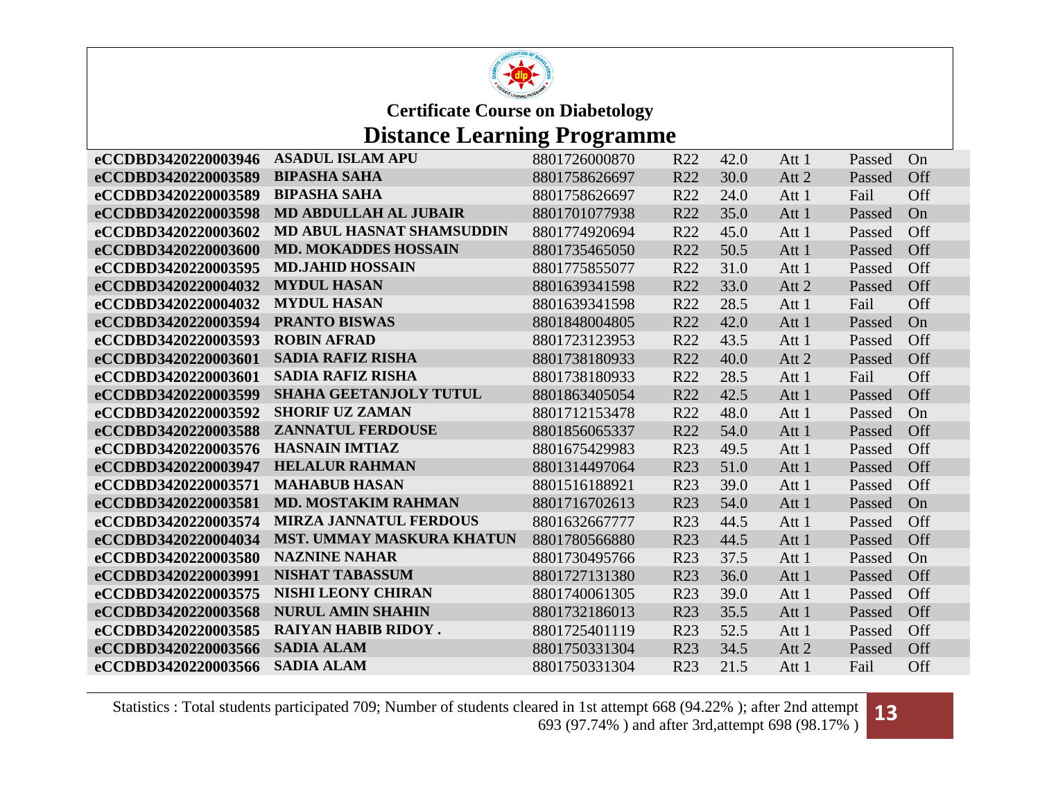

## **Distance Learning Programme**

| eCCDBD3420220003946 | <b>ASADUL ISLAM APU</b>          | 8801726000870 | R22             | 42.0 | Att 1 | Passed | On  |
|---------------------|----------------------------------|---------------|-----------------|------|-------|--------|-----|
| eCCDBD3420220003589 | <b>BIPASHA SAHA</b>              | 8801758626697 | R22             | 30.0 | Att 2 | Passed | Off |
| eCCDBD3420220003589 | <b>BIPASHA SAHA</b>              | 8801758626697 | R <sub>22</sub> | 24.0 | Att 1 | Fail   | Off |
| eCCDBD3420220003598 | MD ABDULLAH AL JUBAIR            | 8801701077938 | R <sub>22</sub> | 35.0 | Att 1 | Passed | On  |
| eCCDBD3420220003602 | <b>MD ABUL HASNAT SHAMSUDDIN</b> | 8801774920694 | R22             | 45.0 | Att 1 | Passed | Off |
| eCCDBD3420220003600 | <b>MD. MOKADDES HOSSAIN</b>      | 8801735465050 | R22             | 50.5 | Att 1 | Passed | Off |
| eCCDBD3420220003595 | <b>MD.JAHID HOSSAIN</b>          | 8801775855077 | R22             | 31.0 | Att 1 | Passed | Off |
| eCCDBD3420220004032 | <b>MYDUL HASAN</b>               | 8801639341598 | R22             | 33.0 | Att 2 | Passed | Off |
| eCCDBD3420220004032 | <b>MYDUL HASAN</b>               | 8801639341598 | R22             | 28.5 | Att 1 | Fail   | Off |
| eCCDBD3420220003594 | <b>PRANTO BISWAS</b>             | 8801848004805 | R22             | 42.0 | Att 1 | Passed | On  |
| eCCDBD3420220003593 | <b>ROBIN AFRAD</b>               | 8801723123953 | R22             | 43.5 | Att 1 | Passed | Off |
| eCCDBD3420220003601 | <b>SADIA RAFIZ RISHA</b>         | 8801738180933 | R22             | 40.0 | Att 2 | Passed | Off |
| eCCDBD3420220003601 | <b>SADIA RAFIZ RISHA</b>         | 8801738180933 | R <sub>22</sub> | 28.5 | Att 1 | Fail   | Off |
| eCCDBD3420220003599 | SHAHA GEETANJOLY TUTUL           | 8801863405054 | R22             | 42.5 | Att 1 | Passed | Off |
| eCCDBD3420220003592 | <b>SHORIF UZ ZAMAN</b>           | 8801712153478 | R22             | 48.0 | Att 1 | Passed | On  |
| eCCDBD3420220003588 | <b>ZANNATUL FERDOUSE</b>         | 8801856065337 | R22             | 54.0 | Att 1 | Passed | Off |
| eCCDBD3420220003576 | <b>HASNAIN IMTIAZ</b>            | 8801675429983 | R <sub>23</sub> | 49.5 | Att 1 | Passed | Off |
| eCCDBD3420220003947 | <b>HELALUR RAHMAN</b>            | 8801314497064 | R <sub>23</sub> | 51.0 | Att 1 | Passed | Off |
| eCCDBD3420220003571 | <b>MAHABUB HASAN</b>             | 8801516188921 | R <sub>23</sub> | 39.0 | Att 1 | Passed | Off |
| eCCDBD3420220003581 | <b>MD. MOSTAKIM RAHMAN</b>       | 8801716702613 | R <sub>23</sub> | 54.0 | Att 1 | Passed | On  |
| eCCDBD3420220003574 | <b>MIRZA JANNATUL FERDOUS</b>    | 8801632667777 | R23             | 44.5 | Att 1 | Passed | Off |
| eCCDBD3420220004034 | <b>MST. UMMAY MASKURA KHATUN</b> | 8801780566880 | R23             | 44.5 | Att 1 | Passed | Off |
| eCCDBD3420220003580 | <b>NAZNINE NAHAR</b>             | 8801730495766 | R <sub>23</sub> | 37.5 | Att 1 | Passed | On  |
| eCCDBD3420220003991 | <b>NISHAT TABASSUM</b>           | 8801727131380 | R <sub>23</sub> | 36.0 | Att 1 | Passed | Off |
| eCCDBD3420220003575 | <b>NISHI LEONY CHIRAN</b>        | 8801740061305 | R23             | 39.0 | Att 1 | Passed | Off |
| eCCDBD3420220003568 | <b>NURUL AMIN SHAHIN</b>         | 8801732186013 | R <sub>23</sub> | 35.5 | Att 1 | Passed | Off |
| eCCDBD3420220003585 | <b>RAIYAN HABIB RIDOY.</b>       | 8801725401119 | R23             | 52.5 | Att 1 | Passed | Off |
| eCCDBD3420220003566 | <b>SADIA ALAM</b>                | 8801750331304 | R23             | 34.5 | Att 2 | Passed | Off |
| eCCDBD3420220003566 | <b>SADIA ALAM</b>                | 8801750331304 | R23             | 21.5 | Att 1 | Fail   | Off |

Statistics : Total students participated 709; Number of students cleared in 1st attempt 668 (94.22% ); after 2nd attempt ared in 1st attempt 668 (94.22%); after 2nd attempt **13**<br>693 (97.74%) and after 3rd,attempt 698 (98.17%)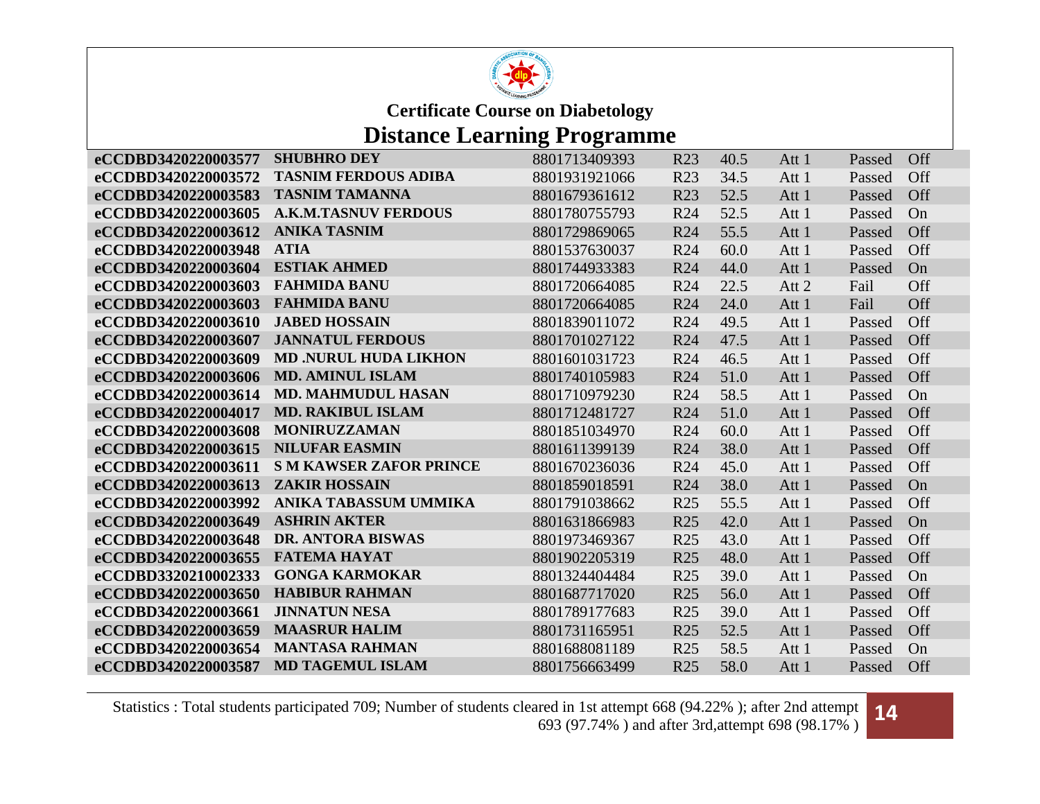

# **Distance Learning Programme**

| eCCDBD3420220003577 | <b>SHUBHRO DEY</b>             | 8801713409393 | R23             | 40.5 | Att 1 | Passed | Off |
|---------------------|--------------------------------|---------------|-----------------|------|-------|--------|-----|
| eCCDBD3420220003572 | <b>TASNIM FERDOUS ADIBA</b>    | 8801931921066 | R23             | 34.5 | Att 1 | Passed | Off |
| eCCDBD3420220003583 | <b>TASNIM TAMANNA</b>          | 8801679361612 | R <sub>23</sub> | 52.5 | Att 1 | Passed | Off |
| eCCDBD3420220003605 | <b>A.K.M.TASNUV FERDOUS</b>    | 8801780755793 | R <sub>24</sub> | 52.5 | Att 1 | Passed | On  |
| eCCDBD3420220003612 | <b>ANIKA TASNIM</b>            | 8801729869065 | R <sub>24</sub> | 55.5 | Att 1 | Passed | Off |
| eCCDBD3420220003948 | <b>ATIA</b>                    | 8801537630037 | R <sub>24</sub> | 60.0 | Att 1 | Passed | Off |
| eCCDBD3420220003604 | <b>ESTIAK AHMED</b>            | 8801744933383 | R <sub>24</sub> | 44.0 | Att 1 | Passed | On  |
| eCCDBD3420220003603 | <b>FAHMIDA BANU</b>            | 8801720664085 | R <sub>24</sub> | 22.5 | Att 2 | Fail   | Off |
| eCCDBD3420220003603 | <b>FAHMIDA BANU</b>            | 8801720664085 | R <sub>24</sub> | 24.0 | Att 1 | Fail   | Off |
| eCCDBD3420220003610 | <b>JABED HOSSAIN</b>           | 8801839011072 | R <sub>24</sub> | 49.5 | Att 1 | Passed | Off |
| eCCDBD3420220003607 | <b>JANNATUL FERDOUS</b>        | 8801701027122 | R <sub>24</sub> | 47.5 | Att 1 | Passed | Off |
| eCCDBD3420220003609 | <b>MD .NURUL HUDA LIKHON</b>   | 8801601031723 | R <sub>24</sub> | 46.5 | Att 1 | Passed | Off |
| eCCDBD3420220003606 | <b>MD. AMINUL ISLAM</b>        | 8801740105983 | R <sub>24</sub> | 51.0 | Att 1 | Passed | Off |
| eCCDBD3420220003614 | <b>MD. MAHMUDUL HASAN</b>      | 8801710979230 | R <sub>24</sub> | 58.5 | Att 1 | Passed | On  |
| eCCDBD3420220004017 | <b>MD. RAKIBUL ISLAM</b>       | 8801712481727 | R <sub>24</sub> | 51.0 | Att 1 | Passed | Off |
| eCCDBD3420220003608 | <b>MONIRUZZAMAN</b>            | 8801851034970 | R <sub>24</sub> | 60.0 | Att 1 | Passed | Off |
| eCCDBD3420220003615 | <b>NILUFAR EASMIN</b>          | 8801611399139 | R <sub>24</sub> | 38.0 | Att 1 | Passed | Off |
| eCCDBD3420220003611 | <b>S M KAWSER ZAFOR PRINCE</b> | 8801670236036 | R <sub>24</sub> | 45.0 | Att 1 | Passed | Off |
| eCCDBD3420220003613 | <b>ZAKIR HOSSAIN</b>           | 8801859018591 | R <sub>24</sub> | 38.0 | Att 1 | Passed | On  |
| eCCDBD3420220003992 | <b>ANIKA TABASSUM UMMIKA</b>   | 8801791038662 | R <sub>25</sub> | 55.5 | Att 1 | Passed | Off |
| eCCDBD3420220003649 | <b>ASHRIN AKTER</b>            | 8801631866983 | R <sub>25</sub> | 42.0 | Att 1 | Passed | On  |
| eCCDBD3420220003648 | <b>DR. ANTORA BISWAS</b>       | 8801973469367 | R <sub>25</sub> | 43.0 | Att 1 | Passed | Off |
| eCCDBD3420220003655 | <b>FATEMA HAYAT</b>            | 8801902205319 | R <sub>25</sub> | 48.0 | Att 1 | Passed | Off |
| eCCDBD3320210002333 | <b>GONGA KARMOKAR</b>          | 8801324404484 | R <sub>25</sub> | 39.0 | Att 1 | Passed | On  |
| eCCDBD3420220003650 | <b>HABIBUR RAHMAN</b>          | 8801687717020 | R <sub>25</sub> | 56.0 | Att 1 | Passed | Off |
| eCCDBD3420220003661 | <b>JINNATUN NESA</b>           | 8801789177683 | R <sub>25</sub> | 39.0 | Att 1 | Passed | Off |
| eCCDBD3420220003659 | <b>MAASRUR HALIM</b>           | 8801731165951 | R <sub>25</sub> | 52.5 | Att 1 | Passed | Off |
| eCCDBD3420220003654 | <b>MANTASA RAHMAN</b>          | 8801688081189 | R <sub>25</sub> | 58.5 | Att 1 | Passed | On  |
| eCCDBD3420220003587 | <b>MD TAGEMUL ISLAM</b>        | 8801756663499 | R <sub>25</sub> | 58.0 | Att 1 | Passed | Off |

Statistics : Total students participated 709; Number of students cleared in 1st attempt 668 (94.22% ); after 2nd attempt ared in 1st attempt 668 (94.22%); after 2nd attempt **14**<br>693 (97.74%) and after 3rd,attempt 698 (98.17%)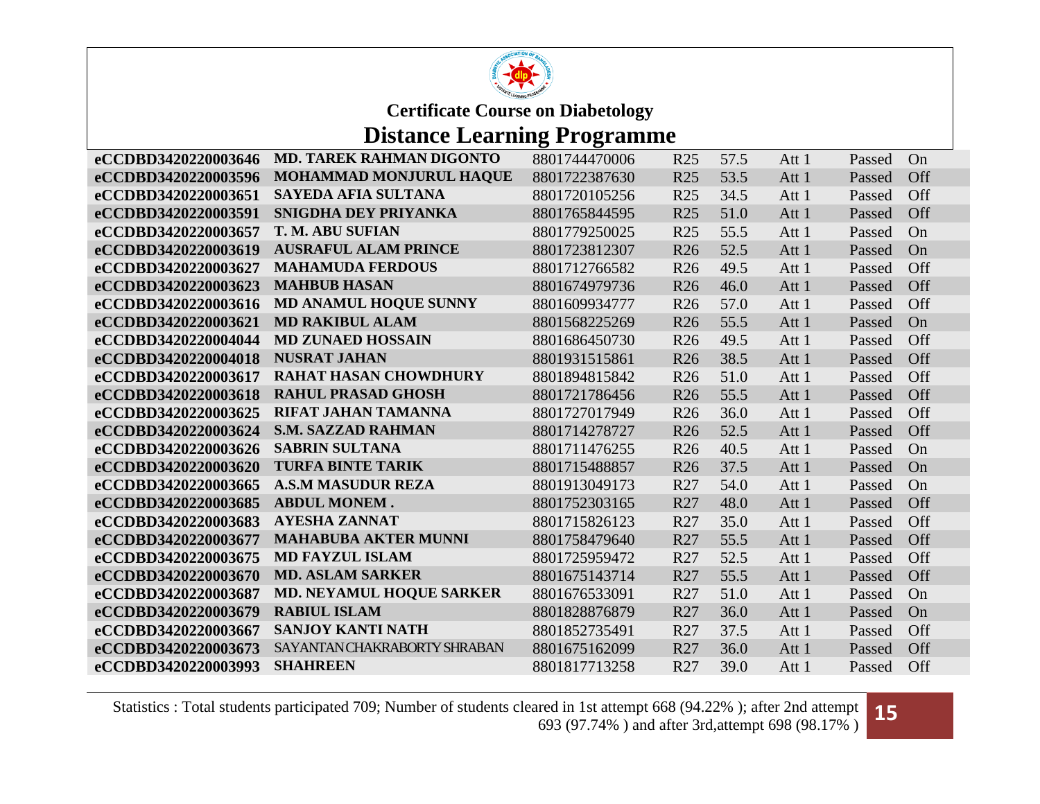

# **Distance Learning Programme**

| eCCDBD3420220003646 | <b>MD. TAREK RAHMAN DIGONTO</b> | 8801744470006 | R <sub>25</sub> | 57.5 | Att 1 | Passed | On  |
|---------------------|---------------------------------|---------------|-----------------|------|-------|--------|-----|
| eCCDBD3420220003596 | MOHAMMAD MONJURUL HAQUE         | 8801722387630 | R <sub>25</sub> | 53.5 | Att 1 | Passed | Off |
| eCCDBD3420220003651 | SAYEDA AFIA SULTANA             | 8801720105256 | R <sub>25</sub> | 34.5 | Att 1 | Passed | Off |
| eCCDBD3420220003591 | SNIGDHA DEY PRIYANKA            | 8801765844595 | R <sub>25</sub> | 51.0 | Att 1 | Passed | Off |
| eCCDBD3420220003657 | <b>T. M. ABU SUFIAN</b>         | 8801779250025 | R <sub>25</sub> | 55.5 | Att 1 | Passed | On  |
| eCCDBD3420220003619 | <b>AUSRAFUL ALAM PRINCE</b>     | 8801723812307 | R <sub>26</sub> | 52.5 | Att 1 | Passed | On  |
| eCCDBD3420220003627 | <b>MAHAMUDA FERDOUS</b>         | 8801712766582 | R <sub>26</sub> | 49.5 | Att 1 | Passed | Off |
| eCCDBD3420220003623 | <b>MAHBUB HASAN</b>             | 8801674979736 | R <sub>26</sub> | 46.0 | Att 1 | Passed | Off |
| eCCDBD3420220003616 | <b>MD ANAMUL HOQUE SUNNY</b>    | 8801609934777 | R <sub>26</sub> | 57.0 | Att 1 | Passed | Off |
| eCCDBD3420220003621 | <b>MD RAKIBUL ALAM</b>          | 8801568225269 | R <sub>26</sub> | 55.5 | Att 1 | Passed | On  |
| eCCDBD3420220004044 | <b>MD ZUNAED HOSSAIN</b>        | 8801686450730 | R <sub>26</sub> | 49.5 | Att 1 | Passed | Off |
| eCCDBD3420220004018 | <b>NUSRAT JAHAN</b>             | 8801931515861 | R <sub>26</sub> | 38.5 | Att 1 | Passed | Off |
| eCCDBD3420220003617 | <b>RAHAT HASAN CHOWDHURY</b>    | 8801894815842 | R <sub>26</sub> | 51.0 | Att 1 | Passed | Off |
| eCCDBD3420220003618 | <b>RAHUL PRASAD GHOSH</b>       | 8801721786456 | R <sub>26</sub> | 55.5 | Att 1 | Passed | Off |
| eCCDBD3420220003625 | <b>RIFAT JAHAN TAMANNA</b>      | 8801727017949 | R <sub>26</sub> | 36.0 | Att 1 | Passed | Off |
| eCCDBD3420220003624 | <b>S.M. SAZZAD RAHMAN</b>       | 8801714278727 | R <sub>26</sub> | 52.5 | Att 1 | Passed | Off |
| eCCDBD3420220003626 | <b>SABRIN SULTANA</b>           | 8801711476255 | R <sub>26</sub> | 40.5 | Att 1 | Passed | On  |
| eCCDBD3420220003620 | <b>TURFA BINTE TARIK</b>        | 8801715488857 | R <sub>26</sub> | 37.5 | Att 1 | Passed | On  |
| eCCDBD3420220003665 | <b>A.S.M MASUDUR REZA</b>       | 8801913049173 | R27             | 54.0 | Att 1 | Passed | On  |
| eCCDBD3420220003685 | <b>ABDUL MONEM.</b>             | 8801752303165 | R27             | 48.0 | Att 1 | Passed | Off |
| eCCDBD3420220003683 | <b>AYESHA ZANNAT</b>            | 8801715826123 | R27             | 35.0 | Att 1 | Passed | Off |
| eCCDBD3420220003677 | <b>MAHABUBA AKTER MUNNI</b>     | 8801758479640 | R <sub>27</sub> | 55.5 | Att 1 | Passed | Off |
| eCCDBD3420220003675 | <b>MD FAYZUL ISLAM</b>          | 8801725959472 | R27             | 52.5 | Att 1 | Passed | Off |
| eCCDBD3420220003670 | <b>MD. ASLAM SARKER</b>         | 8801675143714 | R27             | 55.5 | Att 1 | Passed | Off |
| eCCDBD3420220003687 | <b>MD. NEYAMUL HOQUE SARKER</b> | 8801676533091 | R27             | 51.0 | Att 1 | Passed | On  |
| eCCDBD3420220003679 | <b>RABIUL ISLAM</b>             | 8801828876879 | R27             | 36.0 | Att 1 | Passed | On  |
| eCCDBD3420220003667 | <b>SANJOY KANTI NATH</b>        | 8801852735491 | R27             | 37.5 | Att 1 | Passed | Off |
| eCCDBD3420220003673 | SAYANTAN CHAKRABORTY SHRABAN    | 8801675162099 | R27             | 36.0 | Att 1 | Passed | Off |
| eCCDBD3420220003993 | <b>SHAHREEN</b>                 | 8801817713258 | R27             | 39.0 | Att 1 | Passed | Off |

Statistics : Total students participated 709; Number of students cleared in 1st attempt 668 (94.22% ); after 2nd attempt ared in 1st attempt 668 (94.22%); after 2nd attempt **15**<br>693 (97.74%) and after 3rd,attempt 698 (98.17%)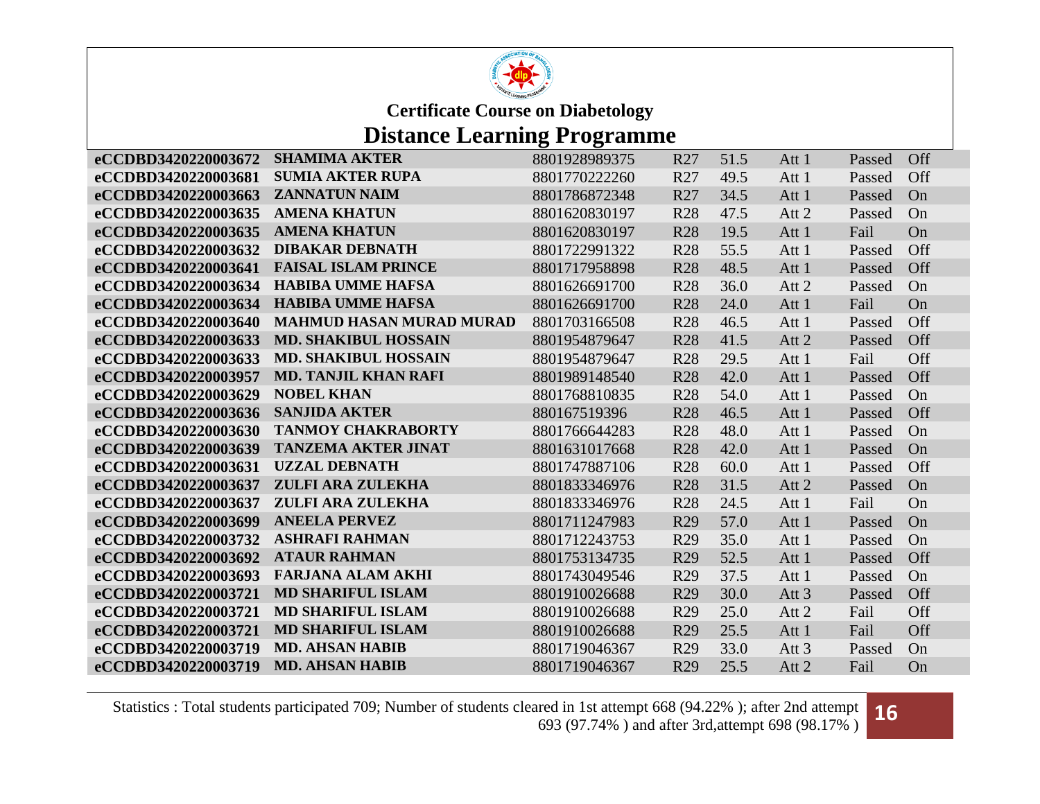

# **Distance Learning Programme**

| eCCDBD3420220003672 | <b>SHAMIMA AKTER</b>            | 8801928989375 | R <sub>27</sub> | 51.5 | Att 1            | Passed | Off |
|---------------------|---------------------------------|---------------|-----------------|------|------------------|--------|-----|
| eCCDBD3420220003681 | <b>SUMIA AKTER RUPA</b>         | 8801770222260 | R27             | 49.5 | Att 1            | Passed | Off |
| eCCDBD3420220003663 | <b>ZANNATUN NAIM</b>            | 8801786872348 | R27             | 34.5 | Att 1            | Passed | On  |
| eCCDBD3420220003635 | <b>AMENA KHATUN</b>             | 8801620830197 | <b>R28</b>      | 47.5 | Att 2            | Passed | On  |
| eCCDBD3420220003635 | <b>AMENA KHATUN</b>             | 8801620830197 | <b>R28</b>      | 19.5 | Att 1            | Fail   | On  |
| eCCDBD3420220003632 | <b>DIBAKAR DEBNATH</b>          | 8801722991322 | <b>R28</b>      | 55.5 | Att 1            | Passed | Off |
| eCCDBD3420220003641 | <b>FAISAL ISLAM PRINCE</b>      | 8801717958898 | <b>R28</b>      | 48.5 | Att 1            | Passed | Off |
| eCCDBD3420220003634 | <b>HABIBA UMME HAFSA</b>        | 8801626691700 | <b>R28</b>      | 36.0 | Att 2            | Passed | On  |
| eCCDBD3420220003634 | <b>HABIBA UMME HAFSA</b>        | 8801626691700 | <b>R28</b>      | 24.0 | Att 1            | Fail   | On  |
| eCCDBD3420220003640 | <b>MAHMUD HASAN MURAD MURAD</b> | 8801703166508 | <b>R28</b>      | 46.5 | Att 1            | Passed | Off |
| eCCDBD3420220003633 | <b>MD. SHAKIBUL HOSSAIN</b>     | 8801954879647 | <b>R28</b>      | 41.5 | Att 2            | Passed | Off |
| eCCDBD3420220003633 | <b>MD. SHAKIBUL HOSSAIN</b>     | 8801954879647 | <b>R28</b>      | 29.5 | Att 1            | Fail   | Off |
| eCCDBD3420220003957 | <b>MD. TANJIL KHAN RAFI</b>     | 8801989148540 | <b>R28</b>      | 42.0 | Att 1            | Passed | Off |
| eCCDBD3420220003629 | <b>NOBEL KHAN</b>               | 8801768810835 | <b>R28</b>      | 54.0 | Att 1            | Passed | On  |
| eCCDBD3420220003636 | <b>SANJIDA AKTER</b>            | 880167519396  | <b>R28</b>      | 46.5 | Att 1            | Passed | Off |
| eCCDBD3420220003630 | <b>TANMOY CHAKRABORTY</b>       | 8801766644283 | <b>R28</b>      | 48.0 | Att 1            | Passed | On  |
| eCCDBD3420220003639 | <b>TANZEMA AKTER JINAT</b>      | 8801631017668 | <b>R28</b>      | 42.0 | Att 1            | Passed | On  |
| eCCDBD3420220003631 | <b>UZZAL DEBNATH</b>            | 8801747887106 | <b>R28</b>      | 60.0 | Att 1            | Passed | Off |
| eCCDBD3420220003637 | ZULFI ARA ZULEKHA               | 8801833346976 | <b>R28</b>      | 31.5 | Att 2            | Passed | On  |
| eCCDBD3420220003637 | ZULFI ARA ZULEKHA               | 8801833346976 | <b>R28</b>      | 24.5 | Att 1            | Fail   | On  |
| eCCDBD3420220003699 | <b>ANEELA PERVEZ</b>            | 8801711247983 | R <sub>29</sub> | 57.0 | Att 1            | Passed | On  |
| eCCDBD3420220003732 | <b>ASHRAFI RAHMAN</b>           | 8801712243753 | R <sub>29</sub> | 35.0 | Att 1            | Passed | On  |
| eCCDBD3420220003692 | <b>ATAUR RAHMAN</b>             | 8801753134735 | R <sub>29</sub> | 52.5 | Att 1            | Passed | Off |
| eCCDBD3420220003693 | <b>FARJANA ALAM AKHI</b>        | 8801743049546 | R <sub>29</sub> | 37.5 | Att 1            | Passed | On  |
| eCCDBD3420220003721 | <b>MD SHARIFUL ISLAM</b>        | 8801910026688 | R <sub>29</sub> | 30.0 | Att <sub>3</sub> | Passed | Off |
| eCCDBD3420220003721 | <b>MD SHARIFUL ISLAM</b>        | 8801910026688 | R <sub>29</sub> | 25.0 | Att 2            | Fail   | Off |
| eCCDBD3420220003721 | <b>MD SHARIFUL ISLAM</b>        | 8801910026688 | R <sub>29</sub> | 25.5 | Att 1            | Fail   | Off |
| eCCDBD3420220003719 | <b>MD. AHSAN HABIB</b>          | 8801719046367 | R <sub>29</sub> | 33.0 | Att <sub>3</sub> | Passed | On  |
| eCCDBD3420220003719 | <b>MD. AHSAN HABIB</b>          | 8801719046367 | R <sub>29</sub> | 25.5 | Att 2            | Fail   | On  |

Statistics : Total students participated 709; Number of students cleared in 1st attempt 668 (94.22% ); after 2nd attempt ared in 1st attempt 668 (94.22%); after 2nd attempt **16**<br>693 (97.74%) and after 3rd,attempt 698 (98.17%)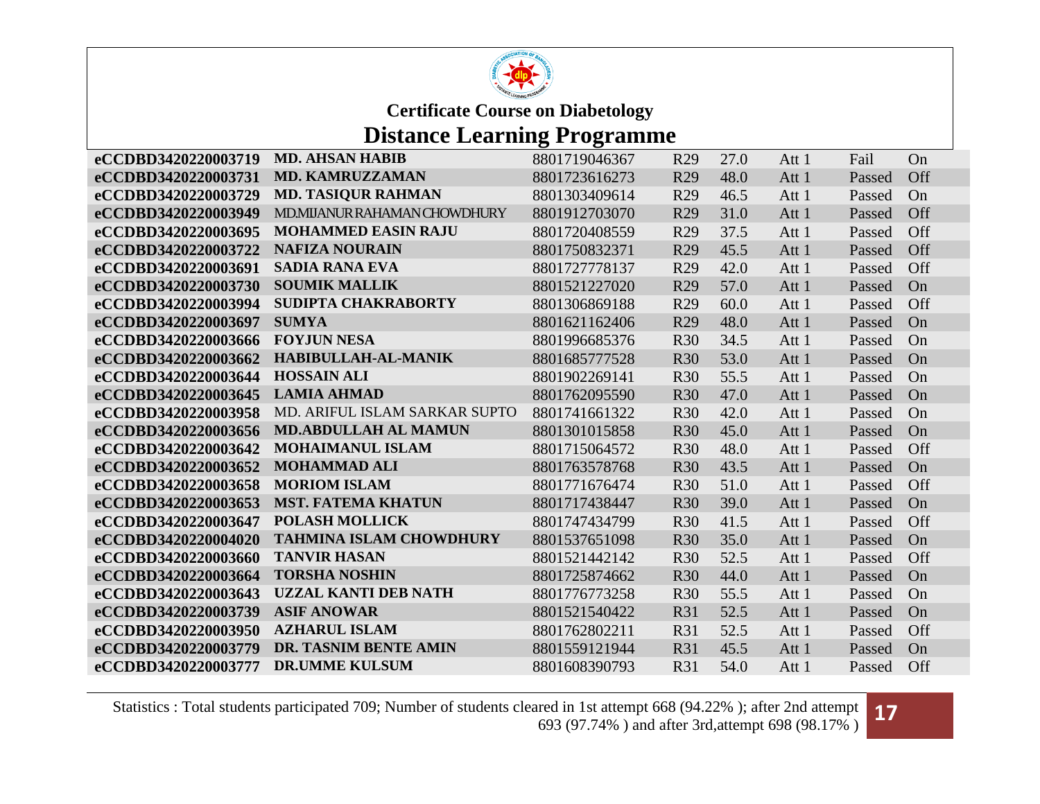

### **Distance Learning Programme**

| eCCDBD3420220003731<br><b>MD. KAMRUZZAMAN</b><br>8801723616273<br>R <sub>29</sub><br>48.0<br>Off<br>Att 1<br>Passed<br><b>MD. TASIQUR RAHMAN</b><br>eCCDBD3420220003729<br>8801303409614<br>R29<br>46.5<br>Att 1<br>On<br>Passed<br>MD.MIJANUR RAHAMAN CHOWDHURY<br>31.0<br>eCCDBD3420220003949<br>8801912703070<br>R <sub>29</sub><br>Off<br>Att 1<br>Passed<br><b>MOHAMMED EASIN RAJU</b><br>eCCDBD3420220003695<br>Off<br>8801720408559<br>R <sub>29</sub><br>37.5<br>Att 1<br>Passed<br><b>NAFIZA NOURAIN</b><br>eCCDBD3420220003722<br>45.5<br>Off<br>8801750832371<br>R <sub>29</sub><br>Att 1<br>Passed<br><b>SADIA RANA EVA</b><br>eCCDBD3420220003691<br>8801727778137<br>R <sub>29</sub><br>42.0<br>Att 1<br>Off<br>Passed<br><b>SOUMIK MALLIK</b><br>eCCDBD3420220003730<br>R <sub>29</sub><br>8801521227020<br>57.0<br>Att 1<br>Passed<br>On<br>SUDIPTA CHAKRABORTY<br>eCCDBD3420220003994<br>8801306869188<br>R <sub>29</sub><br>60.0<br>Att 1<br>Off<br>Passed<br>eCCDBD3420220003697<br><b>SUMYA</b><br>8801621162406<br>48.0<br>R <sub>29</sub><br>Att 1<br>Passed<br>On<br><b>FOYJUN NESA</b><br>eCCDBD3420220003666<br>34.5<br>8801996685376<br><b>R30</b><br>Att 1<br>Passed<br>On<br>HABIBULLAH-AL-MANIK<br>eCCDBD3420220003662<br>53.0<br>8801685777528<br><b>R30</b><br>Att 1<br>Passed<br>On<br>eCCDBD3420220003644<br><b>HOSSAIN ALI</b><br>55.5<br>8801902269141<br><b>R30</b><br>Att 1<br>On<br>Passed<br><b>LAMIA AHMAD</b><br>eCCDBD3420220003645<br>8801762095590<br><b>R30</b><br>47.0<br>Att 1<br>Passed<br>On<br>eCCDBD3420220003958<br>MD. ARIFUL ISLAM SARKAR SUPTO<br>8801741661322<br><b>R30</b><br>42.0<br>Att 1<br>Passed<br>On<br><b>MD.ABDULLAH AL MAMUN</b><br>eCCDBD3420220003656<br>8801301015858<br><b>R30</b><br>45.0<br>Att 1<br>Passed<br>On<br>eCCDBD3420220003642<br><b>MOHAIMANUL ISLAM</b><br>8801715064572<br><b>R30</b><br>48.0<br>Off<br>Att 1<br>Passed<br><b>MOHAMMAD ALI</b><br>eCCDBD3420220003652<br><b>R30</b><br>43.5<br>8801763578768<br>Att 1<br>Passed<br>On<br><b>MORIOM ISLAM</b><br>eCCDBD3420220003658<br>8801771676474<br><b>R30</b><br>51.0<br>Att 1<br>Off<br>Passed<br><b>MST. FATEMA KHATUN</b><br>eCCDBD3420220003653<br>8801717438447<br><b>R30</b><br>39.0<br>Att 1<br>On<br>Passed<br><b>POLASH MOLLICK</b><br>eCCDBD3420220003647<br>41.5<br>8801747434799<br><b>R30</b><br>Off<br>Att 1<br>Passed<br><b>TAHMINA ISLAM CHOWDHURY</b><br>35.0<br>eCCDBD3420220004020<br>8801537651098<br><b>R30</b><br>Att 1<br>Passed<br>On<br><b>TANVIR HASAN</b><br>eCCDBD3420220003660<br>8801521442142<br><b>R30</b><br>52.5<br>Off<br>Att 1<br>Passed<br><b>TORSHA NOSHIN</b><br>eCCDBD3420220003664<br>8801725874662<br><b>R30</b><br>44.0<br>Att 1<br>On<br>Passed<br><b>UZZAL KANTI DEB NATH</b><br>55.5<br>eCCDBD3420220003643<br><b>R30</b><br>8801776773258<br>Att 1<br>Passed<br>On<br>eCCDBD3420220003739<br><b>ASIF ANOWAR</b><br>8801521540422<br><b>R31</b><br>52.5<br>Att 1<br>Passed<br>On<br><b>AZHARUL ISLAM</b><br>eCCDBD3420220003950<br>52.5<br>8801762802211<br><b>R31</b><br>Att 1<br>Off<br>Passed<br>DR. TASNIM BENTE AMIN<br>eCCDBD3420220003779<br>8801559121944<br><b>R31</b><br>45.5<br>Passed<br>Att 1<br>On<br><b>DR.UMME KULSUM</b><br>eCCDBD3420220003777<br>R31<br>54.0<br>8801608390793<br>Att 1<br>Off<br>Passed | eCCDBD3420220003719 | <b>MD. AHSAN HABIB</b> | 8801719046367 | R <sub>29</sub> | 27.0 | Att 1 | Fail | On |
|----------------------------------------------------------------------------------------------------------------------------------------------------------------------------------------------------------------------------------------------------------------------------------------------------------------------------------------------------------------------------------------------------------------------------------------------------------------------------------------------------------------------------------------------------------------------------------------------------------------------------------------------------------------------------------------------------------------------------------------------------------------------------------------------------------------------------------------------------------------------------------------------------------------------------------------------------------------------------------------------------------------------------------------------------------------------------------------------------------------------------------------------------------------------------------------------------------------------------------------------------------------------------------------------------------------------------------------------------------------------------------------------------------------------------------------------------------------------------------------------------------------------------------------------------------------------------------------------------------------------------------------------------------------------------------------------------------------------------------------------------------------------------------------------------------------------------------------------------------------------------------------------------------------------------------------------------------------------------------------------------------------------------------------------------------------------------------------------------------------------------------------------------------------------------------------------------------------------------------------------------------------------------------------------------------------------------------------------------------------------------------------------------------------------------------------------------------------------------------------------------------------------------------------------------------------------------------------------------------------------------------------------------------------------------------------------------------------------------------------------------------------------------------------------------------------------------------------------------------------------------------------------------------------------------------------------------------------------------------------------------------------------------------------------------------------------------------------------------------------------------------------------------------------------------------------------------------------------------------------------------------------------------------------------------------------------|---------------------|------------------------|---------------|-----------------|------|-------|------|----|
|                                                                                                                                                                                                                                                                                                                                                                                                                                                                                                                                                                                                                                                                                                                                                                                                                                                                                                                                                                                                                                                                                                                                                                                                                                                                                                                                                                                                                                                                                                                                                                                                                                                                                                                                                                                                                                                                                                                                                                                                                                                                                                                                                                                                                                                                                                                                                                                                                                                                                                                                                                                                                                                                                                                                                                                                                                                                                                                                                                                                                                                                                                                                                                                                                                                                                                                      |                     |                        |               |                 |      |       |      |    |
|                                                                                                                                                                                                                                                                                                                                                                                                                                                                                                                                                                                                                                                                                                                                                                                                                                                                                                                                                                                                                                                                                                                                                                                                                                                                                                                                                                                                                                                                                                                                                                                                                                                                                                                                                                                                                                                                                                                                                                                                                                                                                                                                                                                                                                                                                                                                                                                                                                                                                                                                                                                                                                                                                                                                                                                                                                                                                                                                                                                                                                                                                                                                                                                                                                                                                                                      |                     |                        |               |                 |      |       |      |    |
|                                                                                                                                                                                                                                                                                                                                                                                                                                                                                                                                                                                                                                                                                                                                                                                                                                                                                                                                                                                                                                                                                                                                                                                                                                                                                                                                                                                                                                                                                                                                                                                                                                                                                                                                                                                                                                                                                                                                                                                                                                                                                                                                                                                                                                                                                                                                                                                                                                                                                                                                                                                                                                                                                                                                                                                                                                                                                                                                                                                                                                                                                                                                                                                                                                                                                                                      |                     |                        |               |                 |      |       |      |    |
|                                                                                                                                                                                                                                                                                                                                                                                                                                                                                                                                                                                                                                                                                                                                                                                                                                                                                                                                                                                                                                                                                                                                                                                                                                                                                                                                                                                                                                                                                                                                                                                                                                                                                                                                                                                                                                                                                                                                                                                                                                                                                                                                                                                                                                                                                                                                                                                                                                                                                                                                                                                                                                                                                                                                                                                                                                                                                                                                                                                                                                                                                                                                                                                                                                                                                                                      |                     |                        |               |                 |      |       |      |    |
|                                                                                                                                                                                                                                                                                                                                                                                                                                                                                                                                                                                                                                                                                                                                                                                                                                                                                                                                                                                                                                                                                                                                                                                                                                                                                                                                                                                                                                                                                                                                                                                                                                                                                                                                                                                                                                                                                                                                                                                                                                                                                                                                                                                                                                                                                                                                                                                                                                                                                                                                                                                                                                                                                                                                                                                                                                                                                                                                                                                                                                                                                                                                                                                                                                                                                                                      |                     |                        |               |                 |      |       |      |    |
|                                                                                                                                                                                                                                                                                                                                                                                                                                                                                                                                                                                                                                                                                                                                                                                                                                                                                                                                                                                                                                                                                                                                                                                                                                                                                                                                                                                                                                                                                                                                                                                                                                                                                                                                                                                                                                                                                                                                                                                                                                                                                                                                                                                                                                                                                                                                                                                                                                                                                                                                                                                                                                                                                                                                                                                                                                                                                                                                                                                                                                                                                                                                                                                                                                                                                                                      |                     |                        |               |                 |      |       |      |    |
|                                                                                                                                                                                                                                                                                                                                                                                                                                                                                                                                                                                                                                                                                                                                                                                                                                                                                                                                                                                                                                                                                                                                                                                                                                                                                                                                                                                                                                                                                                                                                                                                                                                                                                                                                                                                                                                                                                                                                                                                                                                                                                                                                                                                                                                                                                                                                                                                                                                                                                                                                                                                                                                                                                                                                                                                                                                                                                                                                                                                                                                                                                                                                                                                                                                                                                                      |                     |                        |               |                 |      |       |      |    |
|                                                                                                                                                                                                                                                                                                                                                                                                                                                                                                                                                                                                                                                                                                                                                                                                                                                                                                                                                                                                                                                                                                                                                                                                                                                                                                                                                                                                                                                                                                                                                                                                                                                                                                                                                                                                                                                                                                                                                                                                                                                                                                                                                                                                                                                                                                                                                                                                                                                                                                                                                                                                                                                                                                                                                                                                                                                                                                                                                                                                                                                                                                                                                                                                                                                                                                                      |                     |                        |               |                 |      |       |      |    |
|                                                                                                                                                                                                                                                                                                                                                                                                                                                                                                                                                                                                                                                                                                                                                                                                                                                                                                                                                                                                                                                                                                                                                                                                                                                                                                                                                                                                                                                                                                                                                                                                                                                                                                                                                                                                                                                                                                                                                                                                                                                                                                                                                                                                                                                                                                                                                                                                                                                                                                                                                                                                                                                                                                                                                                                                                                                                                                                                                                                                                                                                                                                                                                                                                                                                                                                      |                     |                        |               |                 |      |       |      |    |
|                                                                                                                                                                                                                                                                                                                                                                                                                                                                                                                                                                                                                                                                                                                                                                                                                                                                                                                                                                                                                                                                                                                                                                                                                                                                                                                                                                                                                                                                                                                                                                                                                                                                                                                                                                                                                                                                                                                                                                                                                                                                                                                                                                                                                                                                                                                                                                                                                                                                                                                                                                                                                                                                                                                                                                                                                                                                                                                                                                                                                                                                                                                                                                                                                                                                                                                      |                     |                        |               |                 |      |       |      |    |
|                                                                                                                                                                                                                                                                                                                                                                                                                                                                                                                                                                                                                                                                                                                                                                                                                                                                                                                                                                                                                                                                                                                                                                                                                                                                                                                                                                                                                                                                                                                                                                                                                                                                                                                                                                                                                                                                                                                                                                                                                                                                                                                                                                                                                                                                                                                                                                                                                                                                                                                                                                                                                                                                                                                                                                                                                                                                                                                                                                                                                                                                                                                                                                                                                                                                                                                      |                     |                        |               |                 |      |       |      |    |
|                                                                                                                                                                                                                                                                                                                                                                                                                                                                                                                                                                                                                                                                                                                                                                                                                                                                                                                                                                                                                                                                                                                                                                                                                                                                                                                                                                                                                                                                                                                                                                                                                                                                                                                                                                                                                                                                                                                                                                                                                                                                                                                                                                                                                                                                                                                                                                                                                                                                                                                                                                                                                                                                                                                                                                                                                                                                                                                                                                                                                                                                                                                                                                                                                                                                                                                      |                     |                        |               |                 |      |       |      |    |
|                                                                                                                                                                                                                                                                                                                                                                                                                                                                                                                                                                                                                                                                                                                                                                                                                                                                                                                                                                                                                                                                                                                                                                                                                                                                                                                                                                                                                                                                                                                                                                                                                                                                                                                                                                                                                                                                                                                                                                                                                                                                                                                                                                                                                                                                                                                                                                                                                                                                                                                                                                                                                                                                                                                                                                                                                                                                                                                                                                                                                                                                                                                                                                                                                                                                                                                      |                     |                        |               |                 |      |       |      |    |
|                                                                                                                                                                                                                                                                                                                                                                                                                                                                                                                                                                                                                                                                                                                                                                                                                                                                                                                                                                                                                                                                                                                                                                                                                                                                                                                                                                                                                                                                                                                                                                                                                                                                                                                                                                                                                                                                                                                                                                                                                                                                                                                                                                                                                                                                                                                                                                                                                                                                                                                                                                                                                                                                                                                                                                                                                                                                                                                                                                                                                                                                                                                                                                                                                                                                                                                      |                     |                        |               |                 |      |       |      |    |
|                                                                                                                                                                                                                                                                                                                                                                                                                                                                                                                                                                                                                                                                                                                                                                                                                                                                                                                                                                                                                                                                                                                                                                                                                                                                                                                                                                                                                                                                                                                                                                                                                                                                                                                                                                                                                                                                                                                                                                                                                                                                                                                                                                                                                                                                                                                                                                                                                                                                                                                                                                                                                                                                                                                                                                                                                                                                                                                                                                                                                                                                                                                                                                                                                                                                                                                      |                     |                        |               |                 |      |       |      |    |
|                                                                                                                                                                                                                                                                                                                                                                                                                                                                                                                                                                                                                                                                                                                                                                                                                                                                                                                                                                                                                                                                                                                                                                                                                                                                                                                                                                                                                                                                                                                                                                                                                                                                                                                                                                                                                                                                                                                                                                                                                                                                                                                                                                                                                                                                                                                                                                                                                                                                                                                                                                                                                                                                                                                                                                                                                                                                                                                                                                                                                                                                                                                                                                                                                                                                                                                      |                     |                        |               |                 |      |       |      |    |
|                                                                                                                                                                                                                                                                                                                                                                                                                                                                                                                                                                                                                                                                                                                                                                                                                                                                                                                                                                                                                                                                                                                                                                                                                                                                                                                                                                                                                                                                                                                                                                                                                                                                                                                                                                                                                                                                                                                                                                                                                                                                                                                                                                                                                                                                                                                                                                                                                                                                                                                                                                                                                                                                                                                                                                                                                                                                                                                                                                                                                                                                                                                                                                                                                                                                                                                      |                     |                        |               |                 |      |       |      |    |
|                                                                                                                                                                                                                                                                                                                                                                                                                                                                                                                                                                                                                                                                                                                                                                                                                                                                                                                                                                                                                                                                                                                                                                                                                                                                                                                                                                                                                                                                                                                                                                                                                                                                                                                                                                                                                                                                                                                                                                                                                                                                                                                                                                                                                                                                                                                                                                                                                                                                                                                                                                                                                                                                                                                                                                                                                                                                                                                                                                                                                                                                                                                                                                                                                                                                                                                      |                     |                        |               |                 |      |       |      |    |
|                                                                                                                                                                                                                                                                                                                                                                                                                                                                                                                                                                                                                                                                                                                                                                                                                                                                                                                                                                                                                                                                                                                                                                                                                                                                                                                                                                                                                                                                                                                                                                                                                                                                                                                                                                                                                                                                                                                                                                                                                                                                                                                                                                                                                                                                                                                                                                                                                                                                                                                                                                                                                                                                                                                                                                                                                                                                                                                                                                                                                                                                                                                                                                                                                                                                                                                      |                     |                        |               |                 |      |       |      |    |
|                                                                                                                                                                                                                                                                                                                                                                                                                                                                                                                                                                                                                                                                                                                                                                                                                                                                                                                                                                                                                                                                                                                                                                                                                                                                                                                                                                                                                                                                                                                                                                                                                                                                                                                                                                                                                                                                                                                                                                                                                                                                                                                                                                                                                                                                                                                                                                                                                                                                                                                                                                                                                                                                                                                                                                                                                                                                                                                                                                                                                                                                                                                                                                                                                                                                                                                      |                     |                        |               |                 |      |       |      |    |
|                                                                                                                                                                                                                                                                                                                                                                                                                                                                                                                                                                                                                                                                                                                                                                                                                                                                                                                                                                                                                                                                                                                                                                                                                                                                                                                                                                                                                                                                                                                                                                                                                                                                                                                                                                                                                                                                                                                                                                                                                                                                                                                                                                                                                                                                                                                                                                                                                                                                                                                                                                                                                                                                                                                                                                                                                                                                                                                                                                                                                                                                                                                                                                                                                                                                                                                      |                     |                        |               |                 |      |       |      |    |
|                                                                                                                                                                                                                                                                                                                                                                                                                                                                                                                                                                                                                                                                                                                                                                                                                                                                                                                                                                                                                                                                                                                                                                                                                                                                                                                                                                                                                                                                                                                                                                                                                                                                                                                                                                                                                                                                                                                                                                                                                                                                                                                                                                                                                                                                                                                                                                                                                                                                                                                                                                                                                                                                                                                                                                                                                                                                                                                                                                                                                                                                                                                                                                                                                                                                                                                      |                     |                        |               |                 |      |       |      |    |
|                                                                                                                                                                                                                                                                                                                                                                                                                                                                                                                                                                                                                                                                                                                                                                                                                                                                                                                                                                                                                                                                                                                                                                                                                                                                                                                                                                                                                                                                                                                                                                                                                                                                                                                                                                                                                                                                                                                                                                                                                                                                                                                                                                                                                                                                                                                                                                                                                                                                                                                                                                                                                                                                                                                                                                                                                                                                                                                                                                                                                                                                                                                                                                                                                                                                                                                      |                     |                        |               |                 |      |       |      |    |
|                                                                                                                                                                                                                                                                                                                                                                                                                                                                                                                                                                                                                                                                                                                                                                                                                                                                                                                                                                                                                                                                                                                                                                                                                                                                                                                                                                                                                                                                                                                                                                                                                                                                                                                                                                                                                                                                                                                                                                                                                                                                                                                                                                                                                                                                                                                                                                                                                                                                                                                                                                                                                                                                                                                                                                                                                                                                                                                                                                                                                                                                                                                                                                                                                                                                                                                      |                     |                        |               |                 |      |       |      |    |
|                                                                                                                                                                                                                                                                                                                                                                                                                                                                                                                                                                                                                                                                                                                                                                                                                                                                                                                                                                                                                                                                                                                                                                                                                                                                                                                                                                                                                                                                                                                                                                                                                                                                                                                                                                                                                                                                                                                                                                                                                                                                                                                                                                                                                                                                                                                                                                                                                                                                                                                                                                                                                                                                                                                                                                                                                                                                                                                                                                                                                                                                                                                                                                                                                                                                                                                      |                     |                        |               |                 |      |       |      |    |
|                                                                                                                                                                                                                                                                                                                                                                                                                                                                                                                                                                                                                                                                                                                                                                                                                                                                                                                                                                                                                                                                                                                                                                                                                                                                                                                                                                                                                                                                                                                                                                                                                                                                                                                                                                                                                                                                                                                                                                                                                                                                                                                                                                                                                                                                                                                                                                                                                                                                                                                                                                                                                                                                                                                                                                                                                                                                                                                                                                                                                                                                                                                                                                                                                                                                                                                      |                     |                        |               |                 |      |       |      |    |
|                                                                                                                                                                                                                                                                                                                                                                                                                                                                                                                                                                                                                                                                                                                                                                                                                                                                                                                                                                                                                                                                                                                                                                                                                                                                                                                                                                                                                                                                                                                                                                                                                                                                                                                                                                                                                                                                                                                                                                                                                                                                                                                                                                                                                                                                                                                                                                                                                                                                                                                                                                                                                                                                                                                                                                                                                                                                                                                                                                                                                                                                                                                                                                                                                                                                                                                      |                     |                        |               |                 |      |       |      |    |
|                                                                                                                                                                                                                                                                                                                                                                                                                                                                                                                                                                                                                                                                                                                                                                                                                                                                                                                                                                                                                                                                                                                                                                                                                                                                                                                                                                                                                                                                                                                                                                                                                                                                                                                                                                                                                                                                                                                                                                                                                                                                                                                                                                                                                                                                                                                                                                                                                                                                                                                                                                                                                                                                                                                                                                                                                                                                                                                                                                                                                                                                                                                                                                                                                                                                                                                      |                     |                        |               |                 |      |       |      |    |

Statistics : Total students participated 709; Number of students cleared in 1st attempt 668 (94.22% ); after 2nd attempt ared in 1st attempt 668 (94.22%); after 2nd attempt **17**<br>693 (97.74%) and after 3rd,attempt 698 (98.17%)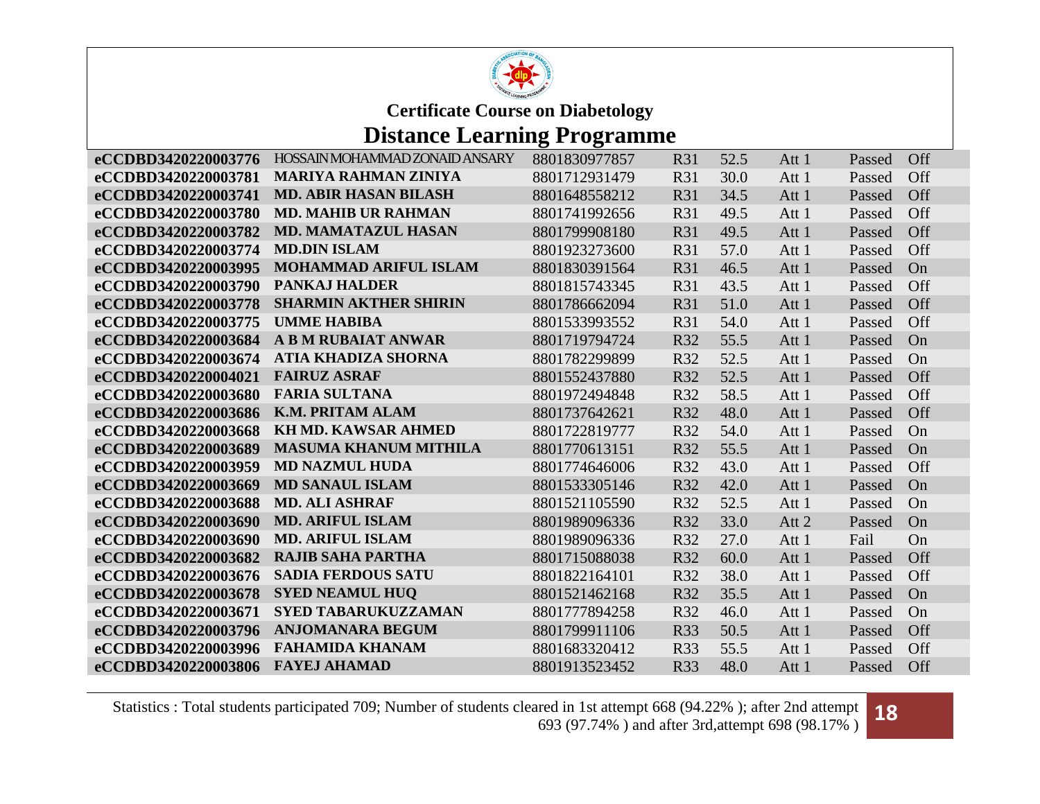

### **Distance Learning Programme**

| eCCDBD3420220003776 | HOSSAIN MOHAMMAD ZONAID ANSARY | 8801830977857 | <b>R31</b> | 52.5 | Att 1 | Passed | <b>Off</b> |
|---------------------|--------------------------------|---------------|------------|------|-------|--------|------------|
| eCCDBD3420220003781 | <b>MARIYA RAHMAN ZINIYA</b>    | 8801712931479 | <b>R31</b> | 30.0 | Att 1 | Passed | Off        |
| eCCDBD3420220003741 | <b>MD. ABIR HASAN BILASH</b>   | 8801648558212 | <b>R31</b> | 34.5 | Att 1 | Passed | Off        |
| eCCDBD3420220003780 | <b>MD. MAHIB UR RAHMAN</b>     | 8801741992656 | <b>R31</b> | 49.5 | Att 1 | Passed | Off        |
| eCCDBD3420220003782 | <b>MD. MAMATAZUL HASAN</b>     | 8801799908180 | <b>R31</b> | 49.5 | Att 1 | Passed | Off        |
| eCCDBD3420220003774 | <b>MD.DIN ISLAM</b>            | 8801923273600 | <b>R31</b> | 57.0 | Att 1 | Passed | Off        |
| eCCDBD3420220003995 | <b>MOHAMMAD ARIFUL ISLAM</b>   | 8801830391564 | <b>R31</b> | 46.5 | Att 1 | Passed | On         |
| eCCDBD3420220003790 | <b>PANKAJ HALDER</b>           | 8801815743345 | <b>R31</b> | 43.5 | Att 1 | Passed | Off        |
| eCCDBD3420220003778 | <b>SHARMIN AKTHER SHIRIN</b>   | 8801786662094 | <b>R31</b> | 51.0 | Att 1 | Passed | Off        |
| eCCDBD3420220003775 | <b>UMME HABIBA</b>             | 8801533993552 | <b>R31</b> | 54.0 | Att 1 | Passed | Off        |
| eCCDBD3420220003684 | <b>A B M RUBAIAT ANWAR</b>     | 8801719794724 | R32        | 55.5 | Att 1 | Passed | On         |
| eCCDBD3420220003674 | <b>ATIA KHADIZA SHORNA</b>     | 8801782299899 | R32        | 52.5 | Att 1 | Passed | On         |
| eCCDBD3420220004021 | <b>FAIRUZ ASRAF</b>            | 8801552437880 | <b>R32</b> | 52.5 | Att 1 | Passed | Off        |
| eCCDBD3420220003680 | <b>FARIA SULTANA</b>           | 8801972494848 | R32        | 58.5 | Att 1 | Passed | Off        |
| eCCDBD3420220003686 | <b>K.M. PRITAM ALAM</b>        | 8801737642621 | R32        | 48.0 | Att 1 | Passed | Off        |
| eCCDBD3420220003668 | <b>KH MD. KAWSAR AHMED</b>     | 8801722819777 | R32        | 54.0 | Att 1 | Passed | On         |
| eCCDBD3420220003689 | <b>MASUMA KHANUM MITHILA</b>   | 8801770613151 | R32        | 55.5 | Att 1 | Passed | On         |
| eCCDBD3420220003959 | <b>MD NAZMUL HUDA</b>          | 8801774646006 | R32        | 43.0 | Att 1 | Passed | Off        |
| eCCDBD3420220003669 | <b>MD SANAUL ISLAM</b>         | 8801533305146 | R32        | 42.0 | Att 1 | Passed | On         |
| eCCDBD3420220003688 | <b>MD. ALI ASHRAF</b>          | 8801521105590 | <b>R32</b> | 52.5 | Att 1 | Passed | On         |
| eCCDBD3420220003690 | <b>MD. ARIFUL ISLAM</b>        | 8801989096336 | R32        | 33.0 | Att 2 | Passed | On         |
| eCCDBD3420220003690 | <b>MD. ARIFUL ISLAM</b>        | 8801989096336 | R32        | 27.0 | Att 1 | Fail   | On         |
| eCCDBD3420220003682 | <b>RAJIB SAHA PARTHA</b>       | 8801715088038 | R32        | 60.0 | Att 1 | Passed | Off        |
| eCCDBD3420220003676 | <b>SADIA FERDOUS SATU</b>      | 8801822164101 | R32        | 38.0 | Att 1 | Passed | Off        |
| eCCDBD3420220003678 | <b>SYED NEAMUL HUQ</b>         | 8801521462168 | R32        | 35.5 | Att 1 | Passed | On         |
| eCCDBD3420220003671 | <b>SYED TABARUKUZZAMAN</b>     | 8801777894258 | R32        | 46.0 | Att 1 | Passed | On         |
| eCCDBD3420220003796 | <b>ANJOMANARA BEGUM</b>        | 8801799911106 | R33        | 50.5 | Att 1 | Passed | Off        |
| eCCDBD3420220003996 | <b>FAHAMIDA KHANAM</b>         | 8801683320412 | <b>R33</b> | 55.5 | Att 1 | Passed | Off        |
| eCCDBD3420220003806 | <b>FAYEJ AHAMAD</b>            | 8801913523452 | R33        | 48.0 | Att 1 | Passed | Off        |

Statistics : Total students participated 709; Number of students cleared in 1st attempt 668 (94.22% ); after 2nd attempt ared in 1st attempt 668 (94.22%); after 2nd attempt **18**<br>693 (97.74%) and after 3rd,attempt 698 (98.17%)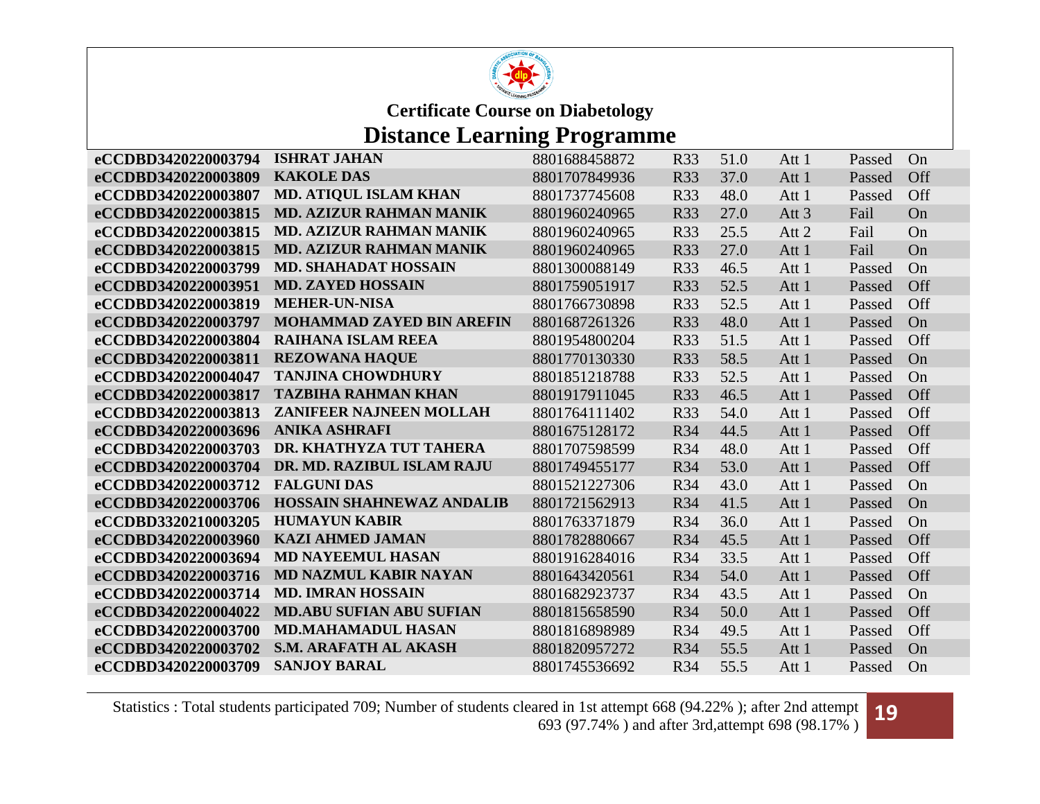

## **Distance Learning Programme**

| <b>KAKOLE DAS</b><br>eCCDBD3420220003809<br>8801707849936<br><b>R33</b><br>37.0<br>Att 1<br><b>MD. ATIQUL ISLAM KHAN</b><br>eCCDBD3420220003807<br>8801737745608<br>R33<br>48.0<br>Att 1 | Passed<br>Passed | Off |
|------------------------------------------------------------------------------------------------------------------------------------------------------------------------------------------|------------------|-----|
|                                                                                                                                                                                          |                  |     |
|                                                                                                                                                                                          |                  | Off |
| <b>MD. AZIZUR RAHMAN MANIK</b><br>27.0<br>eCCDBD3420220003815<br>8801960240965<br>R33<br>Att <sub>3</sub>                                                                                | Fail             | On  |
| <b>MD. AZIZUR RAHMAN MANIK</b><br>eCCDBD3420220003815<br><b>R33</b><br>25.5<br>Att 2<br>8801960240965                                                                                    | Fail             | On  |
| <b>MD. AZIZUR RAHMAN MANIK</b><br>27.0<br>eCCDBD3420220003815<br>8801960240965<br><b>R33</b><br>Att 1                                                                                    | Fail             | On  |
| eCCDBD3420220003799<br><b>MD. SHAHADAT HOSSAIN</b><br>R33<br>8801300088149<br>46.5<br>Att 1                                                                                              | Passed           | On  |
| eCCDBD3420220003951<br><b>MD. ZAYED HOSSAIN</b><br>8801759051917<br><b>R33</b><br>52.5<br>Att 1                                                                                          | Passed           | Off |
| <b>MEHER-UN-NISA</b><br>eCCDBD3420220003819<br>R33<br>52.5<br>8801766730898<br>Att 1                                                                                                     | Passed           | Off |
| eCCDBD3420220003797<br><b>MOHAMMAD ZAYED BIN AREFIN</b><br>8801687261326<br>R33<br>48.0<br>Att 1                                                                                         | Passed           | On  |
| <b>RAIHANA ISLAM REEA</b><br>eCCDBD3420220003804<br>8801954800204<br>R33<br>51.5<br>Att 1                                                                                                | Passed           | Off |
| <b>REZOWANA HAQUE</b><br>eCCDBD3420220003811<br>8801770130330<br><b>R33</b><br>58.5<br>Att 1                                                                                             | Passed           | On  |
| <b>TANJINA CHOWDHURY</b><br>eCCDBD3420220004047<br>8801851218788<br>R33<br>52.5<br>Att 1                                                                                                 | Passed           | On  |
| <b>TAZBIHA RAHMAN KHAN</b><br>eCCDBD3420220003817<br>8801917911045<br><b>R33</b><br>46.5<br>Att 1                                                                                        | Passed           | Off |
| <b>ZANIFEER NAJNEEN MOLLAH</b><br>eCCDBD3420220003813<br>8801764111402<br>R33<br>54.0<br>Att 1                                                                                           | Passed           | Off |
| <b>ANIKA ASHRAFI</b><br>eCCDBD3420220003696<br><b>R34</b><br>44.5<br>8801675128172<br>Att 1                                                                                              | Passed           | Off |
| eCCDBD3420220003703<br>DR. KHATHYZA TUT TAHERA<br>8801707598599<br>R34<br>48.0<br>Att 1                                                                                                  | Passed           | Off |
| DR. MD. RAZIBUL ISLAM RAJU<br>53.0<br>eCCDBD3420220003704<br>8801749455177<br>R34<br>Att 1                                                                                               | Passed           | Off |
| <b>FALGUNI DAS</b><br>eCCDBD3420220003712<br>R34<br>43.0<br>8801521227306<br>Att 1                                                                                                       | Passed           | On  |
| <b>HOSSAIN SHAHNEWAZ ANDALIB</b><br>41.5<br>eCCDBD3420220003706<br>8801721562913<br><b>R34</b><br>Att 1                                                                                  | Passed           | On  |
| <b>HUMAYUN KABIR</b><br>eCCDBD3320210003205<br><b>R34</b><br>36.0<br>8801763371879<br>Att 1                                                                                              | Passed           | On  |
| <b>KAZI AHMED JAMAN</b><br>eCCDBD3420220003960<br>45.5<br>8801782880667<br><b>R34</b><br>Att 1                                                                                           | Passed           | Off |
| <b>MD NAYEEMUL HASAN</b><br>eCCDBD3420220003694<br>R34<br>33.5<br>8801916284016<br>Att 1                                                                                                 | Passed           | Off |
| <b>MD NAZMUL KABIR NAYAN</b><br>eCCDBD3420220003716<br>8801643420561<br>R34<br>54.0<br>Att 1                                                                                             | Passed           | Off |
| <b>MD. IMRAN HOSSAIN</b><br>eCCDBD3420220003714<br>R34<br>43.5<br>8801682923737<br>Att 1                                                                                                 | Passed           | On  |
| <b>MD.ABU SUFIAN ABU SUFIAN</b><br>eCCDBD3420220004022<br>R34<br>50.0<br>8801815658590<br>Att 1                                                                                          | Passed           | Off |
| <b>MD.MAHAMADUL HASAN</b><br>eCCDBD3420220003700<br><b>R34</b><br>49.5<br>8801816898989<br>Att 1                                                                                         | Passed           | Off |
| S.M. ARAFATH AL AKASH<br>eCCDBD3420220003702<br>55.5<br>8801820957272<br><b>R34</b><br>Att 1                                                                                             | Passed           | On  |
| <b>SANJOY BARAL</b><br>R34<br>55.5<br>eCCDBD3420220003709<br>8801745536692<br>Att 1                                                                                                      | Passed           | On  |

Statistics : Total students participated 709; Number of students cleared in 1st attempt 668 (94.22% ); after 2nd attempt ared in 1st attempt 668 (94.22%); after 2nd attempt **19**<br>693 (97.74%) and after 3rd,attempt 698 (98.17%)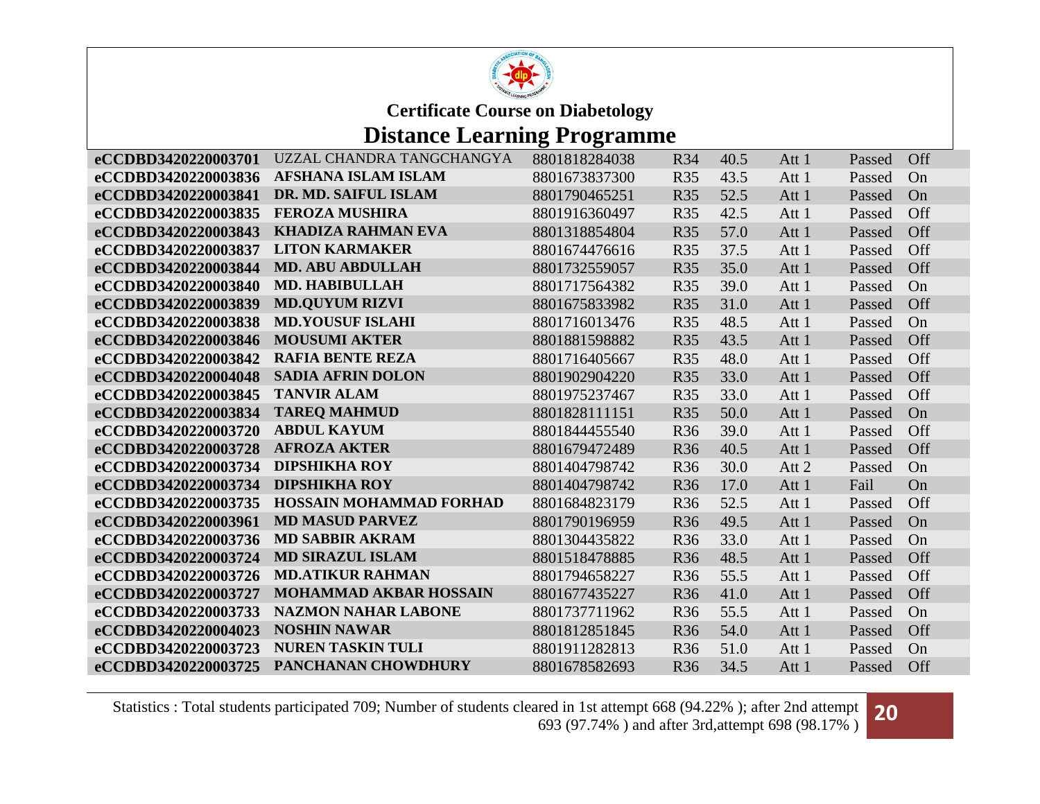

### **Distance Learning Programme**

| eCCDBD3420220003701 | UZZAL CHANDRA TANGCHANGYA      | 8801818284038 | R34        | 40.5 | Att 1 | Passed | <b>Off</b> |
|---------------------|--------------------------------|---------------|------------|------|-------|--------|------------|
| eCCDBD3420220003836 | <b>AFSHANA ISLAM ISLAM</b>     | 8801673837300 | <b>R35</b> | 43.5 | Att 1 | Passed | On         |
| eCCDBD3420220003841 | DR. MD. SAIFUL ISLAM           | 8801790465251 | <b>R35</b> | 52.5 | Att 1 | Passed | On         |
| eCCDBD3420220003835 | <b>FEROZA MUSHIRA</b>          | 8801916360497 | <b>R35</b> | 42.5 | Att 1 | Passed | Off        |
| eCCDBD3420220003843 | <b>KHADIZA RAHMAN EVA</b>      | 8801318854804 | <b>R35</b> | 57.0 | Att 1 | Passed | Off        |
| eCCDBD3420220003837 | <b>LITON KARMAKER</b>          | 8801674476616 | R35        | 37.5 | Att 1 | Passed | Off        |
| eCCDBD3420220003844 | <b>MD. ABU ABDULLAH</b>        | 8801732559057 | <b>R35</b> | 35.0 | Att 1 | Passed | Off        |
| eCCDBD3420220003840 | <b>MD. HABIBULLAH</b>          | 8801717564382 | <b>R35</b> | 39.0 | Att 1 | Passed | On         |
| eCCDBD3420220003839 | <b>MD.QUYUM RIZVI</b>          | 8801675833982 | <b>R35</b> | 31.0 | Att 1 | Passed | Off        |
| eCCDBD3420220003838 | <b>MD.YOUSUF ISLAHI</b>        | 8801716013476 | <b>R35</b> | 48.5 | Att 1 | Passed | On         |
| eCCDBD3420220003846 | <b>MOUSUMI AKTER</b>           | 8801881598882 | <b>R35</b> | 43.5 | Att 1 | Passed | Off        |
| eCCDBD3420220003842 | <b>RAFIA BENTE REZA</b>        | 8801716405667 | <b>R35</b> | 48.0 | Att 1 | Passed | Off        |
| eCCDBD3420220004048 | <b>SADIA AFRIN DOLON</b>       | 8801902904220 | <b>R35</b> | 33.0 | Att 1 | Passed | Off        |
| eCCDBD3420220003845 | <b>TANVIR ALAM</b>             | 8801975237467 | <b>R35</b> | 33.0 | Att 1 | Passed | Off        |
| eCCDBD3420220003834 | <b>TAREQ MAHMUD</b>            | 8801828111151 | <b>R35</b> | 50.0 | Att 1 | Passed | On         |
| eCCDBD3420220003720 | <b>ABDUL KAYUM</b>             | 8801844455540 | <b>R36</b> | 39.0 | Att 1 | Passed | Off        |
| eCCDBD3420220003728 | <b>AFROZA AKTER</b>            | 8801679472489 | R36        | 40.5 | Att 1 | Passed | Off        |
| eCCDBD3420220003734 | <b>DIPSHIKHA ROY</b>           | 8801404798742 | <b>R36</b> | 30.0 | Att 2 | Passed | On         |
| eCCDBD3420220003734 | <b>DIPSHIKHA ROY</b>           | 8801404798742 | <b>R36</b> | 17.0 | Att 1 | Fail   | On         |
| eCCDBD3420220003735 | <b>HOSSAIN MOHAMMAD FORHAD</b> | 8801684823179 | <b>R36</b> | 52.5 | Att 1 | Passed | Off        |
| eCCDBD3420220003961 | <b>MD MASUD PARVEZ</b>         | 8801790196959 | <b>R36</b> | 49.5 | Att 1 | Passed | On         |
| eCCDBD3420220003736 | <b>MD SABBIR AKRAM</b>         | 8801304435822 | <b>R36</b> | 33.0 | Att 1 | Passed | On         |
| eCCDBD3420220003724 | <b>MD SIRAZUL ISLAM</b>        | 8801518478885 | <b>R36</b> | 48.5 | Att 1 | Passed | Off        |
| eCCDBD3420220003726 | <b>MD.ATIKUR RAHMAN</b>        | 8801794658227 | <b>R36</b> | 55.5 | Att 1 | Passed | Off        |
| eCCDBD3420220003727 | <b>MOHAMMAD AKBAR HOSSAIN</b>  | 8801677435227 | <b>R36</b> | 41.0 | Att 1 | Passed | Off        |
| eCCDBD3420220003733 | <b>NAZMON NAHAR LABONE</b>     | 8801737711962 | <b>R36</b> | 55.5 | Att 1 | Passed | On         |
| eCCDBD3420220004023 | <b>NOSHIN NAWAR</b>            | 8801812851845 | <b>R36</b> | 54.0 | Att 1 | Passed | Off        |
| eCCDBD3420220003723 | <b>NUREN TASKIN TULI</b>       | 8801911282813 | <b>R36</b> | 51.0 | Att 1 | Passed | On         |
| eCCDBD3420220003725 | PANCHANAN CHOWDHURY            | 8801678582693 | <b>R36</b> | 34.5 | Att 1 | Passed | Off        |

Statistics : Total students participated 709; Number of students cleared in 1st attempt 668 (94.22% ); after 2nd attempt ared in 1st attempt 668 (94.22%); after 2nd attempt **20**<br>693 (97.74%) and after 3rd,attempt 698 (98.17%)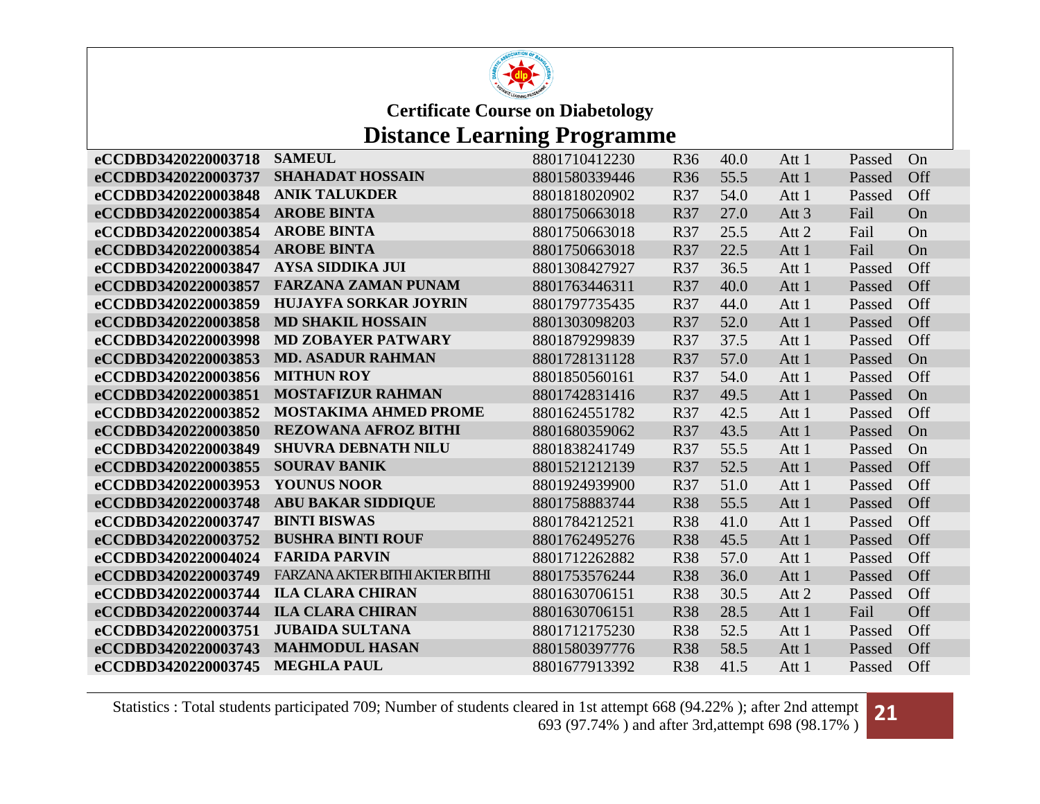

# **Distance Learning Programme**

| eCCDBD3420220003718 | <b>SAMEUL</b>                   | 8801710412230 | R <sub>36</sub> | 40.0 | Att 1            | Passed | On  |
|---------------------|---------------------------------|---------------|-----------------|------|------------------|--------|-----|
| eCCDBD3420220003737 | <b>SHAHADAT HOSSAIN</b>         | 8801580339446 | <b>R36</b>      | 55.5 | Att 1            | Passed | Off |
| eCCDBD3420220003848 | <b>ANIK TALUKDER</b>            | 8801818020902 | R37             | 54.0 | Att 1            | Passed | Off |
| eCCDBD3420220003854 | <b>AROBE BINTA</b>              | 8801750663018 | R37             | 27.0 | Att <sub>3</sub> | Fail   | On  |
| eCCDBD3420220003854 | <b>AROBE BINTA</b>              | 8801750663018 | R37             | 25.5 | Att 2            | Fail   | On  |
| eCCDBD3420220003854 | <b>AROBE BINTA</b>              | 8801750663018 | <b>R37</b>      | 22.5 | Att 1            | Fail   | On  |
| eCCDBD3420220003847 | <b>AYSA SIDDIKA JUI</b>         | 8801308427927 | R37             | 36.5 | Att 1            | Passed | Off |
| eCCDBD3420220003857 | <b>FARZANA ZAMAN PUNAM</b>      | 8801763446311 | R37             | 40.0 | Att 1            | Passed | Off |
| eCCDBD3420220003859 | <b>HUJAYFA SORKAR JOYRIN</b>    | 8801797735435 | <b>R37</b>      | 44.0 | Att 1            | Passed | Off |
| eCCDBD3420220003858 | <b>MD SHAKIL HOSSAIN</b>        | 8801303098203 | R37             | 52.0 | Att 1            | Passed | Off |
| eCCDBD3420220003998 | <b>MD ZOBAYER PATWARY</b>       | 8801879299839 | <b>R37</b>      | 37.5 | Att 1            | Passed | Off |
| eCCDBD3420220003853 | <b>MD. ASADUR RAHMAN</b>        | 8801728131128 | <b>R37</b>      | 57.0 | Att 1            | Passed | On  |
| eCCDBD3420220003856 | <b>MITHUN ROY</b>               | 8801850560161 | <b>R37</b>      | 54.0 | Att 1            | Passed | Off |
| eCCDBD3420220003851 | <b>MOSTAFIZUR RAHMAN</b>        | 8801742831416 | <b>R37</b>      | 49.5 | Att 1            | Passed | On  |
| eCCDBD3420220003852 | <b>MOSTAKIMA AHMED PROME</b>    | 8801624551782 | <b>R37</b>      | 42.5 | Att 1            | Passed | Off |
| eCCDBD3420220003850 | <b>REZOWANA AFROZ BITHI</b>     | 8801680359062 | R37             | 43.5 | Att 1            | Passed | On  |
| eCCDBD3420220003849 | <b>SHUVRA DEBNATH NILU</b>      | 8801838241749 | R37             | 55.5 | Att 1            | Passed | On  |
| eCCDBD3420220003855 | <b>SOURAV BANIK</b>             | 8801521212139 | <b>R37</b>      | 52.5 | Att 1            | Passed | Off |
| eCCDBD3420220003953 | <b>YOUNUS NOOR</b>              | 8801924939900 | R37             | 51.0 | Att 1            | Passed | Off |
| eCCDBD3420220003748 | <b>ABU BAKAR SIDDIQUE</b>       | 8801758883744 | <b>R38</b>      | 55.5 | Att 1            | Passed | Off |
| eCCDBD3420220003747 | <b>BINTI BISWAS</b>             | 8801784212521 | <b>R38</b>      | 41.0 | Att 1            | Passed | Off |
| eCCDBD3420220003752 | <b>BUSHRA BINTI ROUF</b>        | 8801762495276 | <b>R38</b>      | 45.5 | Att 1            | Passed | Off |
| eCCDBD3420220004024 | <b>FARIDA PARVIN</b>            | 8801712262882 | <b>R38</b>      | 57.0 | Att 1            | Passed | Off |
| eCCDBD3420220003749 | FARZANA AKTER BITHI AKTER BITHI | 8801753576244 | <b>R38</b>      | 36.0 | Att 1            | Passed | Off |
| eCCDBD3420220003744 | <b>ILA CLARA CHIRAN</b>         | 8801630706151 | <b>R38</b>      | 30.5 | Att 2            | Passed | Off |
| eCCDBD3420220003744 | <b>ILA CLARA CHIRAN</b>         | 8801630706151 | <b>R38</b>      | 28.5 | Att 1            | Fail   | Off |
| eCCDBD3420220003751 | <b>JUBAIDA SULTANA</b>          | 8801712175230 | <b>R38</b>      | 52.5 | Att 1            | Passed | Off |
| eCCDBD3420220003743 | <b>MAHMODUL HASAN</b>           | 8801580397776 | <b>R38</b>      | 58.5 | Att 1            | Passed | Off |
| eCCDBD3420220003745 | <b>MEGHLA PAUL</b>              | 8801677913392 | <b>R38</b>      | 41.5 | Att 1            | Passed | Off |

Statistics : Total students participated 709; Number of students cleared in 1st attempt 668 (94.22% ); after 2nd attempt ared in 1st attempt 668 (94.22%); after 2nd attempt **21**<br>693 (97.74%) and after 3rd,attempt 698 (98.17%)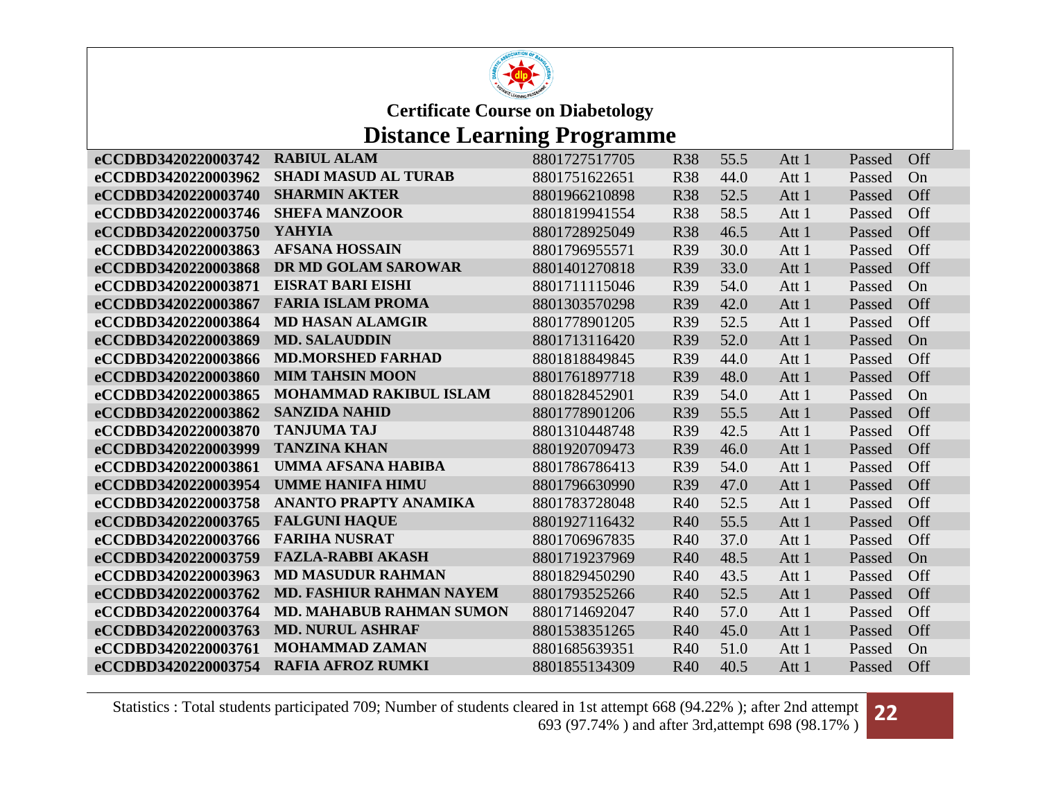

# **Distance Learning Programme**

| <b>RABIUL ALAM</b>            | 8801727517705                                                                                                                                                                         | <b>R38</b> | 55.5 | Att 1 | Passed | Off |
|-------------------------------|---------------------------------------------------------------------------------------------------------------------------------------------------------------------------------------|------------|------|-------|--------|-----|
| <b>SHADI MASUD AL TURAB</b>   | 8801751622651                                                                                                                                                                         | <b>R38</b> | 44.0 | Att 1 | Passed | On  |
| <b>SHARMIN AKTER</b>          | 8801966210898                                                                                                                                                                         | <b>R38</b> | 52.5 | Att 1 | Passed | Off |
| <b>SHEFA MANZOOR</b>          | 8801819941554                                                                                                                                                                         | <b>R38</b> | 58.5 | Att 1 | Passed | Off |
| <b>YAHYIA</b>                 | 8801728925049                                                                                                                                                                         | <b>R38</b> | 46.5 | Att 1 | Passed | Off |
| <b>AFSANA HOSSAIN</b>         | 8801796955571                                                                                                                                                                         | R39        | 30.0 | Att 1 | Passed | Off |
| DR MD GOLAM SAROWAR           | 8801401270818                                                                                                                                                                         | R39        | 33.0 | Att 1 | Passed | Off |
| <b>EISRAT BARI EISHI</b>      | 8801711115046                                                                                                                                                                         | R39        | 54.0 | Att 1 | Passed | On  |
| <b>FARIA ISLAM PROMA</b>      | 8801303570298                                                                                                                                                                         | <b>R39</b> | 42.0 | Att 1 | Passed | Off |
| <b>MD HASAN ALAMGIR</b>       | 8801778901205                                                                                                                                                                         | R39        | 52.5 | Att 1 | Passed | Off |
| <b>MD. SALAUDDIN</b>          | 8801713116420                                                                                                                                                                         | R39        | 52.0 | Att 1 | Passed | On  |
| <b>MD.MORSHED FARHAD</b>      | 8801818849845                                                                                                                                                                         | R39        | 44.0 | Att 1 | Passed | Off |
| <b>MIM TAHSIN MOON</b>        | 8801761897718                                                                                                                                                                         | R39        | 48.0 | Att 1 | Passed | Off |
| <b>MOHAMMAD RAKIBUL ISLAM</b> | 8801828452901                                                                                                                                                                         | <b>R39</b> | 54.0 | Att 1 | Passed | On  |
| <b>SANZIDA NAHID</b>          | 8801778901206                                                                                                                                                                         | <b>R39</b> | 55.5 | Att 1 | Passed | Off |
| <b>TANJUMA TAJ</b>            | 8801310448748                                                                                                                                                                         | <b>R39</b> | 42.5 | Att 1 | Passed | Off |
| <b>TANZINA KHAN</b>           | 8801920709473                                                                                                                                                                         | R39        | 46.0 | Att 1 | Passed | Off |
| <b>UMMA AFSANA HABIBA</b>     | 8801786786413                                                                                                                                                                         | R39        | 54.0 | Att 1 | Passed | Off |
|                               | 8801796630990                                                                                                                                                                         | R39        | 47.0 | Att 1 | Passed | Off |
|                               | 8801783728048                                                                                                                                                                         | <b>R40</b> |      | Att 1 | Passed | Off |
| <b>FALGUNI HAQUE</b>          | 8801927116432                                                                                                                                                                         | <b>R40</b> | 55.5 | Att 1 | Passed | Off |
| <b>FARIHA NUSRAT</b>          | 8801706967835                                                                                                                                                                         | <b>R40</b> | 37.0 | Att 1 | Passed | Off |
|                               | 8801719237969                                                                                                                                                                         | <b>R40</b> | 48.5 | Att 1 | Passed | On  |
|                               | 8801829450290                                                                                                                                                                         | <b>R40</b> | 43.5 | Att 1 | Passed | Off |
|                               | 8801793525266                                                                                                                                                                         | <b>R40</b> | 52.5 | Att 1 | Passed | Off |
|                               | 8801714692047                                                                                                                                                                         | <b>R40</b> | 57.0 | Att 1 | Passed | Off |
| <b>MD. NURUL ASHRAF</b>       | 8801538351265                                                                                                                                                                         | R40        | 45.0 | Att 1 | Passed | Off |
| <b>MOHAMMAD ZAMAN</b>         | 8801685639351                                                                                                                                                                         | <b>R40</b> | 51.0 | Att 1 | Passed | On  |
| <b>RAFIA AFROZ RUMKI</b>      | 8801855134309                                                                                                                                                                         | R40        | 40.5 | Att 1 | Passed | Off |
|                               | <b>UMME HANIFA HIMU</b><br><b>ANANTO PRAPTY ANAMIKA</b><br><b>FAZLA-RABBI AKASH</b><br><b>MD MASUDUR RAHMAN</b><br><b>MD. FASHIUR RAHMAN NAYEM</b><br><b>MD. MAHABUB RAHMAN SUMON</b> |            |      | 52.5  |        |     |

Statistics : Total students participated 709; Number of students cleared in 1st attempt 668 (94.22% ); after 2nd attempt ared in 1st attempt 668 (94.22%); after 2nd attempt **22**<br>693 (97.74%) and after 3rd,attempt 698 (98.17%)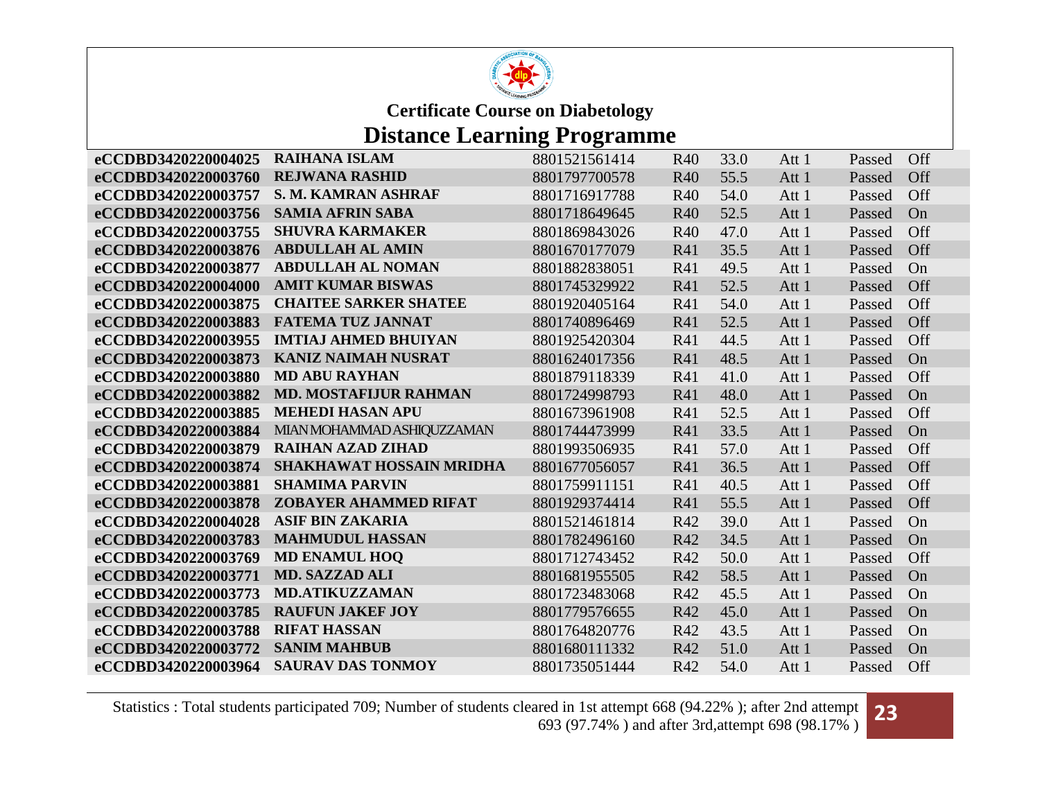

## **Distance Learning Programme**

| eCCDBD3420220004025 | <b>RAIHANA ISLAM</b>            | 8801521561414 | R40        | 33.0 | Att 1 | Passed | Off |
|---------------------|---------------------------------|---------------|------------|------|-------|--------|-----|
| eCCDBD3420220003760 | <b>REJWANA RASHID</b>           | 8801797700578 | <b>R40</b> | 55.5 | Att 1 | Passed | Off |
| eCCDBD3420220003757 | S. M. KAMRAN ASHRAF             | 8801716917788 | R40        | 54.0 | Att 1 | Passed | Off |
| eCCDBD3420220003756 | <b>SAMIA AFRIN SABA</b>         | 8801718649645 | <b>R40</b> | 52.5 | Att 1 | Passed | On  |
| eCCDBD3420220003755 | <b>SHUVRA KARMAKER</b>          | 8801869843026 | R40        | 47.0 | Att 1 | Passed | Off |
| eCCDBD3420220003876 | <b>ABDULLAH AL AMIN</b>         | 8801670177079 | R41        | 35.5 | Att 1 | Passed | Off |
| eCCDBD3420220003877 | <b>ABDULLAH AL NOMAN</b>        | 8801882838051 | R41        | 49.5 | Att 1 | Passed | On  |
| eCCDBD3420220004000 | <b>AMIT KUMAR BISWAS</b>        | 8801745329922 | R41        | 52.5 | Att 1 | Passed | Off |
| eCCDBD3420220003875 | <b>CHAITEE SARKER SHATEE</b>    | 8801920405164 | R41        | 54.0 | Att 1 | Passed | Off |
| eCCDBD3420220003883 | <b>FATEMA TUZ JANNAT</b>        | 8801740896469 | R41        | 52.5 | Att 1 | Passed | Off |
| eCCDBD3420220003955 | <b>IMTIAJ AHMED BHUIYAN</b>     | 8801925420304 | R41        | 44.5 | Att 1 | Passed | Off |
| eCCDBD3420220003873 | <b>KANIZ NAIMAH NUSRAT</b>      | 8801624017356 | R41        | 48.5 | Att 1 | Passed | On  |
| eCCDBD3420220003880 | <b>MD ABU RAYHAN</b>            | 8801879118339 | R41        | 41.0 | Att 1 | Passed | Off |
| eCCDBD3420220003882 | <b>MD. MOSTAFIJUR RAHMAN</b>    | 8801724998793 | R41        | 48.0 | Att 1 | Passed | On  |
| eCCDBD3420220003885 | <b>MEHEDI HASAN APU</b>         | 8801673961908 | R41        | 52.5 | Att 1 | Passed | Off |
| eCCDBD3420220003884 | MIAN MOHAMMAD ASHIQUZZAMAN      | 8801744473999 | <b>R41</b> | 33.5 | Att 1 | Passed | On  |
| eCCDBD3420220003879 | <b>RAIHAN AZAD ZIHAD</b>        | 8801993506935 | R41        | 57.0 | Att 1 | Passed | Off |
| eCCDBD3420220003874 | <b>SHAKHAWAT HOSSAIN MRIDHA</b> | 8801677056057 | <b>R41</b> | 36.5 | Att 1 | Passed | Off |
| eCCDBD3420220003881 | <b>SHAMIMA PARVIN</b>           | 8801759911151 | R41        | 40.5 | Att 1 | Passed | Off |
| eCCDBD3420220003878 | <b>ZOBAYER AHAMMED RIFAT</b>    | 8801929374414 | R41        | 55.5 | Att 1 | Passed | Off |
| eCCDBD3420220004028 | <b>ASIF BIN ZAKARIA</b>         | 8801521461814 | R42        | 39.0 | Att 1 | Passed | On  |
| eCCDBD3420220003783 | <b>MAHMUDUL HASSAN</b>          | 8801782496160 | R42        | 34.5 | Att 1 | Passed | On  |
| eCCDBD3420220003769 | <b>MD ENAMUL HOQ</b>            | 8801712743452 | R42        | 50.0 | Att 1 | Passed | Off |
| eCCDBD3420220003771 | <b>MD. SAZZAD ALI</b>           | 8801681955505 | R42        | 58.5 | Att 1 | Passed | On  |
| eCCDBD3420220003773 | <b>MD.ATIKUZZAMAN</b>           | 8801723483068 | R42        | 45.5 | Att 1 | Passed | On  |
| eCCDBD3420220003785 | <b>RAUFUN JAKEF JOY</b>         | 8801779576655 | R42        | 45.0 | Att 1 | Passed | On  |
| eCCDBD3420220003788 | <b>RIFAT HASSAN</b>             | 8801764820776 | R42        | 43.5 | Att 1 | Passed | On  |
| eCCDBD3420220003772 | <b>SANIM MAHBUB</b>             | 8801680111332 | R42        | 51.0 | Att 1 | Passed | On  |
| eCCDBD3420220003964 | <b>SAURAV DAS TONMOY</b>        | 8801735051444 | R42        | 54.0 | Att 1 | Passed | Off |

Statistics : Total students participated 709; Number of students cleared in 1st attempt 668 (94.22% ); after 2nd attempt ared in 1st attempt 668 (94.22%); after 2nd attempt **23**<br>693 (97.74%) and after 3rd,attempt 698 (98.17%)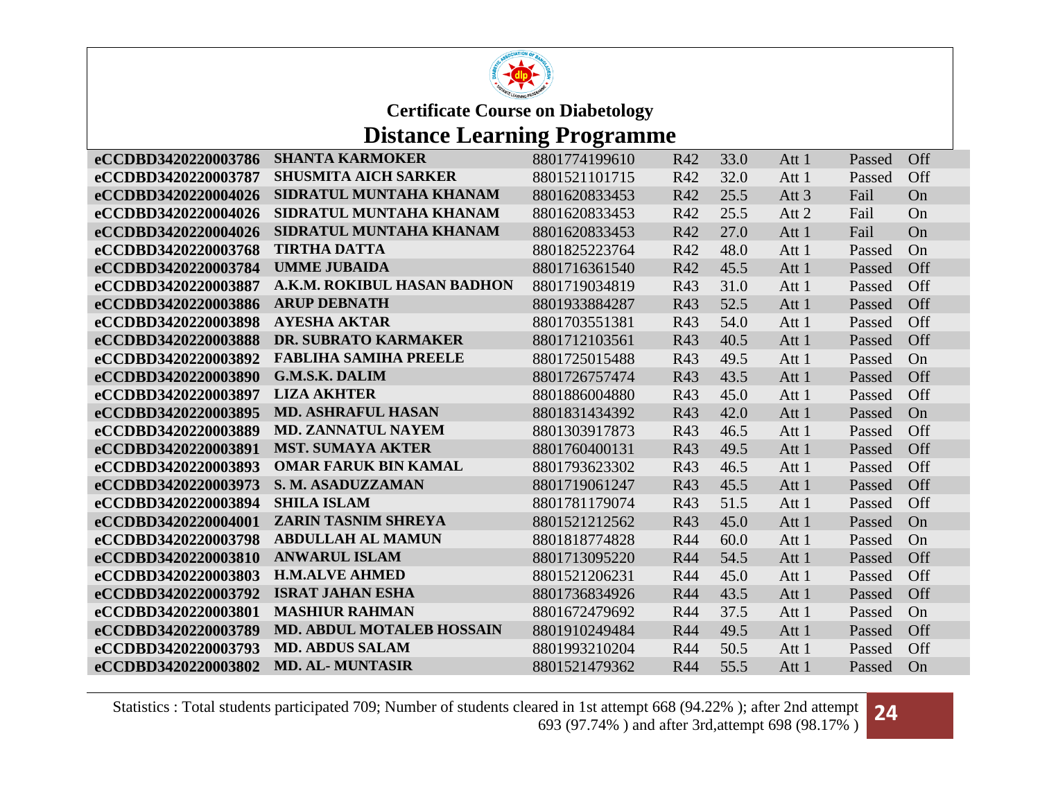

### **Distance Learning Programme**

| <b>SHANTA KARMOKER</b>           | 8801774199610                                                                                                                                                                                                                                                                                                                                                                                                                                                                     | R42                                                              | 33.0                            | Att 1                                | Passed | <b>Off</b> |
|----------------------------------|-----------------------------------------------------------------------------------------------------------------------------------------------------------------------------------------------------------------------------------------------------------------------------------------------------------------------------------------------------------------------------------------------------------------------------------------------------------------------------------|------------------------------------------------------------------|---------------------------------|--------------------------------------|--------|------------|
| <b>SHUSMITA AICH SARKER</b>      | 8801521101715                                                                                                                                                                                                                                                                                                                                                                                                                                                                     | R42                                                              | 32.0                            | Att 1                                | Passed | Off        |
| SIDRATUL MUNTAHA KHANAM          | 8801620833453                                                                                                                                                                                                                                                                                                                                                                                                                                                                     | R42                                                              | 25.5                            | Att <sub>3</sub>                     | Fail   | On         |
| SIDRATUL MUNTAHA KHANAM          | 8801620833453                                                                                                                                                                                                                                                                                                                                                                                                                                                                     | R42                                                              | 25.5                            | Att 2                                | Fail   | On         |
| SIDRATUL MUNTAHA KHANAM          | 8801620833453                                                                                                                                                                                                                                                                                                                                                                                                                                                                     | R42                                                              | 27.0                            | Att 1                                | Fail   | On         |
| <b>TIRTHA DATTA</b>              | 8801825223764                                                                                                                                                                                                                                                                                                                                                                                                                                                                     | R42                                                              | 48.0                            | Att 1                                | Passed | On         |
|                                  | 8801716361540                                                                                                                                                                                                                                                                                                                                                                                                                                                                     | R42                                                              | 45.5                            | Att 1                                | Passed | Off        |
| A.K.M. ROKIBUL HASAN BADHON      | 8801719034819                                                                                                                                                                                                                                                                                                                                                                                                                                                                     | R43                                                              | 31.0                            | Att 1                                | Passed | <b>Off</b> |
| <b>ARUP DEBNATH</b>              | 8801933884287                                                                                                                                                                                                                                                                                                                                                                                                                                                                     | R43                                                              | 52.5                            | Att 1                                | Passed | Off        |
|                                  | 8801703551381                                                                                                                                                                                                                                                                                                                                                                                                                                                                     | R43                                                              | 54.0                            | Att 1                                | Passed | Off        |
|                                  | 8801712103561                                                                                                                                                                                                                                                                                                                                                                                                                                                                     | R43                                                              | 40.5                            | Att 1                                | Passed | Off        |
|                                  | 8801725015488                                                                                                                                                                                                                                                                                                                                                                                                                                                                     | R43                                                              | 49.5                            | Att 1                                | Passed | On         |
| <b>G.M.S.K. DALIM</b>            | 8801726757474                                                                                                                                                                                                                                                                                                                                                                                                                                                                     | R43                                                              | 43.5                            | Att 1                                | Passed | Off        |
|                                  | 8801886004880                                                                                                                                                                                                                                                                                                                                                                                                                                                                     | R43                                                              | 45.0                            | Att 1                                | Passed | Off        |
|                                  | 8801831434392                                                                                                                                                                                                                                                                                                                                                                                                                                                                     | R43                                                              | 42.0                            | Att 1                                | Passed | On         |
|                                  | 8801303917873                                                                                                                                                                                                                                                                                                                                                                                                                                                                     | R43                                                              | 46.5                            | Att 1                                | Passed | Off        |
|                                  | 8801760400131                                                                                                                                                                                                                                                                                                                                                                                                                                                                     | R43                                                              | 49.5                            | Att 1                                | Passed | Off        |
|                                  | 8801793623302                                                                                                                                                                                                                                                                                                                                                                                                                                                                     | R43                                                              | 46.5                            | Att 1                                | Passed | Off        |
|                                  | 8801719061247                                                                                                                                                                                                                                                                                                                                                                                                                                                                     | R43                                                              | 45.5                            | Att 1                                | Passed | Off        |
|                                  | 8801781179074                                                                                                                                                                                                                                                                                                                                                                                                                                                                     | R43                                                              |                                 | Att 1                                | Passed | Off        |
|                                  |                                                                                                                                                                                                                                                                                                                                                                                                                                                                                   |                                                                  |                                 | Att 1                                | Passed | On         |
|                                  |                                                                                                                                                                                                                                                                                                                                                                                                                                                                                   | R44                                                              | 60.0                            | Att 1                                |        | On         |
|                                  |                                                                                                                                                                                                                                                                                                                                                                                                                                                                                   |                                                                  |                                 | Att 1                                | Passed | Off        |
|                                  |                                                                                                                                                                                                                                                                                                                                                                                                                                                                                   |                                                                  |                                 | Att 1                                | Passed | Off        |
|                                  | 8801736834926                                                                                                                                                                                                                                                                                                                                                                                                                                                                     | R44                                                              | 43.5                            | Att 1                                | Passed | Off        |
|                                  | 8801672479692                                                                                                                                                                                                                                                                                                                                                                                                                                                                     |                                                                  |                                 | Att 1                                | Passed | On         |
| <b>MD. ABDUL MOTALEB HOSSAIN</b> | 8801910249484                                                                                                                                                                                                                                                                                                                                                                                                                                                                     | <b>R44</b>                                                       | 49.5                            | Att 1                                | Passed | Off        |
|                                  | 8801993210204                                                                                                                                                                                                                                                                                                                                                                                                                                                                     | <b>R44</b>                                                       | 50.5                            | Att 1                                | Passed | Off        |
| <b>MD. AL-MUNTASIR</b>           | 8801521479362                                                                                                                                                                                                                                                                                                                                                                                                                                                                     | <b>R44</b>                                                       | 55.5                            | Att 1                                | Passed | On         |
|                                  | <b>UMME JUBAIDA</b><br><b>AYESHA AKTAR</b><br>DR. SUBRATO KARMAKER<br><b>FABLIHA SAMIHA PREELE</b><br><b>LIZA AKHTER</b><br><b>MD. ASHRAFUL HASAN</b><br><b>MD. ZANNATUL NAYEM</b><br><b>MST. SUMAYA AKTER</b><br><b>OMAR FARUK BIN KAMAL</b><br>S. M. ASADUZZAMAN<br><b>SHILA ISLAM</b><br><b>ZARIN TASNIM SHREYA</b><br><b>ABDULLAH AL MAMUN</b><br><b>ANWARUL ISLAM</b><br><b>H.M.ALVE AHMED</b><br><b>ISRAT JAHAN ESHA</b><br><b>MASHIUR RAHMAN</b><br><b>MD. ABDUS SALAM</b> | 8801521212562<br>8801818774828<br>8801713095220<br>8801521206231 | R43<br>R44<br>R44<br><b>R44</b> | 51.5<br>45.0<br>54.5<br>45.0<br>37.5 |        | Passed     |

Statistics : Total students participated 709; Number of students cleared in 1st attempt 668 (94.22% ); after 2nd attempt ared in 1st attempt 668 (94.22%); after 2nd attempt **24**<br>693 (97.74%) and after 3rd,attempt 698 (98.17%)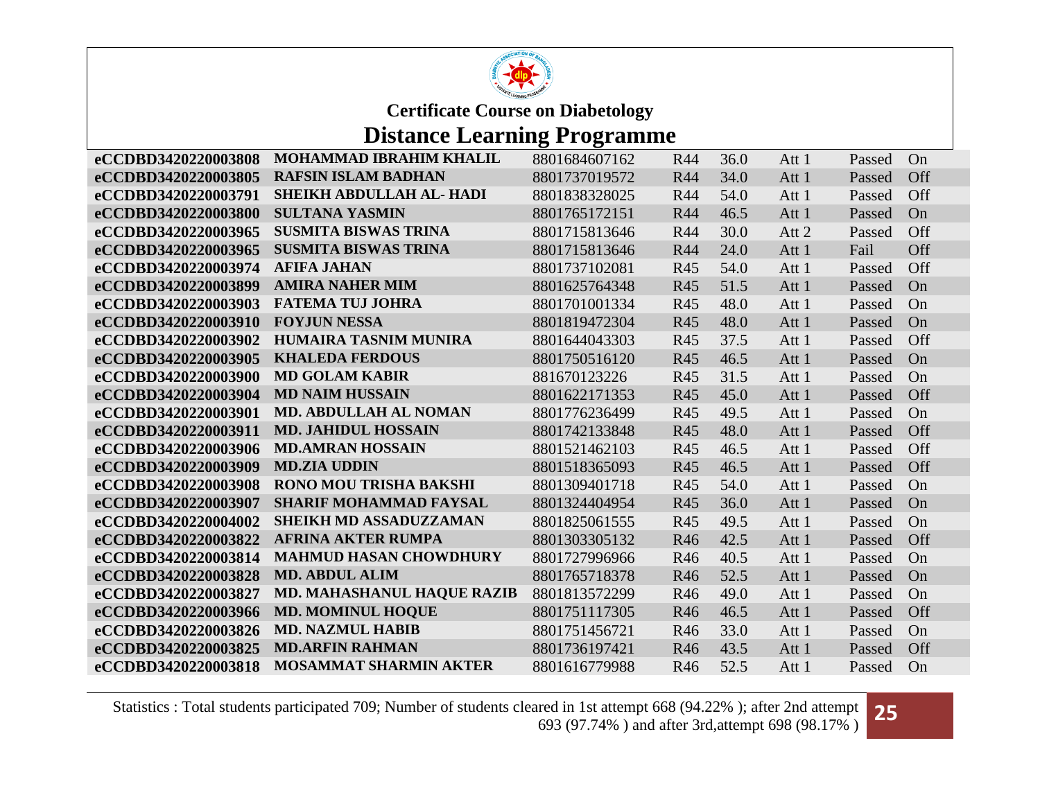

### **Distance Learning Programme**

| eCCDBD3420220003808 | <b>MOHAMMAD IBRAHIM KHALIL</b>    | 8801684607162 | R44        | 36.0 | Att 1 | Passed | On  |
|---------------------|-----------------------------------|---------------|------------|------|-------|--------|-----|
| eCCDBD3420220003805 | <b>RAFSIN ISLAM BADHAN</b>        | 8801737019572 | R44        | 34.0 | Att 1 | Passed | Off |
| eCCDBD3420220003791 | SHEIKH ABDULLAH AL- HADI          | 8801838328025 | <b>R44</b> | 54.0 | Att 1 | Passed | Off |
| eCCDBD3420220003800 | <b>SULTANA YASMIN</b>             | 8801765172151 | R44        | 46.5 | Att 1 | Passed | On  |
| eCCDBD3420220003965 | <b>SUSMITA BISWAS TRINA</b>       | 8801715813646 | R44        | 30.0 | Att 2 | Passed | Off |
| eCCDBD3420220003965 | <b>SUSMITA BISWAS TRINA</b>       | 8801715813646 | <b>R44</b> | 24.0 | Att 1 | Fail   | Off |
| eCCDBD3420220003974 | <b>AFIFA JAHAN</b>                | 8801737102081 | R45        | 54.0 | Att 1 | Passed | Off |
| eCCDBD3420220003899 | <b>AMIRA NAHER MIM</b>            | 8801625764348 | R45        | 51.5 | Att 1 | Passed | On  |
| eCCDBD3420220003903 | <b>FATEMA TUJ JOHRA</b>           | 8801701001334 | R45        | 48.0 | Att 1 | Passed | On  |
| eCCDBD3420220003910 | <b>FOYJUN NESSA</b>               | 8801819472304 | R45        | 48.0 | Att 1 | Passed | On  |
| eCCDBD3420220003902 | <b>HUMAIRA TASNIM MUNIRA</b>      | 8801644043303 | R45        | 37.5 | Att 1 | Passed | Off |
| eCCDBD3420220003905 | <b>KHALEDA FERDOUS</b>            | 8801750516120 | R45        | 46.5 | Att 1 | Passed | On  |
| eCCDBD3420220003900 | <b>MD GOLAM KABIR</b>             | 881670123226  | R45        | 31.5 | Att 1 | Passed | On  |
| eCCDBD3420220003904 | <b>MD NAIM HUSSAIN</b>            | 8801622171353 | R45        | 45.0 | Att 1 | Passed | Off |
| eCCDBD3420220003901 | <b>MD. ABDULLAH AL NOMAN</b>      | 8801776236499 | R45        | 49.5 | Att 1 | Passed | On  |
| eCCDBD3420220003911 | <b>MD. JAHIDUL HOSSAIN</b>        | 8801742133848 | R45        | 48.0 | Att 1 | Passed | Off |
| eCCDBD3420220003906 | <b>MD.AMRAN HOSSAIN</b>           | 8801521462103 | R45        | 46.5 | Att 1 | Passed | Off |
| eCCDBD3420220003909 | <b>MD.ZIA UDDIN</b>               | 8801518365093 | R45        | 46.5 | Att 1 | Passed | Off |
| eCCDBD3420220003908 | <b>RONO MOU TRISHA BAKSHI</b>     | 8801309401718 | R45        | 54.0 | Att 1 | Passed | On  |
| eCCDBD3420220003907 | <b>SHARIF MOHAMMAD FAYSAL</b>     | 8801324404954 | R45        | 36.0 | Att 1 | Passed | On  |
| eCCDBD3420220004002 | <b>SHEIKH MD ASSADUZZAMAN</b>     | 8801825061555 | R45        | 49.5 | Att 1 | Passed | On  |
| eCCDBD3420220003822 | <b>AFRINA AKTER RUMPA</b>         | 8801303305132 | R46        | 42.5 | Att 1 | Passed | Off |
| eCCDBD3420220003814 | <b>MAHMUD HASAN CHOWDHURY</b>     | 8801727996966 | R46        | 40.5 | Att 1 | Passed | On  |
| eCCDBD3420220003828 | <b>MD. ABDUL ALIM</b>             | 8801765718378 | R46        | 52.5 | Att 1 | Passed | On  |
| eCCDBD3420220003827 | <b>MD. MAHASHANUL HAQUE RAZIB</b> | 8801813572299 | R46        | 49.0 | Att 1 | Passed | On  |
| eCCDBD3420220003966 | <b>MD. MOMINUL HOQUE</b>          | 8801751117305 | R46        | 46.5 | Att 1 | Passed | Off |
| eCCDBD3420220003826 | <b>MD. NAZMUL HABIB</b>           | 8801751456721 | R46        | 33.0 | Att 1 | Passed | On  |
| eCCDBD3420220003825 | <b>MD.ARFIN RAHMAN</b>            | 8801736197421 | R46        | 43.5 | Att 1 | Passed | Off |
| eCCDBD3420220003818 | <b>MOSAMMAT SHARMIN AKTER</b>     | 8801616779988 | R46        | 52.5 | Att 1 | Passed | On  |

Statistics : Total students participated 709; Number of students cleared in 1st attempt 668 (94.22% ); after 2nd attempt ared in 1st attempt 668 (94.22%); after 2nd attempt **25** 693 (97.74%) and after 3rd,attempt 698 (98.17%)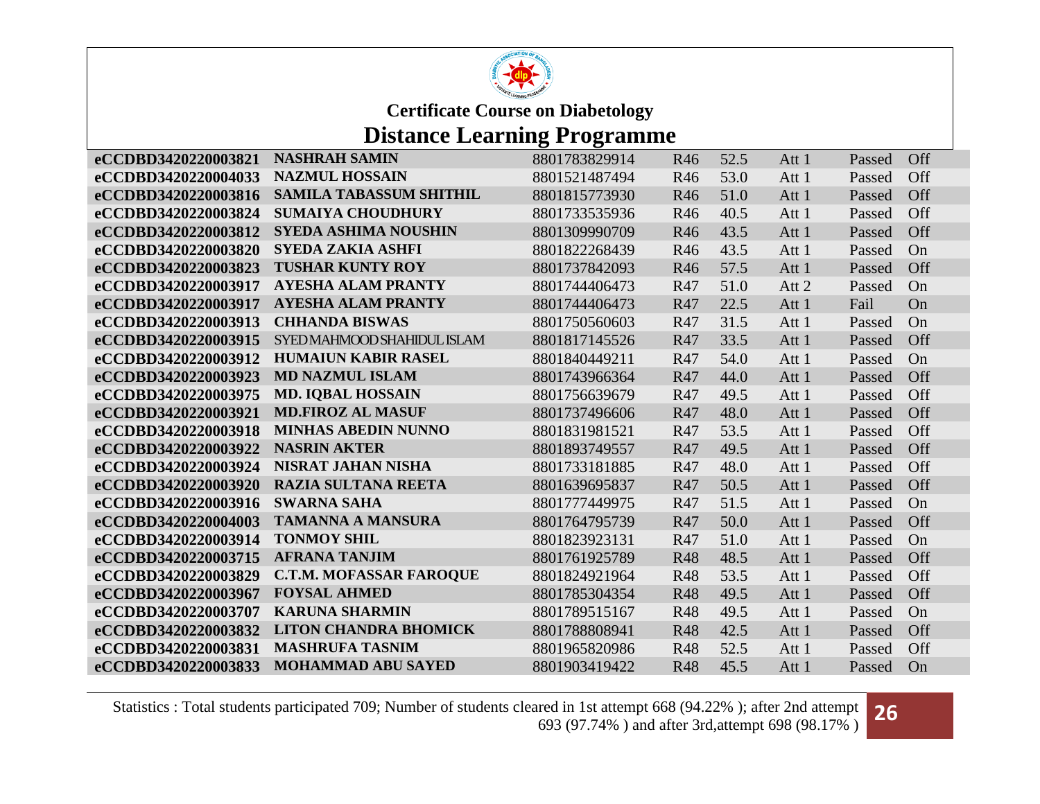

## **Distance Learning Programme**

| eCCDBD3420220003821 | <b>NASHRAH SAMIN</b>           | 8801783829914 | R46        | 52.5 | Att 1 | Passed | Off |
|---------------------|--------------------------------|---------------|------------|------|-------|--------|-----|
| eCCDBD3420220004033 | <b>NAZMUL HOSSAIN</b>          | 8801521487494 | R46        | 53.0 | Att 1 | Passed | Off |
| eCCDBD3420220003816 | <b>SAMILA TABASSUM SHITHIL</b> | 8801815773930 | R46        | 51.0 | Att 1 | Passed | Off |
| eCCDBD3420220003824 | <b>SUMAIYA CHOUDHURY</b>       | 8801733535936 | R46        | 40.5 | Att 1 | Passed | Off |
| eCCDBD3420220003812 | <b>SYEDA ASHIMA NOUSHIN</b>    | 8801309990709 | R46        | 43.5 | Att 1 | Passed | Off |
| eCCDBD3420220003820 | <b>SYEDA ZAKIA ASHFI</b>       | 8801822268439 | R46        | 43.5 | Att 1 | Passed | On  |
| eCCDBD3420220003823 | <b>TUSHAR KUNTY ROY</b>        | 8801737842093 | R46        | 57.5 | Att 1 | Passed | Off |
| eCCDBD3420220003917 | <b>AYESHA ALAM PRANTY</b>      | 8801744406473 | R47        | 51.0 | Att 2 | Passed | On  |
| eCCDBD3420220003917 | <b>AYESHA ALAM PRANTY</b>      | 8801744406473 | R47        | 22.5 | Att 1 | Fail   | On  |
| eCCDBD3420220003913 | <b>CHHANDA BISWAS</b>          | 8801750560603 | R47        | 31.5 | Att 1 | Passed | On  |
| eCCDBD3420220003915 | SYED MAHMOOD SHAHIDUL ISLAM    | 8801817145526 | R47        | 33.5 | Att 1 | Passed | Off |
| eCCDBD3420220003912 | <b>HUMAIUN KABIR RASEL</b>     | 8801840449211 | R47        | 54.0 | Att 1 | Passed | On  |
| eCCDBD3420220003923 | <b>MD NAZMUL ISLAM</b>         | 8801743966364 | R47        | 44.0 | Att 1 | Passed | Off |
| eCCDBD3420220003975 | <b>MD. IQBAL HOSSAIN</b>       | 8801756639679 | R47        | 49.5 | Att 1 | Passed | Off |
| eCCDBD3420220003921 | <b>MD.FIROZ AL MASUF</b>       | 8801737496606 | R47        | 48.0 | Att 1 | Passed | Off |
| eCCDBD3420220003918 | <b>MINHAS ABEDIN NUNNO</b>     | 8801831981521 | R47        | 53.5 | Att 1 | Passed | Off |
| eCCDBD3420220003922 | <b>NASRIN AKTER</b>            | 8801893749557 | R47        | 49.5 | Att 1 | Passed | Off |
| eCCDBD3420220003924 | <b>NISRAT JAHAN NISHA</b>      | 8801733181885 | R47        | 48.0 | Att 1 | Passed | Off |
| eCCDBD3420220003920 | <b>RAZIA SULTANA REETA</b>     | 8801639695837 | R47        | 50.5 | Att 1 | Passed | Off |
| eCCDBD3420220003916 | <b>SWARNA SAHA</b>             | 8801777449975 | R47        | 51.5 | Att 1 | Passed | On  |
| eCCDBD3420220004003 | <b>TAMANNA A MANSURA</b>       | 8801764795739 | R47        | 50.0 | Att 1 | Passed | Off |
| eCCDBD3420220003914 | <b>TONMOY SHIL</b>             | 8801823923131 | R47        | 51.0 | Att 1 | Passed | On  |
| eCCDBD3420220003715 | <b>AFRANA TANJIM</b>           | 8801761925789 | <b>R48</b> | 48.5 | Att 1 | Passed | Off |
| eCCDBD3420220003829 | <b>C.T.M. MOFASSAR FAROQUE</b> | 8801824921964 | <b>R48</b> | 53.5 | Att 1 | Passed | Off |
| eCCDBD3420220003967 | <b>FOYSAL AHMED</b>            | 8801785304354 | <b>R48</b> | 49.5 | Att 1 | Passed | Off |
| eCCDBD3420220003707 | <b>KARUNA SHARMIN</b>          | 8801789515167 | <b>R48</b> | 49.5 | Att 1 | Passed | On  |
| eCCDBD3420220003832 | <b>LITON CHANDRA BHOMICK</b>   | 8801788808941 | <b>R48</b> | 42.5 | Att 1 | Passed | Off |
| eCCDBD3420220003831 | <b>MASHRUFA TASNIM</b>         | 8801965820986 | <b>R48</b> | 52.5 | Att 1 | Passed | Off |
| eCCDBD3420220003833 | <b>MOHAMMAD ABU SAYED</b>      | 8801903419422 | <b>R48</b> | 45.5 | Att 1 | Passed | On  |

Statistics : Total students participated 709; Number of students cleared in 1st attempt 668 (94.22% ); after 2nd attempt ared in 1st attempt 668 (94.22%); after 2nd attempt **26** 693 (97.74%) and after 3rd,attempt 698 (98.17%)